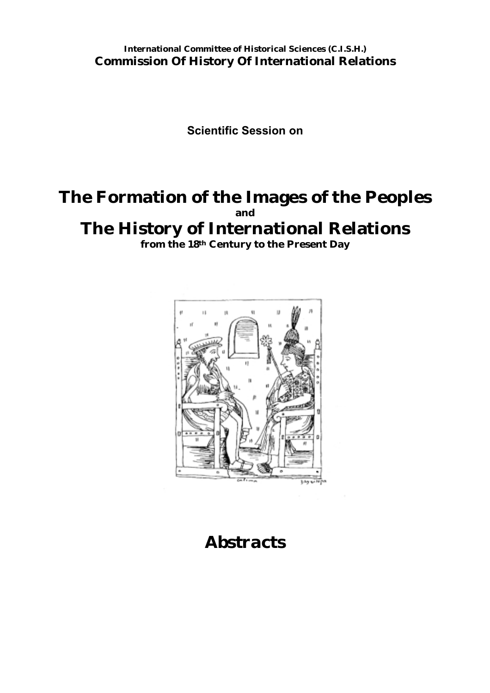**International Committee of Historical Sciences (C.I.S.H.) Commission Of History Of International Relations**

**Scientific Session on**

# **The Formation of the Images of the Peoples and**

# **The History of International Relations**

**from the 18th Century to the Present Day**



# *Abstracts*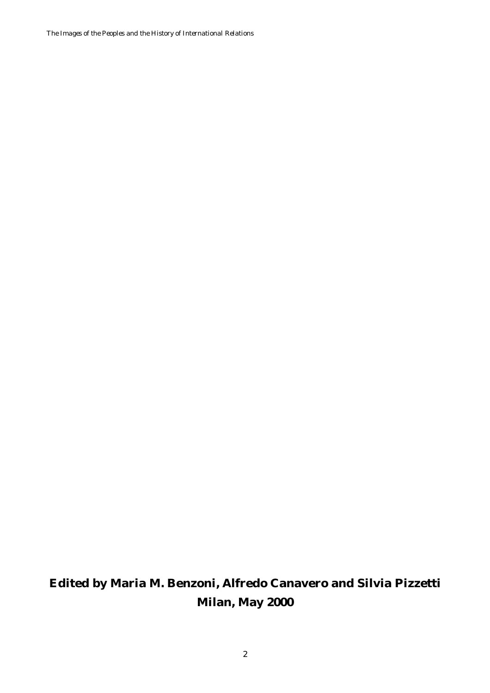*The Images of the Peoples and the History of International Relations*

# **Edited by Maria M. Benzoni, Alfredo Canavero and Silvia Pizzetti Milan, May 2000**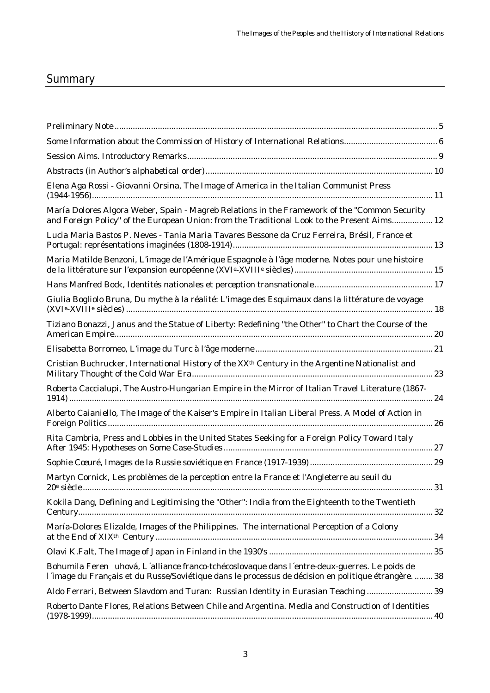## **Summary**

| Elena Aga Rossi - Giovanni Orsina, The Image of America in the Italian Communist Press                                                                                                                |
|-------------------------------------------------------------------------------------------------------------------------------------------------------------------------------------------------------|
| María Dolores Algora Weber, Spain - Magreb Relations in the Framework of the "Common Security<br>and Foreign Policy" of the European Union: from the Traditional Look to the Present Aims 12          |
| Lucia Maria Bastos P. Neves - Tania Maria Tavares Bessone da Cruz Ferreira, Brésil, France et                                                                                                         |
| Maria Matilde Benzoni, L'image de l'Amérique Espagnole à l'âge moderne. Notes pour une histoire                                                                                                       |
|                                                                                                                                                                                                       |
| Giulia Bogliolo Bruna, Du mythe à la réalité: L'image des Esquimaux dans la littérature de voyage                                                                                                     |
| Tiziano Bonazzi, Janus and the Statue of Liberty: Redefining "the Other" to Chart the Course of the                                                                                                   |
|                                                                                                                                                                                                       |
| Cristian Buchrucker, International History of the XX <sup>th</sup> Century in the Argentine Nationalist and                                                                                           |
| Roberta Caccialupi, The Austro-Hungarian Empire in the Mirror of Italian Travel Literature (1867-                                                                                                     |
| Alberto Caianiello, The Image of the Kaiser's Empire in Italian Liberal Press. A Model of Action in                                                                                                   |
| Rita Cambria, Press and Lobbies in the United States Seeking for a Foreign Policy Toward Italy                                                                                                        |
|                                                                                                                                                                                                       |
| Martyn Cornick, Les problèmes de la perception entre la France et l'Angleterre au seuil du                                                                                                            |
| Kokila Dang, Defining and Legitimising the "Other": India from the Eighteenth to the Twentieth                                                                                                        |
| María-Dolores Elizalde, Images of the Philippines. The international Perception of a Colony                                                                                                           |
|                                                                                                                                                                                                       |
| Bohumila Feren uhová, L'alliance franco-tchécoslovaque dans l'entre-deux-guerres. Le poids de<br>l'image du Français et du Russe/Soviétique dans le processus de décision en politique étrangère.  38 |
| Aldo Ferrari, Between Slavdom and Turan: Russian Identity in Eurasian Teaching  39                                                                                                                    |
| Roberto Dante Flores, Relations Between Chile and Argentina. Media and Construction of Identities                                                                                                     |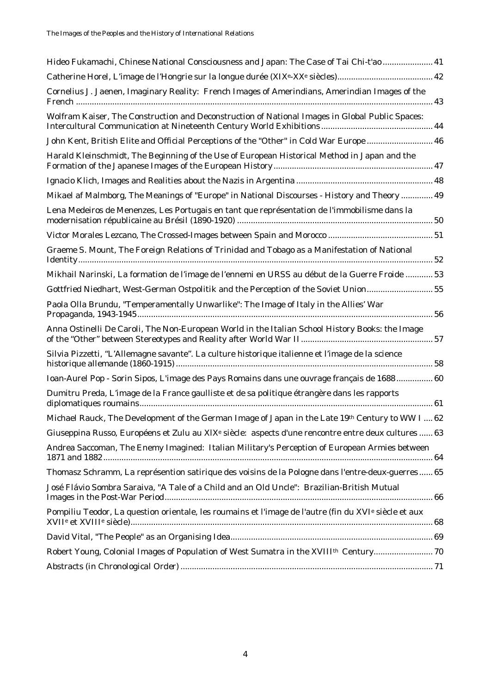| Hideo Fukamachi, Chinese National Consciousness and Japan: The Case of Tai Chi-t'ao  41                           |
|-------------------------------------------------------------------------------------------------------------------|
|                                                                                                                   |
| Cornelius J. Jaenen, Imaginary Reality: French Images of Amerindians, Amerindian Images of the                    |
| Wolfram Kaiser, The Construction and Deconstruction of National Images in Global Public Spaces:                   |
| John Kent, British Elite and Official Perceptions of the "Other" in Cold War Europe  46                           |
| Harald Kleinschmidt, The Beginning of the Use of European Historical Method in Japan and the                      |
|                                                                                                                   |
| Mikael af Malmborg, The Meanings of "Europe" in National Discourses - History and Theory  49                      |
| Lena Medeiros de Menenzes, Les Portugais en tant que représentation de l'immobilisme dans la                      |
|                                                                                                                   |
| Graeme S. Mount, The Foreign Relations of Trinidad and Tobago as a Manifestation of National                      |
| Mikhail Narinski, La formation de l'image de l'ennemi en URSS au début de la Guerre Froide  53                    |
| Gottfried Niedhart, West-German Ostpolitik and the Perception of the Soviet Union55                               |
| Paola Olla Brundu, "Temperamentally Unwarlike": The Image of Italy in the Allies' War                             |
| Anna Ostinelli De Caroli, The Non-European World in the Italian School History Books: the Image                   |
| Silvia Pizzetti, "L'Allemagne savante". La culture historique italienne et l'image de la science                  |
| Ioan-Aurel Pop - Sorin Sipos, L'image des Pays Romains dans une ouvrage français de 1688 60                       |
| Dumitru Preda, L'image de la France gaulliste et de sa politique étrangère dans les rapports                      |
| Michael Rauck, The Development of the German Image of Japan in the Late 19th Century to WW I  62                  |
| Giuseppina Russo, Européens et Zulu au XIX <sup>e</sup> siècle: aspects d'une rencontre entre deux cultures  63   |
| Andrea Saccoman, The Enemy Imagined: Italian Military's Perception of European Armies between                     |
| Thomasz Schramm, La représention satirique des voisins de la Pologne dans l'entre-deux-guerres 65                 |
| José Flávio Sombra Saraiva, "A Tale of a Child and an Old Uncle": Brazilian-British Mutual                        |
| Pompiliu Teodor, La question orientale, les roumains et l'image de l'autre (fin du XVI <sup>e</sup> siècle et aux |
|                                                                                                                   |
| Robert Young, Colonial Images of Population of West Sumatra in the XVIII <sup>th</sup> Century 70                 |
|                                                                                                                   |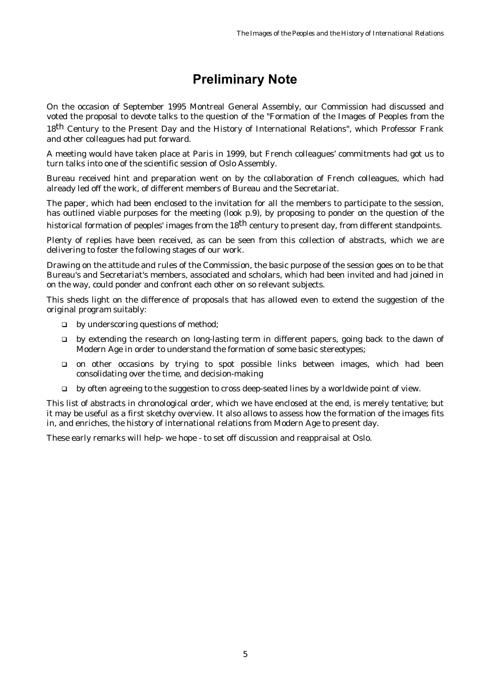## **Preliminary Note**

<span id="page-4-0"></span>On the occasion of September 1995 Montreal General Assembly, our Commission had discussed and voted the proposal to devote talks to the question of the "Formation of the Images of Peoples from the 18th Century to the Present Day and the History of International Relations", which Professor Frank and other colleagues had put forward.

A meeting would have taken place at Paris in 1999, but French colleagues' commitments had got us to turn talks into one of the scientific session of Oslo Assembly.

Bureau received hint and preparation went on by the collaboration of French colleagues, which had already led off the work, of different members of Bureau and the Secretariat.

The paper, which had been enclosed to the invitation for all the members to participate to the session, has outlined viable purposes for the meeting (look p.9), by proposing to ponder on the question of the historical formation of peoples' images from the 18<sup>th</sup> century to present day, from different standpoints.

Plenty of replies have been received, as can be seen from this collection of abstracts, which we are delivering to foster the following stages of our work.

Drawing on the attitude and rules of the Commission, the basic purpose of the session goes on to be that Bureau's and Secretariat's members, associated and scholars, which had been invited and had joined in on the way, could ponder and confront each other on so relevant subjects.

This sheds light on the difference of proposals that has allowed even to extend the suggestion of the original program suitably:

- $\Box$  by underscoring questions of method:
- $\Box$  by extending the research on long-lasting term in different papers, going back to the dawn of Modern Age in order to understand the formation of some basic stereotypes;
- ! on other occasions by trying to spot possible links between images, which had been consolidating over the time, and decision-making
- $\Box$  by often agreeing to the suggestion to cross deep-seated lines by a worldwide point of view.

This list of abstracts in chronological order, which we have enclosed at the end, is merely tentative; but it may be useful as a first sketchy overview. It also allows to assess how the formation of the images fits in, and enriches, the history of international relations from Modern Age to present day.

These early remarks will help- we hope - to set off discussion and reappraisal at Oslo.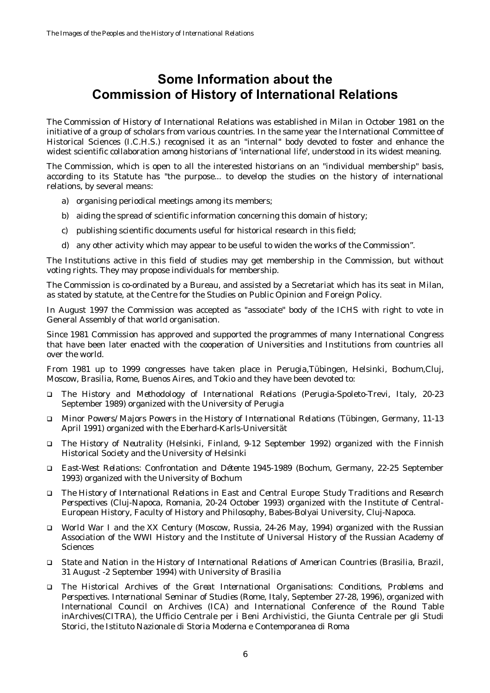### <span id="page-5-0"></span>**Some Information about the Commission of History of International Relations**

The Commission of History of International Relations was established in Milan in October 1981 on the initiative of a group of scholars from various countries. In the same year the International Committee of Historical Sciences (I.C.H.S.) recognised it as an "internal" body devoted to foster and enhance the widest scientific collaboration among historians of 'international life', understood in its widest meaning.

The Commission, which is open to all the interested historians on an "individual membership" basis, according to its Statute has "the purpose... to develop the studies on the history of international relations, by several means:

- a) organising periodical meetings among its members;
- b) aiding the spread of scientific information concerning this domain of history;
- c) publishing scientific documents useful for historical research in this field;
- d) any other activity which may appear to be useful to widen the works of the Commission".

The Institutions active in this field of studies may get membership in the Commission, but without voting rights. They may propose individuals for membership.

The Commission is co-ordinated by a Bureau, and assisted by a Secretariat which has its seat in Milan, as stated by statute, at the Centre for the Studies on Public Opinion and Foreign Policy.

In August 1997 the Commission was accepted as "associate" body of the ICHS with right to vote in General Assembly of that world organisation.

Since 1981 Commission has approved and supported the programmes of many International Congress that have been later enacted with the cooperation of Universities and Institutions from countries all over the world.

From 1981 up to 1999 congresses have taken place in Perugia,Tübingen, Helsinki, Bochum,Cluj, Moscow, Brasilia, Rome, Buenos Aires, and Tokio and they have been devoted to:

- ! *The History and Methodology of International Relations* (Perugia-Spoleto-Trevi, Italy, 20-23 September 1989) organized with the University of Perugia
- ! *Minor Powers/Majors Powers in the History of International Relations* (Tübingen, Germany, 11-13 April 1991) organized with the Eberhard-Karls-Universität
- ! *The History of Neutrality* (Helsinki, Finland, 9-12 September 1992) organized with the Finnish Historical Society and the University of Helsinki
- ! *East-West Relations: Confrontation and Détente 1945-1989* (Bochum, Germany, 22-25 September 1993) organized with the University of Bochum
- ! *The History of International Relations in East and Central Europe: Study Traditions and Research Perspectives* (Cluj-Napoca, Romania, 20-24 October 1993) organized with the Institute of Central-European History, Faculty of History and Philosophy, Babes-Bolyai University, Cluj-Napoca.
- ! *World War I and the XX Century* (Moscow, Russia, 24-26 May, 1994) organized with the Russian Association of the WWI History and the Institute of Universal History of the Russian Academy of Sciences
- ! *State and Nation in the History of International Relations of American Countries* (Brasilia, Brazil, 31 August -2 September 1994) with University of Brasilia
- ! *The Historical Archives of the Great International Organisations: Conditions, Problems and Perspectives. International Seminar of Studies* (Rome, Italy, September 27-28, 1996), organized with International Council on Archives (ICA) and International Conference of the Round Table inArchives(CITRA), the Ufficio Centrale per i Beni Archivistici, the Giunta Centrale per gli Studi Storici, the Istituto Nazionale di Storia Moderna e Contemporanea di Roma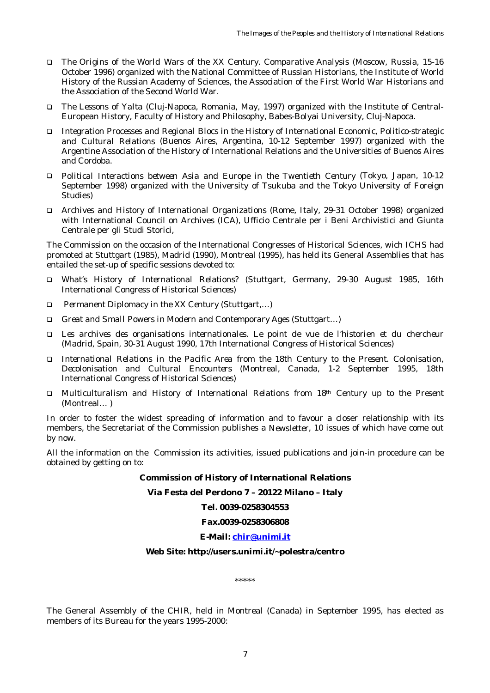- ! *The Origins of the World Wars of the XX Century. Comparative Analysis* (Moscow, Russia, 15-16 October 1996) organized with the National Committee of Russian Historians, the Institute of World History of the Russian Academy of Sciences, the Association of the First World War Historians and the Association of the Second World War.
- ! *The Lessons of Yalta* (Cluj-Napoca, Romania, May, 1997) organized with the Institute of Central-European History, Faculty of History and Philosophy, Babes-Bolyai University, Cluj-Napoca.
- ! *Integration Processes and Regional Blocs in the History of International Economic, Politico-strategic and Cultural Relations* (Buenos Aires, Argentina, 10-12 September 1997) organized with the Argentine Association of the History of International Relations and the Universities of Buenos Aires and Cordoba.
- ! *Political Interactions between Asia and Europe in the Twentieth Century* (Tokyo, Japan, 10-12 September 1998) organized with the University of Tsukuba and the Tokyo University of Foreign Studies)
- ! *Archives and History of International Organizations* (Rome, Italy, 29-31 October 1998) organized with International Council on Archives (ICA), Ufficio Centrale per i Beni Archivistici and Giunta Centrale per gli Studi Storici,

The Commission on the occasion of the International Congresses of Historical Sciences, wich ICHS had promoted at Stuttgart (1985), Madrid (1990), Montreal (1995), has held its General Assemblies that has entailed the set-up of specific sessions devoted to:

- ! *What's History of International Relations?* (Stuttgart, Germany, 29-30 August 1985, 16th International Congress of Historical Sciences)
- ! *Permanent Diplomacy in the XX Century (*Stuttgart,…*)*
- ! *Great and Small Powers in Modern and Contemporary Ages* (Stuttgart…)
- ! *Les archives des organisations internationales. Le point de vue de l'historien et du chercheur* (Madrid, Spain, 30-31 August 1990, 17th International Congress of Historical Sciences)
- ! *International Relations in the Pacific Area from the 18th Century to the Present. Colonisation, Decolonisation and Cultural Encounters* (Montreal, Canada, 1-2 September 1995, 18th International Congress of Historical Sciences)
- ! *Multiculturalism and History of International Relations from 18th Century up to the Present* (Montreal… *)*

In order to foster the widest spreading of information and to favour a closer relationship with its members, the Secretariat of the Commission publishes a *Newsletter*, 10 issues of which have come out by now.

All the information on the Commission its activities, issued publications and join-in procedure can be obtained by getting on to:

#### **Commission of History of International Relations**

**Via Festa del Perdono 7 – 20122 Milano – Italy**

**Tel. 0039-0258304553**

#### **Fax.0039-0258306808**

#### **E-Mail: [chir@unimi.it](mailto:chir@unimi.it)**

#### **Web Site: http://users.unimi.it/~polestra/centro**

\*\*\*\*\*

The General Assembly of the CHIR, held in Montreal (Canada) in September 1995, has elected as members of its Bureau for the years 1995-2000: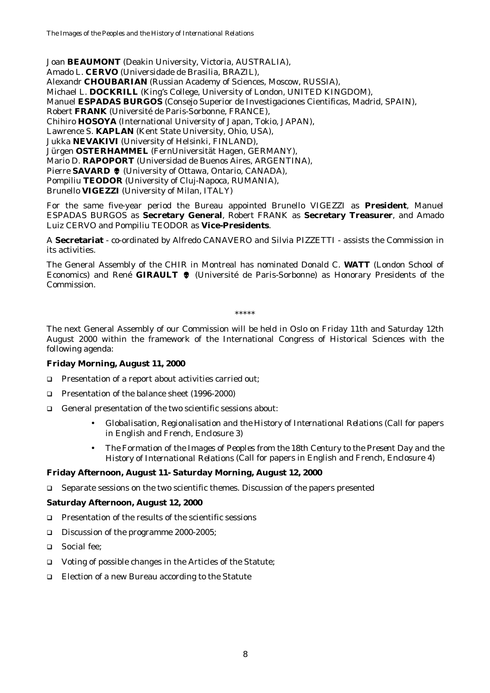Joan **BEAUMONT** (Deakin University, Victoria, AUSTRALIA),

Amado L. **CERVO** (Universidade de Brasilia, BRAZIL),

Alexandr **CHOUBARIAN** (Russian Academy of Sciences, Moscow, RUSSIA),

Michael L. **DOCKRILL** (King's College, University of London, UNITED KINGDOM),

Manuel **ESPADAS BURGOS** (Consejo Superior de Investigaciones Cientificas, Madrid, SPAIN),

Robert **FRANK** (Université de Paris-Sorbonne, FRANCE),

Chihiro **HOSOYA** (International University of Japan, Tokio, JAPAN),

Lawrence S. **KAPLAN** (Kent State University, Ohio, USA),

Jukka **NEVAKIVI** (University of Helsinki, FINLAND),

Jürgen **OSTERHAMMEL** (FernUniversität Hagen, GERMANY),

Mario D. **RAPOPORT** (Universidad de Buenos Aires, ARGENTINA),

Pierre **SAVARD**  $\bullet$  (University of Ottawa, Ontario, CANADA),

Pompiliu **TEODOR** (University of Cluj-Napoca, RUMANIA),

Brunello **VIGEZZI** (University of Milan, ITALY)

For the same five-year period the Bureau appointed Brunello VIGEZZI as **President**, Manuel ESPADAS BURGOS as **Secretary General**, Robert FRANK as **Secretary Treasurer**, and Amado Luiz CERVO and Pompiliu TEODOR as **Vice-Presidents**.

A **Secretariat** - co-ordinated by Alfredo CANAVERO and Silvia PIZZETTI - assists the Commission in its activities.

The General Assembly of the CHIR in Montreal has nominated Donald C. **WATT** (London School of Economics) and René GIRAULT  $\bullet$  (Université de Paris-Sorbonne) as Honorary Presidents of the Commission.

\*\*\*\*\*

The next General Assembly of our Commission will be held in Oslo on Friday 11th and Saturday 12th August 2000 within the framework of the International Congress of Historical Sciences with the following agenda:

### **Friday Morning, August 11, 2000**

- ! Presentation of a report about activities carried out;
- □ Presentation of the balance sheet (1996-2000)
- ! General presentation of the two scientific sessions about*:*
	- *Globalisation, Regionalisation and the History of International Relations* (Call for papers in English and French, Enclosure 3)
	- *The Formation of the Images of Peoples from the 18th Century to the Present Day and the History of International Relations* (Call for papers in English and French, Enclosure 4)

### **Friday Afternoon, August 11- Saturday Morning, August 12, 2000**

! Separate sessions on the two scientific themes. Discussion of the papers presented

### **Saturday Afternoon, August 12, 2000**

- $\Box$  Presentation of the results of the scientific sessions
- □ Discussion of the programme 2000-2005;
- □ Social fee:
- □ Voting of possible changes in the Articles of the Statute;
- □ Election of a new Bureau according to the Statute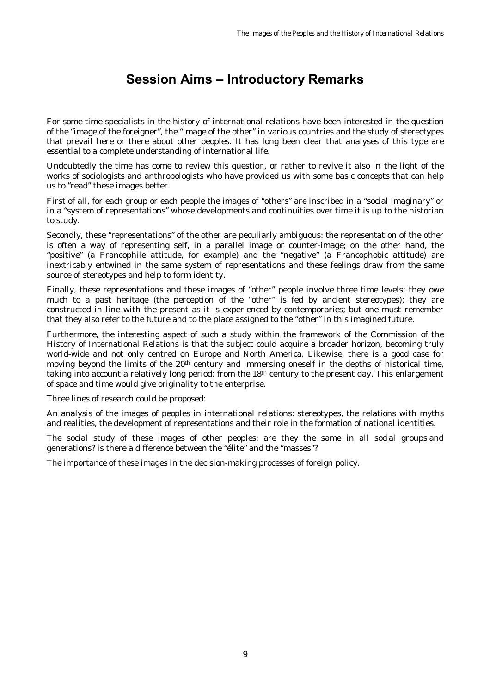## **Session Aims – Introductory Remarks**

<span id="page-8-0"></span>For some time specialists in the history of international relations have been interested in the question of the "image of the foreigner", the "image of the other" in various countries and the study of stereotypes that prevail here or there about other peoples. It has long been clear that analyses of this type are essential to a complete understanding of international life.

Undoubtedly the time has come to review this question, or rather to revive it also in the light of the works of sociologists and anthropologists who have provided us with some basic concepts that can help us to "read" these images better.

First of all, for each group or each people the images of "others" are inscribed in a "social imaginary" or in a "system of representations" whose developments and continuities over time it is up to the historian to study.

Secondly, these "representations" of the other are peculiarly ambiguous: the representation of the other is often a way of representing self, in a parallel image or counter-image; on the other hand, the "positive" (a Francophile attitude, for example) and the "negative" (a Francophobic attitude) are inextricably entwined in the same system of representations and these feelings draw from the same source of stereotypes and help to form identity.

Finally, these representations and these images of "other" people involve three time levels: they owe much to a past heritage (the perception of the "other" is fed by ancient stereotypes); they are constructed in line with the present as it is experienced by contemporaries; but one must remember that they also refer to the future and to the place assigned to the "other" in this imagined future.

Furthermore, the interesting aspect of such a study within the framework of the Commission of the History of International Relations is that the subject could acquire a broader horizon, becoming truly world-wide and not only centred on Europe and North America. Likewise, there is a good case for moving beyond the limits of the 20th century and immersing oneself in the depths of historical time, taking into account a relatively long period: from the 18th century to the present day. This enlargement of space and time would give originality to the enterprise.

Three lines of research could be proposed:

An analysis of the images of peoples in international relations: stereotypes, the relations with myths and realities, the development of representations and their role in the formation of national identities.

The social study of these images of other peoples: are they the same in all social groups and generations? is there a difference between the "élite" and the "masses"?

The importance of these images in the decision-making processes of foreign policy.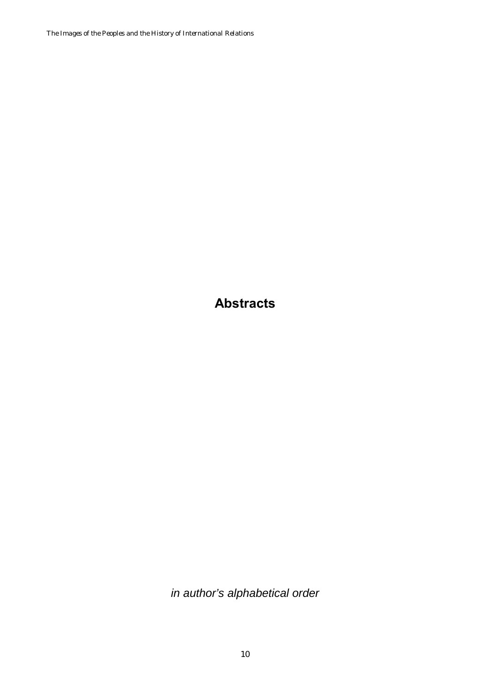<span id="page-9-0"></span>*The Images of the Peoples and the History of International Relations*

**Abstracts**

*in author's alphabetical order*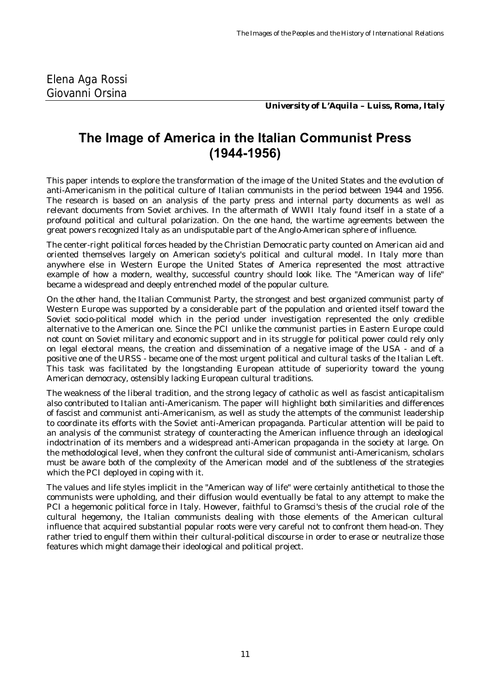*University of L'Aquila – Luiss, Roma, Italy*

### <span id="page-10-0"></span>**The Image of America in the Italian Communist Press (1944-1956)**

This paper intends to explore the transformation of the image of the United States and the evolution of anti-Americanism in the political culture of Italian communists in the period between 1944 and 1956. The research is based on an analysis of the party press and internal party documents as well as relevant documents from Soviet archives. In the aftermath of WWII Italy found itself in a state of a profound political and cultural polarization. On the one hand, the wartime agreements between the great powers recognized Italy as an undisputable part of the Anglo-American sphere of influence.

The center-right political forces headed by the Christian Democratic party counted on American aid and oriented themselves largely on American society's political and cultural model. In Italy more than anywhere else in Western Europe the United States of America represented the most attractive example of how a modern, wealthy, successful country should look like. The "American way of life" became a widespread and deeply entrenched model of the popular culture.

On the other hand, the Italian Communist Party, the strongest and best organized communist party of Western Europe was supported by a considerable part of the population and oriented itself toward the Soviet socio-political model which in the period under investigation represented the only credible alternative to the American one. Since the PCI unlike the communist parties in Eastern Europe could not count on Soviet military and economic support and in its struggle for political power could rely only on legal electoral means, the creation and dissemination of a negative image of the USA - and of a positive one of the URSS - became one of the most urgent political and cultural tasks of the Italian Left. This task was facilitated by the longstanding European attitude of superiority toward the young American democracy, ostensibly lacking European cultural traditions.

The weakness of the liberal tradition, and the strong legacy of catholic as well as fascist anticapitalism also contributed to Italian anti-Americanism. The paper will highlight both similarities and differences of fascist and communist anti-Americanism, as well as study the attempts of the communist leadership to coordinate its efforts with the Soviet anti-American propaganda. Particular attention will be paid to an analysis of the communist strategy of counteracting the American influence through an ideological indoctrination of its members and a widespread anti-American propaganda in the society at large. On the methodological level, when they confront the cultural side of communist anti-Americanism, scholars must be aware both of the complexity of the American model and of the subtleness of the strategies which the PCI deployed in coping with it.

The values and life styles implicit in the "American way of life" were certainly antithetical to those the communists were upholding, and their diffusion would eventually be fatal to any attempt to make the PCI a hegemonic political force in Italy. However, faithful to Gramsci's thesis of the crucial role of the cultural hegemony, the Italian communists dealing with those elements of the American cultural influence that acquired substantial popular roots were very careful not to confront them head-on. They rather tried to engulf them within their cultural-political discourse in order to erase or neutralize those features which might damage their ideological and political project.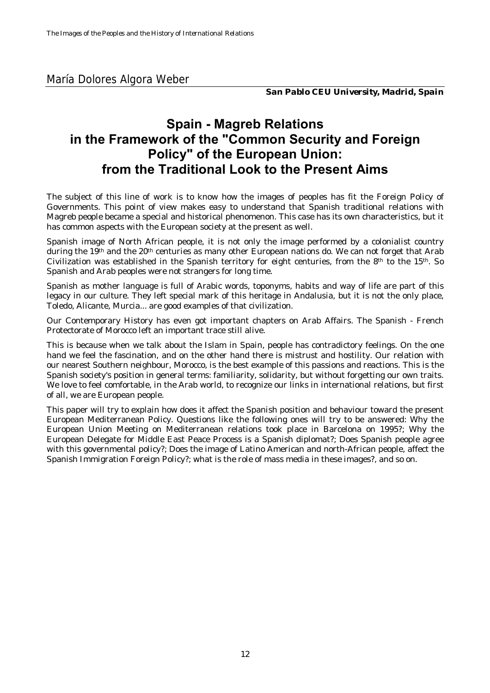*San Pablo CEU University, Madrid, Spain*

## <span id="page-11-0"></span>**Spain - Magreb Relations in the Framework of the "Common Security and Foreign Policy" of the European Union: from the Traditional Look to the Present Aims**

The subject of this line of work is to know how the images of peoples has fit the Foreign Policy of Governments. This point of view makes easy to understand that Spanish traditional relations with Magreb people became a special and historical phenomenon. This case has its own characteristics, but it has common aspects with the European society at the present as well.

Spanish image of North African people, it is not only the image performed by a colonialist country during the 19<sup>th</sup> and the 20<sup>th</sup> centuries as many other European nations do. We can not forget that Arab Civilization was established in the Spanish territory for eight centuries, from the 8<sup>th</sup> to the 15<sup>th</sup>. So Spanish and Arab peoples were not strangers for long time.

Spanish as mother language is full of Arabic words, toponyms, habits and way of life are part of this legacy in our culture. They left special mark of this heritage in Andalusia, but it is not the only place, Toledo, Alicante, Murcia... are good examples of that civilization.

Our Contemporary History has even got important chapters on Arab Affairs. The Spanish - French Protectorate of Morocco left an important trace still alive.

This is because when we talk about the Islam in Spain, people has contradictory feelings. On the one hand we feel the fascination, and on the other hand there is mistrust and hostility. Our relation with our nearest Southern neighbour, Morocco, is the best example of this passions and reactions. This is the Spanish society's position in general terms: familiarity, solidarity, but without forgetting our own traits. We love to feel comfortable, in the Arab world, to recognize our links in international relations, but first of all, we are European people.

This paper will try to explain how does it affect the Spanish position and behaviour toward the present European Mediterranean Policy. Questions like the following ones will try to be answered: Why the European Union Meeting on Mediterranean relations took place in Barcelona on 1995?; Why the European Delegate for Middle East Peace Process is a Spanish diplomat?; Does Spanish people agree with this governmental policy?; Does the image of Latino American and north-African people, affect the Spanish Immigration Foreign Policy?; what is the role of mass media in these images?, and so on.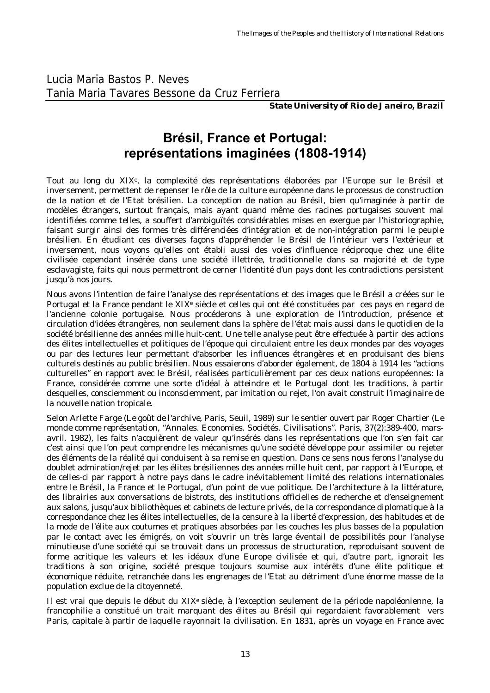<span id="page-12-0"></span>Lucia Maria Bastos P. Neves Tania Maria Tavares Bessone da Cruz Ferriera

*State University of Rio de Janeiro, Brazil*

## **Brésil, France et Portugal: représentations imaginées (1808-1914)**

Tout au long du XIXe, la complexité des représentations élaborées par l'Europe sur le Brésil et inversement, permettent de repenser le rôle de la culture européenne dans le processus de construction de la nation et de l'Etat brésilien. La conception de nation au Brésil, bien qu'imaginée à partir de modèles étrangers, surtout français, mais ayant quand même des racines portugaises souvent mal identifiées comme telles, a souffert d'ambiguïtés considérables mises en exergue par l'historiographie, faisant surgir ainsi des formes très différenciées d'intégration et de non-intégration parmi le peuple brésilien. En étudiant ces diverses façons d'appréhender le Brésil de l'intérieur vers l'extérieur et inversement, nous voyons qu'elles ont établi aussi des voies d'influence réciproque chez une élite civilisée cependant insérée dans une société illettrée, traditionnelle dans sa majorité et de type esclavagiste, faits qui nous permettront de cerner l'identité d'un pays dont les contradictions persistent jusqu'à nos jours.

Nous avons l'intention de faire l'analyse des représentations et des images que le Brésil a créées sur le Portugal et la France pendant le XIX<sup>e</sup> siècle et celles qui ont été constituées par ces pays en regard de l'ancienne colonie portugaise. Nous procéderons à une exploration de l'introduction, présence et circulation d'idées étrangères, non seulement dans la sphère de l'état mais aussi dans le quotidien de la société brésilienne des années mille huit-cent. Une telle analyse peut être effectuée à partir des actions des élites intellectuelles et politiques de l'époque qui circulaient entre les deux mondes par des voyages ou par des lectures leur permettant d'absorber les influences étrangères et en produisant des biens culturels destinés au public brésilien. Nous essaierons d'aborder également, de 1804 à 1914 les "actions culturelles" en rapport avec le Brésil, réalisées particulièrement par ces deux nations européennes: la France, considérée comme une sorte d'idéal à atteindre et le Portugal dont les traditions, à partir desquelles, consciemment ou inconsciemment, par imitation ou rejet, l'on avait construit l'imaginaire de la nouvelle nation tropicale.

Selon Arlette Farge (L*e goût de l'archive*, Paris, Seuil, 1989) sur le sentier ouvert par Roger Chartier (*Le monde comme représentation*, "Annales. Economies. Sociétés. Civilisations". Paris, 37(2):389-400, marsavril. 1982), les faits n'acquièrent de valeur qu'insérés dans les représentations que l'on s'en fait car c'est ainsi que l'on peut comprendre les mécanismes qu'une société développe pour assimiler ou rejeter des éléments de la réalité qui conduisent à sa remise en question. Dans ce sens nous ferons l'analyse du doublet admiration/rejet par les élites brésiliennes des années mille huit cent, par rapport à l'Europe, et de celles-ci par rapport à notre pays dans le cadre inévitablement limité des relations internationales entre le Brésil, la France et le Portugal, d'un point de vue politique. De l'architecture à la littérature, des librairies aux conversations de bistrots, des institutions officielles de recherche et d'enseignement aux salons, jusqu'aux bibliothèques et cabinets de lecture privés, de la correspondance diplomatique à la correspondance chez les élites intellectuelles, de la censure à la liberté d'expression, des habitudes et de la mode de l'élite aux coutumes et pratiques absorbées par les couches les plus basses de la population par le contact avec les émigrés, on voit s'ouvrir un très large éventail de possibilités pour l'analyse minutieuse d'une société qui se trouvait dans un processus de structuration, reproduisant souvent de forme acritique les valeurs et les idéaux d'une Europe civilisée et qui, d'autre part, ignorait les traditions à son origine, société presque toujours soumise aux intérêts d'une élite politique et économique réduite, retranchée dans les engrenages de l'Etat au détriment d'une énorme masse de la population exclue de la citoyenneté.

Il est vrai que depuis le début du XIXe siècle, à l'exception seulement de la période napoléonienne, la francophilie a constitué un trait marquant des élites au Brésil qui regardaient favorablement vers Paris, capitale à partir de laquelle rayonnait la civilisation. En 1831, après un voyage en France avec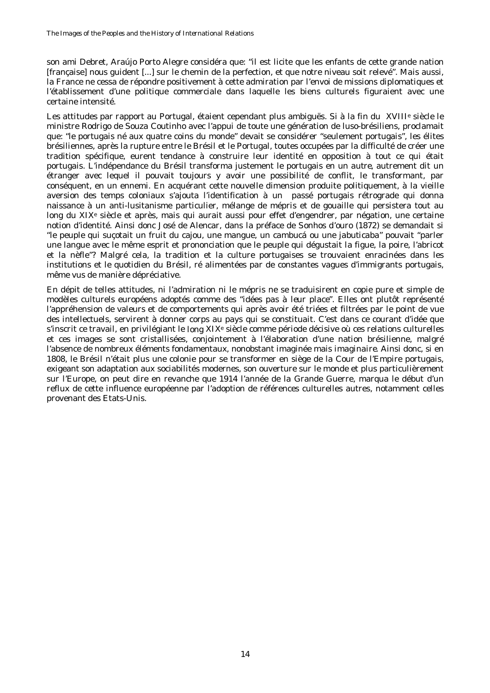son ami Debret, Araújo Porto Alegre considéra que: "il est licite que les enfants de cette grande nation [française] nous guident [...] sur le chemin de la perfection, et que notre niveau soit relevé". Mais aussi, la France ne cessa de répondre positivement à cette admiration par l'envoi de missions diplomatiques et l'établissement d'une politique commerciale dans laquelle les biens culturels figuraient avec une certaine intensité.

Les attitudes par rapport au Portugal, étaient cependant plus ambiguës. Si à la fin du XVIIIe siècle le ministre Rodrigo de Souza Coutinho avec l'appui de toute une génération de luso-brésiliens, proclamait que: "le portugais né aux quatre coins du monde" devait se considérer "seulement portugais", les élites brésiliennes, après la rupture entre le Brésil et le Portugal, toutes occupées par la difficulté de créer une tradition spécifique, eurent tendance à construire leur identité en opposition à tout ce qui était portugais. L'indépendance du Brésil transforma justement le portugais en un *autre*, autrement dit un étranger avec lequel il pouvait toujours y avoir une possibilité de conflit, le transformant, par conséquent, en un ennemi. En acquérant cette nouvelle dimension produite politiquement, à la vieille aversion des temps coloniaux s'ajouta l'identification à un passé portugais rétrograde qui donna naissance à un anti-lusitanisme particulier, mélange de mépris et de gouaille qui persistera tout au long du XIXe siècle et après, mais qui aurait aussi pour effet d'engendrer, par négation, une certaine notion d'identité. Ainsi donc José de Alencar, dans la préface de *Sonhos d'ouro* (1872) se demandait si "le peuple qui suçotait un fruit du cajou, une mangue, un *cambucá* ou une *jabuticaba*" pouvait "parler une langue avec le même esprit et prononciation que le peuple qui dégustait la figue, la poire, l'abricot et la nèfle"? Malgré cela, la tradition et la culture portugaises se trouvaient enracinées dans les institutions et le quotidien du Brésil, ré alimentées par de constantes vagues d'immigrants portugais, même vus de manière dépréciative.

En dépit de telles attitudes, ni l'admiration ni le mépris ne se traduisirent en copie pure et simple de modèles culturels européens adoptés comme des "idées *pas à leur place*". Elles ont plutôt représenté l'appréhension de valeurs et de comportements qui après avoir été triées et filtrées par le point de vue des intellectuels, servirent à donner corps au pays qui se constituait. C'est dans ce courant d'idée que s'inscrit ce travail, en privilégiant le *long* XIXe siècle comme période décisive où ces relations culturelles et ces images se sont cristallisées, conjointement à l'élaboration d'une nation brésilienne, malgré l'absence de nombreux éléments fondamentaux, nonobstant imaginée mais *imaginaire*. Ainsi donc, si en 1808, le Brésil n'était plus une colonie pour se transformer en siège de la Cour de l'Empire portugais, exigeant son adaptation aux sociabilités modernes, son ouverture sur le monde et plus particulièrement sur l'Europe, on peut dire en revanche que 1914 l'année de la Grande Guerre, marqua le début d'un reflux de cette influence européenne par l'adoption de références culturelles autres, notamment celles provenant des Etats-Unis.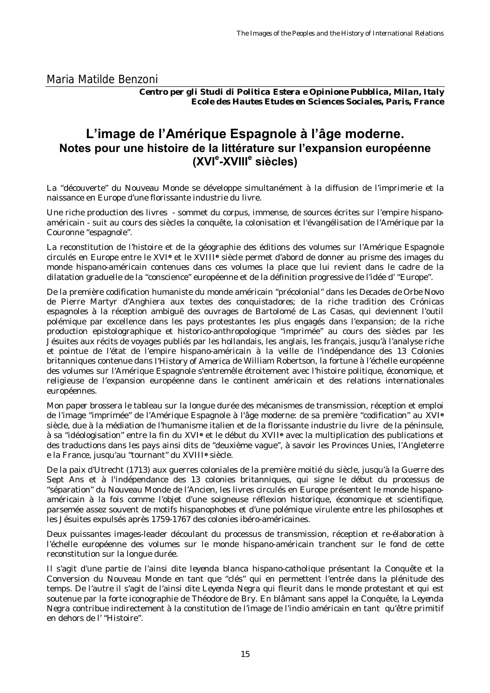<span id="page-14-0"></span>Maria Matilde Benzoni

*Centro per gli Studi di Politica Estera e Opinione Pubblica, Milan, Italy Ecole des Hautes Etudes en Sciences Sociales, Paris, France*

### **L'image de l'Amérique Espagnole à l'âge moderne. Notes pour une histoire de la littérature sur l'expansion européenne (XVI<sup>e</sup> -XVIII<sup>e</sup> siècles)**

La "découverte" du Nouveau Monde se développe simultanément à la diffusion de l'imprimerie et la naissance en Europe d'une florissante industrie du livre.

Une riche production des livres - sommet du *corpus*, immense, de sources écrites sur l'empire hispanoaméricain - suit au cours des siècles la conquête, la colonisation et l'évangélisation de l'Amérique par la Couronne "espagnole".

La reconstitution de l'histoire et de la géographie des éditions des volumes sur l'Amérique Espagnole circulés en Europe entre le XVI**e** et le XVIII**e** siècle permet d'abord de donner au prisme des images du monde hispano-américain contenues dans ces volumes la place que lui revient dans le cadre de la dilatation graduelle de la "conscience" européenne et de la définition progressive de l'idée d' "Europe".

De la première codification humaniste du monde américain "précolonial" dans les *Decades de Orbe Novo* de Pierre Martyr d'Anghiera aux textes des *conquistadores*; de la riche tradition des *Crónicas* espagnoles à la réception ambiguë des ouvrages de Bartolomé de Las Casas, qui deviennent l'outil polémique par excellence dans les pays protestantes les plus engagés dans l'expansion; de la riche production epistolographique et historico-anthropologique "imprimée" au cours des siècles par les Jésuites aux récits de voyages publiés par les hollandais, les anglais, les français, jusqu'à l'analyse riche et pointue de l'état de l'empire hispano-américain à la veille de l'indépendance des 13 Colonies britanniques contenue dans *l'History of America* de William Robertson, la fortune à l'échelle européenne des volumes sur l'Amérique Espagnole s'entremêle étroitement avec l'histoire politique, économique, et religieuse de l'expansion européenne dans le continent américain et des relations internationales européennes.

Mon *paper* brossera le tableau sur la longue durée des mécanismes de transmission, réception et emploi de l'image "imprimée" de l'Amérique Espagnole à l'âge moderne: de sa première "codification" au XVI**<sup>e</sup>** siècle, due à la médiation de l'humanisme italien et de la florissante industrie du livre de la péninsule, à sa "idéologisation" entre la fin du XVI**e** et le début du XVII**e** avec la multiplication des publications et des traductions dans les pays ainsi dits de "deuxième vague", à savoir les Provinces Unies, l'Angleterre e la France, jusqu'au "tournant" du XVIII**e** siècle.

De la paix d'Utrecht (1713) aux guerres coloniales de la première moitié du siècle, jusqu'à la Guerre des Sept Ans et à l'indépendance des 13 colonies britanniques, qui signe le début du processus de "séparation" du Nouveau Monde de l'Ancien, les livres circulés en Europe présentent le monde hispanoaméricain à la fois comme l'objet d'une soigneuse réflexion historique, économique et scientifique, parsemée assez souvent de motifs hispanophobes et d'une polémique virulente entre les philosophes et les Jésuites expulsés après 1759-1767 des colonies ibéro-américaines.

Deux puissantes images-leader découlant du processus de transmission, réception et re-élaboration à l'échelle européenne des volumes sur le monde hispano-américain tranchent sur le fond de cette reconstitution sur la longue durée.

Il s'agit d'une partie de l'ainsi dite *leyenda blanca* hispano-catholique présentant la Conquête et la Conversion du Nouveau Monde en tant que "clés" qui en permettent l'entrée dans la plénitude des temps. De l'autre il s'agit de l'ainsi dite *Leyenda Negra* qui fleurit dans le monde protestant et qui est soutenue par la forte iconographie de Théodore de Bry. En blâmant sans appel la Conquête, la *Leyenda Negra* contribue indirectement à la constitution de l'image de l'*indio* américain en tant qu'être primitif en dehors de l' "Histoire".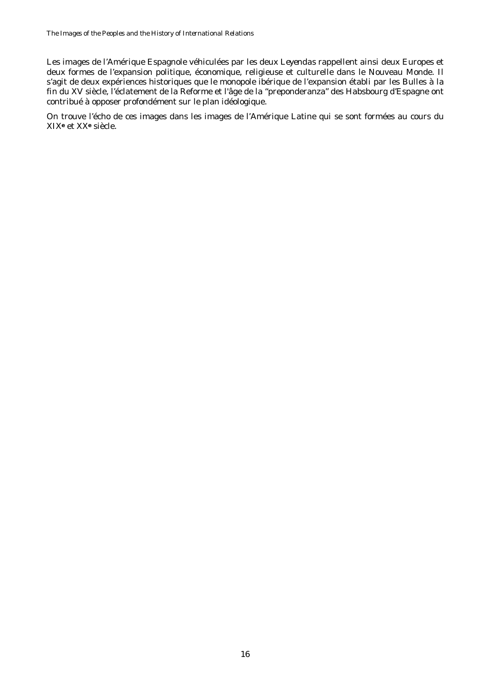Les images de l'Amérique Espagnole véhiculées par les deux *Leyendas* rappellent ainsi deux Europes et deux formes de l'expansion politique, économique, religieuse et culturelle dans le Nouveau Monde. Il s'agit de deux expériences historiques que le monopole ibérique de l'expansion établi par les Bulles à la fin du XV siècle, l'éclatement de la Reforme et l'âge de la "preponderanza" des Habsbourg d'Espagne ont contribué à opposer profondément sur le plan idéologique.

On trouve l'écho de ces images dans les images de l'Amérique Latine qui se sont formées au cours du XIX**e** et XX**e** siècle.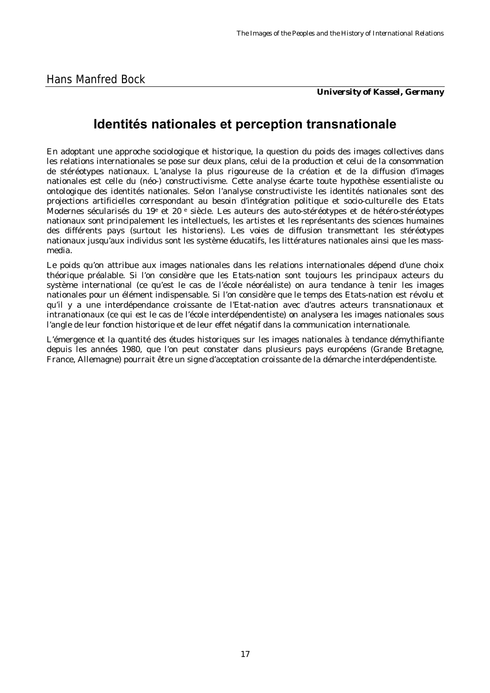*University of Kassel, Germany*

## <span id="page-16-0"></span>**Identités nationales et perception transnationale**

En adoptant une approche sociologique et historique, la question du poids des images collectives dans les relations internationales se pose sur deux plans, celui de la production et celui de la consommation de stéréotypes nationaux. L'analyse la plus rigoureuse de la création et de la diffusion d'images nationales est celle du (néo-) constructivisme. Cette analyse écarte toute hypothèse essentialiste ou ontologique des identités nationales. Selon l'analyse constructiviste les identités nationales sont des projections artificielles correspondant au besoin d'intégration politique et socio-culturelle des Etats Modernes sécularisés du 19e et 20 e siècle. Les auteurs des auto-stéréotypes et de hétéro-stéréotypes nationaux sont principalement les intellectuels, les artistes et les représentants des sciences humaines des différents pays (surtout les historiens). Les voies de diffusion transmettant les stéréotypes nationaux jusqu'aux individus sont les système éducatifs, les littératures nationales ainsi que les massmedia.

Le poids qu'on attribue aux images nationales dans les relations internationales dépend d'une choix théorique préalable. Si l'on considère que les Etats-nation sont toujours les principaux acteurs du système international (ce qu'est le cas de l'école néoréaliste) on aura tendance à tenir les images nationales pour un élément indispensable. Si l'on considère que le temps des Etats-nation est révolu et qu'il y a une interdépendance croissante de l'Etat-nation avec d'autres acteurs transnationaux et intranationaux (ce qui est le cas de l'école interdépendentiste) on analysera les images nationales sous l'angle de leur fonction historique et de leur effet négatif dans la communication internationale.

L'émergence et la quantité des études historiques sur les images nationales à tendance démythifiante depuis les années 1980, que l'on peut constater dans plusieurs pays européens (Grande Bretagne, France, Allemagne) pourrait être un signe d'acceptation croissante de la démarche interdépendentiste.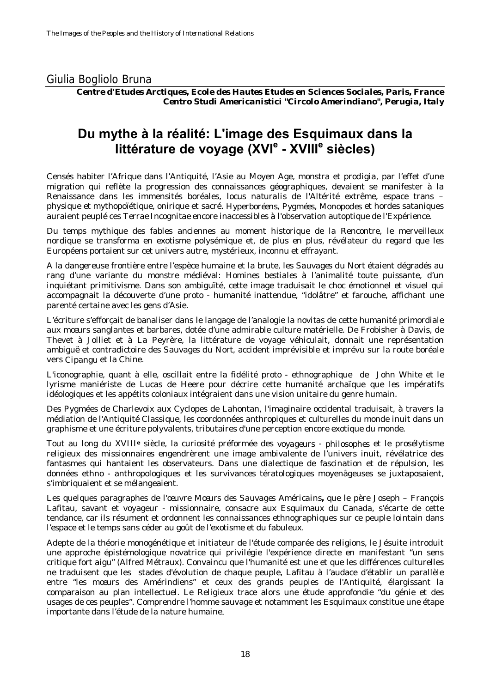### <span id="page-17-0"></span>Giulia Bogliolo Bruna

*Centre d'Etudes Arctiques, Ecole des Hautes Etudes en Sciences Sociales, Paris, France Centro Studi Americanistici "Circolo Amerindiano", Perugia, Italy*

### **Du mythe à la réalité: L'image des Esquimaux dans la littérature de voyage (XVIe - XVIII<sup>e</sup> siècles)**

Censés habiter l'Afrique dans l'Antiquité, l'Asie au Moyen Age, *monstra* et *prodigia*, par l'effet d'une migration qui reflète la progression des connaissances géographiques, devaient se manifester à la Renaissance dans les immensités boréales, *locus naturalis* de l'Altérité extrême, espace trans – physique et mythopoïétique, onirique et sacré. *Hyperboréens*, *Pygmées*, *Monopodes* et hordes sataniques auraient peuplé ces *Terrae Incognitae* encore inaccessibles à l'observation autoptique de l'Expérience.

Du temps mythique des fables anciennes au moment historique de la Rencontre, le merveilleux nordique se transforma en exotisme polysémique et, de plus en plus, révélateur du regard que les Européens portaient sur cet univers autre, mystérieux, inconnu et effrayant.

A la dangereuse frontière entre l'espèce humaine et la brute, les *Sauvages du Nort* étaient dégradés au rang d'une variante du monstre médiéval: *Homines bestiales* à l'animalité toute puissante, d'un inquiétant primitivisme. Dans son ambiguïté, cette image traduisait le choc émotionnel et visuel qui accompagnait la découverte d'une proto - humanité inattendue, "idolâtre" et farouche, affichant une parenté certaine avec les gens d'Asie.

L'écriture s'efforçait de banaliser dans le langage de l'analogie la *novitas* de cette humanité primordiale aux mœurs sanglantes et barbares, dotée d'une admirable culture matérielle. De Frobisher à Davis, de Thevet à Jolliet et à La Peyrère, la littérature de voyage véhiculait, donnait une représentation ambiguë et contradictoire des *Sauvages du Nort*, accident imprévisible et imprévu sur la route boréale vers *Cipangu* et la Chine.

L'iconographie, quant à elle, oscillait entre la fidélité proto - ethnographique de John White et le lyrisme maniériste de Lucas de Heere pour décrire cette humanité archaïque que les impératifs idéologiques et les appétits coloniaux intégraient dans une vision unitaire du genre humain.

Des Pygmées de Charlevoix aux Cyclopes de Lahontan, l'imaginaire occidental traduisait, à travers la médiation de l'Antiquité Classique, les coordonnées anthropiques et culturelles du monde inuit dans un graphisme et une écriture polyvalents, tributaires d'une perception encore exotique du monde.

Tout au long du XVIII**e** siècle, la curiosité préformée des *voyageurs* - *philosophes* et le prosélytisme religieux des missionnaires engendrèrent une image ambivalente de l'univers inuit, révélatrice des fantasmes qui hantaient les observateurs. Dans une dialectique de fascination et de répulsion, les données ethno - anthropologiques et les survivances tératologiques moyenâgeuses se juxtaposaient, s'imbriquaient et se mélangeaient.

Les quelques paragraphes de l'œuvre *Mœurs des Sauvages Américains***,** que le père Joseph – François Lafitau, savant et voyageur - missionnaire, consacre aux Esquimaux du Canada, s'écarte de cette tendance, car ils résument et ordonnent les connaissances ethnographiques sur ce peuple lointain dans l'espace et le temps sans céder au goût de l'exotisme et du fabuleux.

Adepte de la théorie monogénétique et initiateur de l'étude comparée des religions, le Jésuite introduit une approche épistémologique novatrice qui privilégie l'expérience directe en manifestant "un sens critique fort aigu" (Alfred Métraux). Convaincu que l'humanité est une et que les différences culturelles ne traduisent que les stades d'évolution de chaque peuple, Lafitau à l'audace d'établir un parallèle entre "les mœurs des Amérindiens" et ceux des grands peuples de l'Antiquité, élargissant la comparaison au plan intellectuel. Le Religieux trace alors une étude approfondie "du génie et des usages de ces peuples". Comprendre l'homme sauvage et notamment les Esquimaux constitue une étape importante dans l'étude de la nature humaine*.*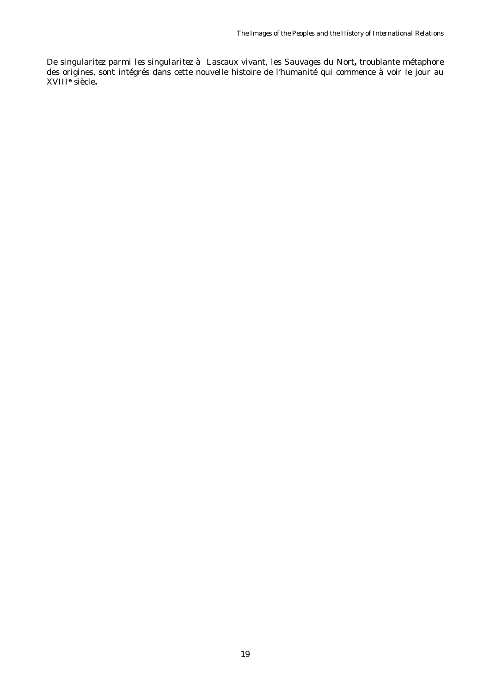De *singularitez parmi les singularitez* à Lascaux vivant, les *Sauvages du Nort***,** troublante métaphore des origines, sont intégrés dans cette nouvelle histoire de l'humanité qui commence à voir le jour au XVIII**e** siècle**.**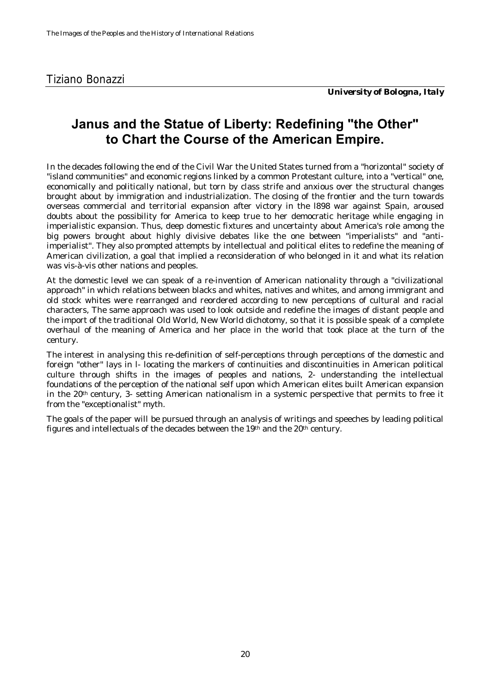## <span id="page-19-0"></span>**Janus and the Statue of Liberty: Redefining "the Other" to Chart the Course of the American Empire.**

In the decades following the end of the Civil War the United States turned from a "horizontal" society of "island communities" and economic regions linked by a common Protestant culture, into a "vertical" one, economically and politically national, but torn by class strife and anxious over the structural changes brought about by immigration and industrialization. The closing of the frontier and the turn towards overseas commercial and territorial expansion after victory in the l898 war against Spain, aroused doubts about the possibility for America to keep true to her democratic heritage while engaging in imperialistic expansion. Thus, deep domestic fixtures and uncertainty about America's role among the big powers brought about highly divisive debates like the one between "imperialists" and "antiimperialist". They also prompted attempts by intellectual and political elites to redefine the meaning of American civilization, a goal that implied a reconsideration of who belonged in it and what its relation was vis-à-vis other nations and peoples.

At the domestic level we can speak of a re-invention of American nationality through a "civilizational approach" in which relations between blacks and whites, natives and whites, and among immigrant and old stock whites were rearranged and reordered according to new perceptions of cultural and racial characters, The same approach was used to look outside and redefine the images of distant people and the import of the traditional Old World, New World dichotomy, so that it is possible speak of a complete overhaul of the meaning of America and her place in the world that took place at the turn of the century.

The interest in analysing this re-definition of self-perceptions through perceptions of the domestic and foreign "other" lays in l- locating the markers of continuities and discontinuities in American political culture through shifts in the images of peoples and nations, 2- understanding the intellectual foundations of the perception of the national self upon which American elites built American expansion in the 20th century, 3- setting American nationalism in a systemic perspective that permits to free it from the "exceptionalist" myth.

The goals of the paper will be pursued through an analysis of writings and speeches by leading political figures and intellectuals of the decades between the 19th and the 20th century.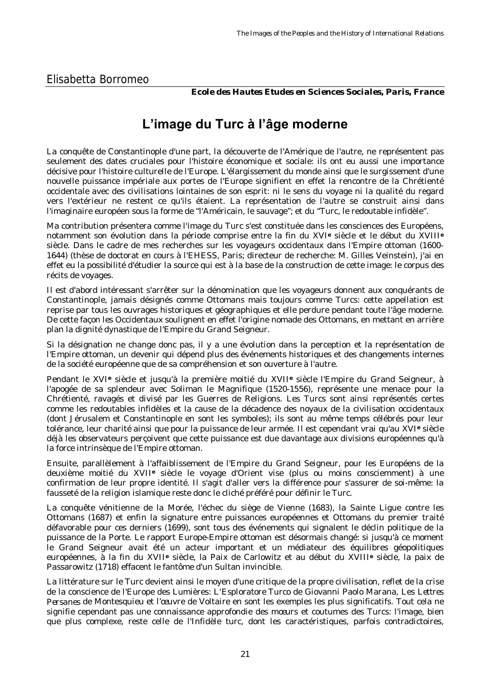*Ecole des Hautes Etudes en Sciences Sociales, Paris, France*

## **L'image du Turc à l'âge moderne**

<span id="page-20-0"></span>La conquête de Constantinople d'une part, la découverte de l'Amérique de l'autre, ne représentent pas seulement des dates cruciales pour l'histoire économique et sociale: ils ont eu aussi une importance décisive pour l'histoire culturelle de l'Europe. L'élargissement du monde ainsi que le surgissement d'une nouvelle puissance impériale aux portes de l'Europe signifient en effet la rencontre de la Chrétienté occidentale avec des civilisations lointaines de son esprit: ni le sens du voyage ni la qualité du regard vers l'extérieur ne restent ce qu'ils étaient. La représentation de l'autre se construit ainsi dans l'imaginaire européen sous la forme de "l'Américain, le sauvage"; et du "Turc, le redoutable infidèle".

Ma contribution présentera comme l'image du Turc s'est constituée dans les consciences des Européens, notamment son évolution dans la période comprise entre la fin du XVI**e** siècle et le début du XVIII**<sup>e</sup>** siècle. Dans le cadre de mes recherches sur les voyageurs occidentaux dans l'Empire ottoman (1600- 1644) (thèse de doctorat en cours à l'EHESS, Paris; directeur de recherche: M. Gilles Veinstein), j'ai en effet eu la possibilité d'étudier la source qui est à la base de la construction de cette image: le corpus des récits de voyages.

Il est d'abord intéressant s'arrêter sur la dénomination que les voyageurs donnent aux conquérants de Constantinople, jamais désignés comme Ottomans mais toujours comme Turcs: cette appellation est reprise par tous les ouvrages historiques et géographiques et elle perdure pendant toute l'âge moderne. De cette façon les Occidentaux soulignent en effet l'origine nomade des Ottomans, en mettant en arrière plan la dignité dynastique de l'Empire du Grand Seigneur.

Si la désignation ne change donc pas, il y a une évolution dans la perception et la représentation de l'Empire ottoman, un devenir qui dépend plus des événements historiques et des changements internes de la société européenne que de sa compréhension et son ouverture à l'autre.

Pendant le XVI**e** siècle et jusqu'à la première moitié du XVII**e** siècle l'Empire du Grand Seigneur, à l'apogée de sa splendeur avec Soliman le Magnifique (1520-1556), représente une menace pour la Chrétienté, ravagés et divisé par les Guerres de Religions. Les Turcs sont ainsi représentés certes comme les redoutables infidèles et la cause de la décadence des noyaux de la civilisation occidentaux (dont Jérusalem et Constantinople en sont les symboles); ils sont au même temps célébrés pour leur tolérance, leur charité ainsi que pour la puissance de leur armée. Il est cependant vrai qu'au XVI**e** siècle déjà les observateurs perçoivent que cette puissance est due davantage aux divisions européennes qu'à la force intrinsèque de l'Empire ottoman.

Ensuite, parallèlement à l'affaiblissement de l'Empire du Grand Seigneur, pour les Européens de la deuxième moitié du XVII**e** siècle le voyage d'Orient vise (plus ou moins consciemment) à une confirmation de leur propre identité. Il s'agit d'aller vers la différence pour s'assurer de soi-même: la fausseté de la religion islamique reste donc le cliché préféré pour définir le Turc.

La conquête vénitienne de la Morée, l'échec du siège de Vienne (1683), la Sainte Ligue contre les Ottomans (1687) et enfin la signature entre puissances européennes et Ottomans du premier traité défavorable pour ces derniers (1699), sont tous des événements qui signalent le déclin politique de la puissance de la Porte. Le rapport Europe-Empire ottoman est désormais changé: si jusqu'à ce moment le Grand Seigneur avait été un acteur important et un médiateur des équilibres géopolitiques européennes, à la fin du XVII**e** siècle, la Paix de Carlowitz et au début du XVIII**e** siècle, la paix de Passarowitz (1718) effacent le fantôme d'un Sultan invincible.

La littérature sur le Turc devient ainsi le moyen d'une critique de la propre civilisation, reflet de la crise de la conscience de l'Europe des Lumières: *L'Esploratore Turco* de Giovanni Paolo Marana, Les *Lettres Persanes* de Montesquieu et l'œuvre de Voltaire en sont les exemples les plus significatifs. Tout cela ne signifie cependant pas une connaissance approfondie des mœurs et coutumes des Turcs: l'image, bien que plus complexe, reste celle de l'Infidèle turc, dont les caractéristiques, parfois contradictoires,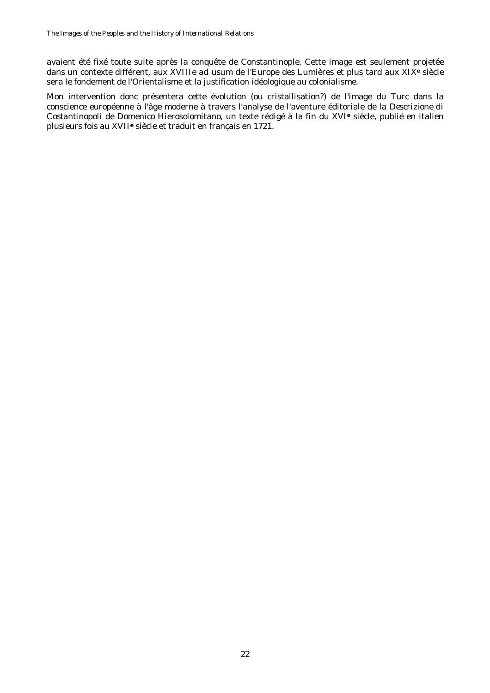avaient été fixé toute suite après la conquête de Constantinople. Cette image est seulement projetée dans un contexte différent, aux XVIIIe *ad usum* de l'Europe des Lumières et plus tard aux XIX**e** siècle sera le fondement de l'Orientalisme et la justification idéologique au colonialisme.

Mon intervention donc présentera cette évolution (ou cristallisation?) de l'image du Turc dans la conscience européenne à l'âge moderne à travers l'analyse de l'aventure éditoriale de la *Descrizione di Costantinopoli* de Domenico Hierosolomitano, un texte rédigé à la fin du XVI**e** siècle, publié en italien plusieurs fois au XVII**e** siècle et traduit en français en 1721.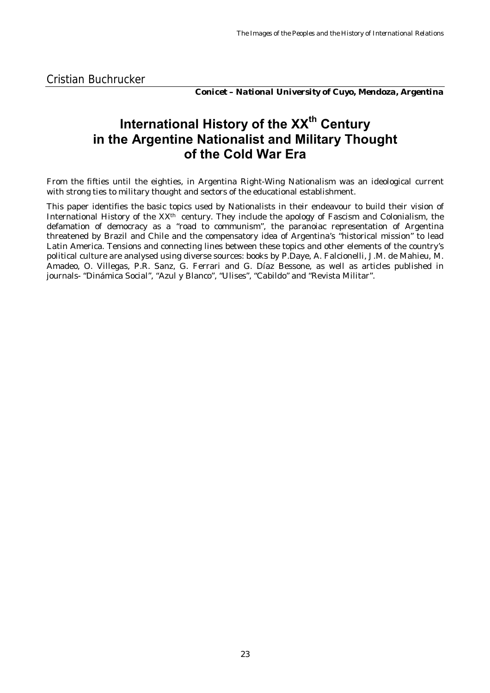*Conicet – National University of Cuyo, Mendoza, Argentina*

## <span id="page-22-0"></span>**International History of the XXth Century in the Argentine Nationalist and Military Thought of the Cold War Era**

From the fifties until the eighties, in Argentina Right-Wing Nationalism was an ideological current with strong ties to military thought and sectors of the educational establishment.

This paper identifies the basic topics used by Nationalists in their endeavour to build their vision of International History of the XX<sup>th</sup> century. They include the apology of Fascism and Colonialism, the defamation of democracy as a "road to communism", the paranoiac representation of Argentina threatened by Brazil and Chile and the compensatory idea of Argentina's "historical mission" to lead Latin America. Tensions and connecting lines between these topics and other elements of the country's political culture are analysed using diverse sources: books by P.Daye, A. Falcionelli, J.M. de Mahieu, M. Amadeo, O. Villegas, P.R. Sanz, G. Ferrari and G. Díaz Bessone, as well as articles published in journals- "Dinámica Social", "Azul y Blanco", "Ulises", "Cabildo" and "Revista Militar".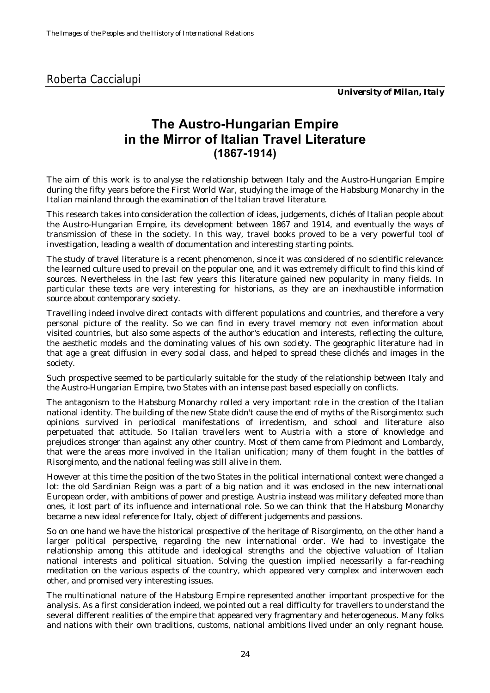### <span id="page-23-0"></span>Roberta Caccialupi

*University of Milan, Italy*

### **The Austro-Hungarian Empire in the Mirror of Italian Travel Literature (1867-1914)**

The aim of this work is to analyse the relationship between Italy and the Austro-Hungarian Empire during the fifty years before the First World War, studying the image of the Habsburg Monarchy in the Italian mainland through the examination of the Italian travel literature.

This research takes into consideration the collection of ideas, judgements, clichés of Italian people about the Austro-Hungarian Empire, its development between 1867 and 1914, and eventually the ways of transmission of these in the society. In this way, travel books proved to be a very powerful tool of investigation, leading a wealth of documentation and interesting starting points.

The study of travel literature is a recent phenomenon, since it was considered of no scientific relevance: the learned culture used to prevail on the popular one, and it was extremely difficult to find this kind of sources. Nevertheless in the last few years this literature gained new popularity in many fields. In particular these texts are very interesting for historians, as they are an inexhaustible information source about contemporary society.

Travelling indeed involve direct contacts with different populations and countries, and therefore a very personal picture of the reality. So we can find in every travel memory not even information about visited countries, but also some aspects of the author's education and interests, reflecting the culture, the aesthetic models and the dominating values of his own society. The geographic literature had in that age a great diffusion in every social class, and helped to spread these clichés and images in the society.

Such prospective seemed to be particularly suitable for the study of the relationship between Italy and the Austro-Hungarian Empire, two States with an intense past based especially on conflicts.

The antagonism to the Habsburg Monarchy rolled a very important role in the creation of the Italian national identity. The building of the new State didn't cause the end of myths of the *Risorgimento*: such opinions survived in periodical manifestations of irredentism, and school and literature also perpetuated that attitude. So Italian travellers went to Austria with a store of knowledge and prejudices stronger than against any other country. Most of them came from Piedmont and Lombardy, that were the areas more involved in the Italian unification; many of them fought in the battles of *Risorgimento*, and the national feeling was still alive in them.

However at this time the position of the two States in the political international context were changed a lot: the old Sardinian Reign was a part of a big nation and it was enclosed in the new international European order, with ambitions of power and prestige. Austria instead was military defeated more than ones, it lost part of its influence and international role. So we can think that the Habsburg Monarchy became a new ideal reference for Italy, object of different judgements and passions.

So on one hand we have the historical prospective of the heritage of *Risorgimento*, on the other hand a larger political perspective, regarding the new international order. We had to investigate the relationship among this attitude and ideological strengths and the objective valuation of Italian national interests and political situation. Solving the question implied necessarily a far-reaching meditation on the various aspects of the country, which appeared very complex and interwoven each other, and promised very interesting issues.

The multinational nature of the Habsburg Empire represented another important prospective for the analysis. As a first consideration indeed, we pointed out a real difficulty for travellers to understand the several different realities of the empire that appeared very fragmentary and heterogeneous. Many folks and nations with their own traditions, customs, national ambitions lived under an only regnant house.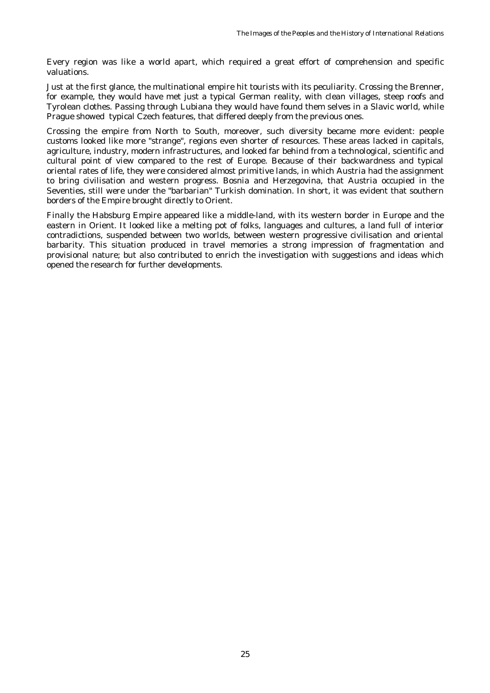Every region was like a world apart, which required a great effort of comprehension and specific valuations.

Just at the first glance, the multinational empire hit tourists with its peculiarity. Crossing the Brenner, for example, they would have met just a typical German reality, with clean villages, steep roofs and Tyrolean clothes. Passing through Lubiana they would have found them selves in a Slavic world, while Prague showed typical Czech features, that differed deeply from the previous ones.

Crossing the empire from North to South, moreover, such diversity became more evident: people customs looked like more "strange", regions even shorter of resources. These areas lacked in capitals, agriculture, industry, modern infrastructures, and looked far behind from a technological, scientific and cultural point of view compared to the rest of Europe. Because of their backwardness and typical oriental rates of life, they were considered almost primitive lands, in which Austria had the assignment to bring civilisation and western progress. Bosnia and Herzegovina, that Austria occupied in the Seventies, still were under the "barbarian" Turkish domination. In short, it was evident that southern borders of the Empire brought directly to Orient.

Finally the Habsburg Empire appeared like a middle-land, with its western border in Europe and the eastern in Orient. It looked like a melting pot of folks, languages and cultures, a land full of interior contradictions, suspended between two worlds, between western progressive civilisation and oriental barbarity. This situation produced in travel memories a strong impression of fragmentation and provisional nature; but also contributed to enrich the investigation with suggestions and ideas which opened the research for further developments.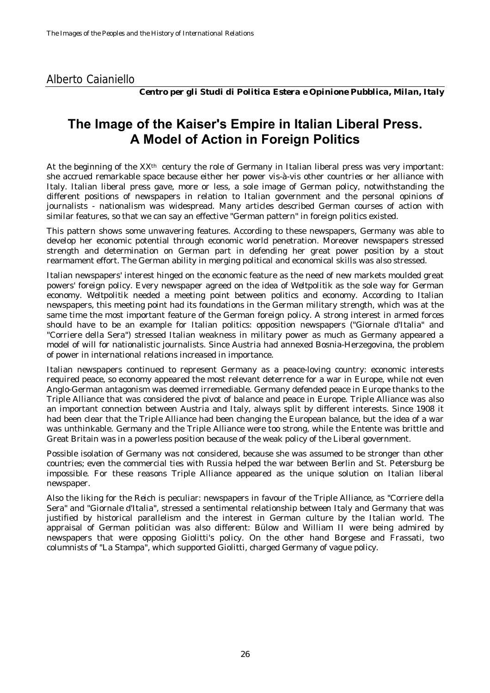### <span id="page-25-0"></span>Alberto Caianiello

*Centro per gli Studi di Politica Estera e Opinione Pubblica, Milan, Italy*

### **The Image of the Kaiser's Empire in Italian Liberal Press. A Model of Action in Foreign Politics**

At the beginning of the XXth century the role of Germany in Italian liberal press was very important: she accrued remarkable space because either her power vis-à-vis other countries or her alliance with Italy. Italian liberal press gave, more or less, a sole image of German policy, notwithstanding the different positions of newspapers in relation to Italian government and the personal opinions of journalists - nationalism was widespread. Many articles described German courses of action with similar features, so that we can say an effective "German pattern" in foreign politics existed.

This pattern shows some unwavering features. According to these newspapers, Germany was able to develop her economic potential through economic world penetration. Moreover newspapers stressed strength and determination on German part in defending her great power position by a stout rearmament effort. The German ability in merging political and economical skills was also stressed.

Italian newspapers' interest hinged on the economic feature as the need of new markets moulded great powers' foreign policy. Every newspaper agreed on the idea of *Weltpolitik* as the sole way for German economy. *Weltpolitik* needed a meeting point between politics and economy. According to Italian newspapers, this meeting point had its foundations in the German military strength, which was at the same time the most important feature of the German foreign policy. A strong interest in armed forces should have to be an example for Italian politics: opposition newspapers ("Giornale d'Italia" and "Corriere della Sera") stressed Italian weakness in military power as much as Germany appeared a model of will for nationalistic journalists. Since Austria had annexed Bosnia-Herzegovina, the problem of power in international relations increased in importance.

Italian newspapers continued to represent Germany as a peace-loving country: economic interests required peace, so economy appeared the most relevant deterrence for a war in Europe, while not even Anglo-German antagonism was deemed irremediable. Germany defended peace in Europe thanks to the Triple Alliance that was considered the pivot of balance and peace in Europe. Triple Alliance was also an important connection between Austria and Italy, always split by different interests. Since 1908 it had been clear that the Triple Alliance had been changing the European balance, but the idea of a war was unthinkable. Germany and the Triple Alliance were too strong, while the Entente was brittle and Great Britain was in a powerless position because of the weak policy of the Liberal government.

Possible isolation of Germany was not considered, because she was assumed to be stronger than other countries; even the commercial ties with Russia helped the war between Berlin and St. Petersburg be impossible. For these reasons Triple Alliance appeared as the unique solution on Italian liberal newspaper.

Also the liking for the *Reich* is peculiar: newspapers in favour of the Triple Alliance, as "Corriere della Sera" and "Giornale d'Italia", stressed a sentimental relationship between Italy and Germany that was justified by historical parallelism and the interest in German culture by the Italian world. The appraisal of German politician was also different: Bülow and William II were being admired by newspapers that were opposing Giolitti's policy. On the other hand Borgese and Frassati, two columnists of "La Stampa", which supported Giolitti, charged Germany of vague policy.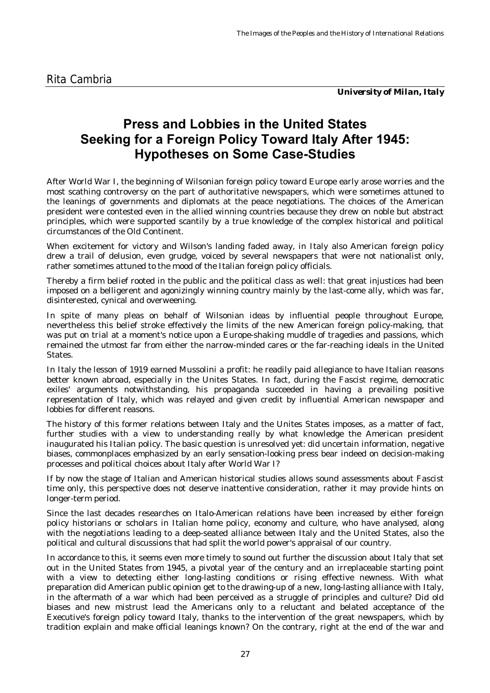*University of Milan, Italy*

## <span id="page-26-0"></span>**Press and Lobbies in the United States Seeking for a Foreign Policy Toward Italy After 1945: Hypotheses on Some Case-Studies**

After World War I, the beginning of Wilsonian foreign policy toward Europe early arose worries and the most scathing controversy on the part of authoritative newspapers, which were sometimes attuned to the leanings of governments and diplomats at the peace negotiations. The choices of the American president were contested even in the allied winning countries because they drew on noble but abstract principles, which were supported scantily by a true knowledge of the complex historical and political circumstances of the Old Continent.

When excitement for victory and Wilson's landing faded away, in Italy also American foreign policy drew a trail of delusion, even grudge, voiced by several newspapers that were not nationalist only, rather sometimes attuned to the mood of the Italian foreign policy officials.

Thereby a firm belief rooted in the public and the political class as well: that great injustices had been imposed on a belligerent and agonizingly winning country mainly by the last-come ally, which was far, disinterested, cynical and overweening.

In spite of many pleas on behalf of Wilsonian ideas by influential people throughout Europe, nevertheless this belief stroke effectively the limits of the new American foreign policy-making, that was put on trial at a moment's notice upon a Europe-shaking muddle of tragedies and passions, which remained the utmost far from either the narrow-minded cares or the far-reaching ideals in the United States.

In Italy the lesson of 1919 earned Mussolini a profit: he readily paid allegiance to have Italian reasons better known abroad, especially in the Unites States. In fact, during the Fascist regime, democratic exiles' arguments notwithstanding, his propaganda succeeded in having a prevailing positive representation of Italy, which was relayed and given credit by influential American newspaper and lobbies for different reasons.

The history of this former relations between Italy and the Unites States imposes, as a matter of fact, further studies with a view to understanding really by what knowledge the American president inaugurated his Italian policy. The basic question is unresolved yet: did uncertain information, negative biases, commonplaces emphasized by an early sensation-looking press bear indeed on decision-making processes and political choices about Italy after World War I?

If by now the stage of Italian and American historical studies allows sound assessments about Fascist time only, this perspective does not deserve inattentive consideration, rather it may provide hints on longer-term period.

Since the last decades researches on Italo-American relations have been increased by either foreign policy historians or scholars in Italian home policy, economy and culture, who have analysed, along with the negotiations leading to a deep-seated alliance between Italy and the United States, also the political and cultural discussions that had split the world power's appraisal of our country.

In accordance to this, it seems even more timely to sound out further the discussion about Italy that set out in the United States from 1945, a pivotal year of the century and an irreplaceable starting point with a view to detecting either long-lasting conditions or rising effective newness. With what preparation did American public opinion get to the drawing-up of a new, long-lasting alliance with Italy, in the aftermath of a war which had been perceived as a struggle of principles and culture? Did old biases and new mistrust lead the Americans only to a reluctant and belated acceptance of the Executive's foreign policy toward Italy, thanks to the intervention of the great newspapers, which by tradition explain and make official leanings known? On the contrary, right at the end of the war and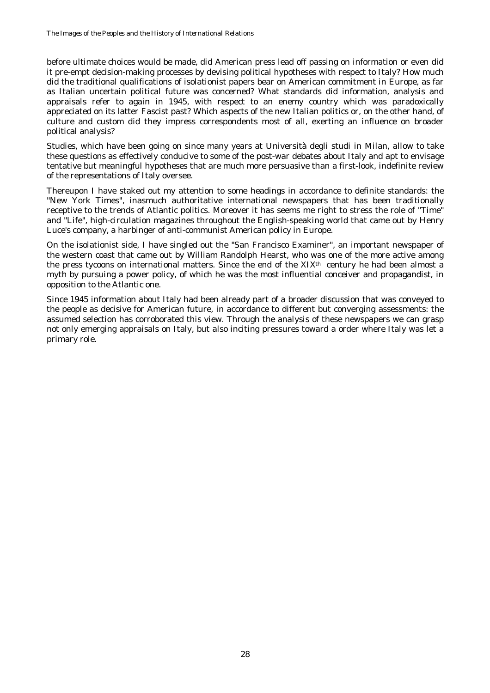before ultimate choices would be made, did American press lead off passing on information or even did it pre-empt decision-making processes by devising political hypotheses with respect to Italy? How much did the traditional qualifications of isolationist papers bear on American commitment in Europe, as far as Italian uncertain political future was concerned? What standards did information, analysis and appraisals refer to again in 1945, with respect to an enemy country which was paradoxically appreciated on its latter Fascist past? Which aspects of the new Italian politics or, on the other hand, of culture and custom did they impress correspondents most of all, exerting an influence on broader political analysis?

Studies, which have been going on since many years at Università degli studi in Milan, allow to take these questions as effectively conducive to some of the post-war debates about Italy and apt to envisage tentative but meaningful hypotheses that are much more persuasive than a first-look, indefinite review of the representations of Italy oversee.

Thereupon I have staked out my attention to some headings in accordance to definite standards: the "New York Times", inasmuch authoritative international newspapers that has been traditionally receptive to the trends of Atlantic politics. Moreover it has seems me right to stress the role of "Time" and "Life", high-circulation magazines throughout the English-speaking world that came out by Henry Luce's company, a harbinger of anti-communist American policy in Europe.

On the isolationist side, I have singled out the "San Francisco Examiner", an important newspaper of the western coast that came out by William Randolph Hearst, who was one of the more active among the press tycoons on international matters. Since the end of the XIX<sup>th</sup> century he had been almost a myth by pursuing a power policy, of which he was the most influential conceiver and propagandist, in opposition to the Atlantic one.

Since 1945 information about Italy had been already part of a broader discussion that was conveyed to the people as decisive for American future, in accordance to different but converging assessments: the assumed selection has corroborated this view. Through the analysis of these newspapers we can grasp not only emerging appraisals on Italy, but also inciting pressures toward a order where Italy was let a primary role.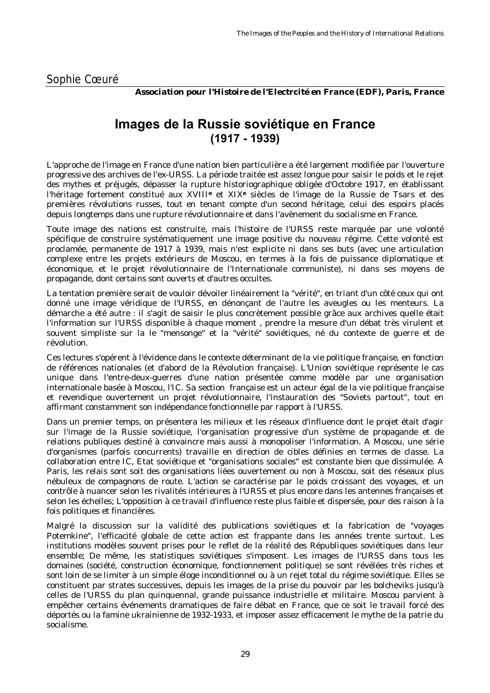<span id="page-28-0"></span>*Association pour l'Histoire de l'Electrcité en France (EDF), Paris, France*

### **Images de la Russie soviétique en France (1917 - 1939)**

L'approche de l'image en France d'une nation bien particulière a été largement modifiée par l'ouverture progressive des archives de l'ex-URSS. La période traitée est assez longue pour saisir le poids et le rejet des mythes et préjugés, dépasser la rupture historiographique obligée d'Octobre 1917, en établissant l'héritage fortement constitué aux XVIII**e** et XIX**e** siècles de l'image de la Russie de Tsars et des premières révolutions russes, tout en tenant compte d'un second héritage, celui des espoirs placés depuis longtemps dans une rupture révolutionnaire et dans l'avènement du socialisme en France.

Toute image des nations est construite, mais l'histoire de l'URSS reste marquée par une volonté spécifique de construire systématiquement une image positive du nouveau régime. Cette volonté est proclamée, permanente de 1917 à 1939, mais n'est explicite ni dans ses buts (avec une articulation complexe entre les projets extérieurs de Moscou, en termes à la fois de puissance diplomatique et économique, et le projet révolutionnaire de l'Internationale communiste), ni dans ses moyens de propagande, dont certains sont ouverts et d'autres occultes.

La tentation première serait de vouloir dévoiler linéairement la "vérité", en triant d'un côté ceux qui ont donné une image véridique de l'URSS, en dénonçant de l'autre les aveugles ou les menteurs. La démarche a été autre : il s'agit de saisir le plus concrètement possible grâce aux archives quelle était l'information sur l'URSS disponible à chaque moment , prendre la mesure d'un débat très virulent et souvent simpliste sur la le "mensonge" et la "vérité" soviétiques, né du contexte de guerre et de révolution.

Ces lectures s'opérent à l'évidence dans le contexte déterminant de la vie politique française, en fonction de références nationales (et d'abord de la Révolution française). L'Union soviétique représente le cas unique dans l'entre-deux-guerres d'une nation présentée comme modèle par une organisation internationale basée à Moscou, l'IC. Sa section française est un acteur égal de la vie politique française et revendique ouvertement un projet révolutionnaire, l'instauration des "Soviets partout", tout en affirmant constamment son indépendance fonctionnelle par rapport à l'URSS.

Dans un premier temps, on présentera les milieux et les réseaux d'influence dont le projet était d'agir sur l'image de la Russie soviétique, l'organisation progressive d'un système de propagande et de relations publiques destiné à convaincre mais aussi à monopoliser l'information. A Moscou, une série d'organismes (parfois concurrents) travaille en direction de cibles définies en termes de classe. La collaboration entre IC, Etat soviétique et "organisations sociales" est constante bien que dissimulée. A Paris, les relais sont soit des organisations liées ouvertement ou non à Moscou, soit des réseaux plus nébuleux de compagnons de route. L'action se caractérise par le poids croissant des voyages, et un contrôle à nuancer selon les rivalités intérieures à l'URSS et plus encore dans les antennes françaises et selon les échelles; L'opposition à ce travail d'influence reste plus faible et dispersée, pour des raison à la fois politiques et financières.

Malgré la discussion sur la validité des publications soviétiques et la fabrication de "voyages Potemkine", l'efficacité globale de cette action est frappante dans les années trente surtout. Les institutions modèles souvent prises pour le reflet de la réalité des Républiques soviétiques dans leur ensemble; De même, les statistiques soviétiques s'imposent. Les images de l'URSS dans tous les domaines (société, construction économique, fonctionnement politique) se sont révélées très riches et sont loin de se limiter à un simple éloge inconditionnel ou à un rejet total du régime soviétique. Elles se constituent par strates successives, depuis les images de la prise du pouvoir par les bolcheviks jusqu'à celles de l'URSS du plan quinquennal, grande puissance industrielle et militaire. Moscou parvient à empêcher certains événements dramatiques de faire débat en France, que ce soit le travail forcé des déportés ou la famine ukrainienne de 1932-1933, et imposer assez efficacement le mythe de la patrie du socialisme.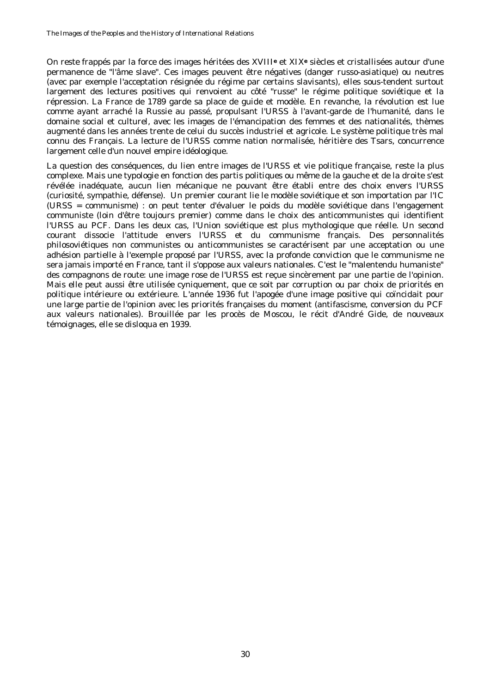On reste frappés par la force des images héritées des XVIII**e** et XIX**e** siècles et cristallisées autour d'une permanence de "l'âme slave". Ces images peuvent être négatives (danger russo-asiatique) ou neutres (avec par exemple l'acceptation résignée du régime par certains slavisants), elles sous-tendent surtout largement des lectures positives qui renvoient au côté "russe" le régime politique soviétique et la répression. La France de 1789 garde sa place de guide et modèle. En revanche, la révolution est lue comme ayant arraché la Russie au passé, propulsant l'URSS à l'avant-garde de l'humanité, dans le domaine social et culturel, avec les images de l'émancipation des femmes et des nationalités, thèmes augmenté dans les années trente de celui du succès industriel et agricole. Le système politique très mal connu des Français. La lecture de l'URSS comme nation normalisée, héritière des Tsars, concurrence largement celle d'un nouvel empire idéologique.

La question des conséquences, du lien entre images de l'URSS et vie politique française, reste la plus complexe. Mais une typologie en fonction des partis politiques ou même de la gauche et de la droite s'est révélée inadéquate, aucun lien mécanique ne pouvant être établi entre des choix envers l'URSS (curiosité, sympathie, défense). Un premier courant lie le modèle soviétique et son importation par l'IC (URSS = communisme) : on peut tenter d'évaluer le poids du modèle soviétique dans l'engagement communiste (loin d'être toujours premier) comme dans le choix des anticommunistes qui identifient l'URSS au PCF. Dans les deux cas, l'Union soviétique est plus mythologique que réelle. Un second courant dissocie l'attitude envers l'URSS et du communisme français. Des personnalités philosoviétiques non communistes ou anticommunistes se caractérisent par une acceptation ou une adhésion partielle à l'exemple proposé par l'URSS, avec la profonde conviction que le communisme ne sera jamais importé en France, tant il s'oppose aux valeurs nationales. C'est le "malentendu humaniste" des compagnons de route: une image rose de l'URSS est reçue sincèrement par une partie de l'opinion. Mais elle peut aussi être utilisée cyniquement, que ce soit par corruption ou par choix de priorités en politique intérieure ou extérieure. L'année 1936 fut l'apogée d'une image positive qui coïncidait pour une large partie de l'opinion avec les priorités françaises du moment (antifascisme, conversion du PCF aux valeurs nationales). Brouillée par les procès de Moscou, le récit d'André Gide, de nouveaux témoignages, elle se disloqua en 1939.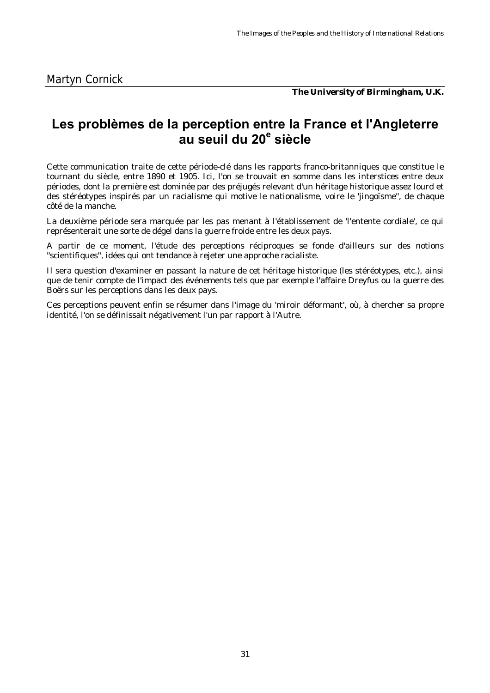*The University of Birmingham, U.K.*

### <span id="page-30-0"></span>**Les problèmes de la perception entre la France et l'Angleterre au seuil du 20e siècle**

Cette communication traite de cette période-clé dans les rapports franco-britanniques que constitue le tournant du siècle, entre 1890 et 1905. Ici, l'on se trouvait en somme dans les interstices entre deux périodes, dont la première est dominée par des préjugés relevant d'un héritage historique assez lourd et des stéréotypes inspirés par un racialisme qui motive le nationalisme, voire le 'jingoïsme", de chaque côté de la manche.

La deuxième période sera marquée par les pas menant à l'établissement de 'l'entente cordiale', ce qui représenterait une sorte de dégel dans la guerre froide entre les deux pays.

A partir de ce moment, l'étude des perceptions réciproques se fonde d'ailleurs sur des notions "scientifiques", idées qui ont tendance à rejeter une approche racialiste.

Il sera question d'examiner en passant la nature de cet héritage historique (les stéréotypes, etc.), ainsi que de tenir compte de l'impact des événements tels que par exemple l'affaire Dreyfus ou la guerre des Boërs sur les perceptions dans les deux pays.

Ces perceptions peuvent enfin se résumer dans l'image du 'miroir déformant', où, à chercher sa propre identité, l'on se définissait négativement l'un par rapport à l'Autre.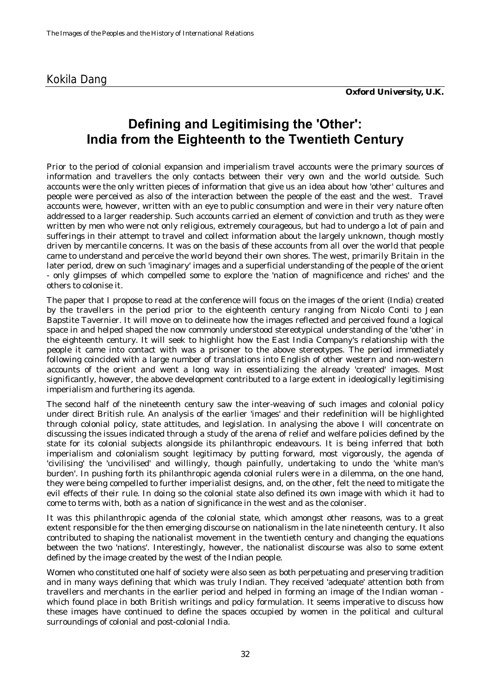### <span id="page-31-0"></span>Kokila Dang

### **Defining and Legitimising the 'Other': India from the Eighteenth to the Twentieth Century**

Prior to the period of colonial expansion and imperialism travel accounts were the primary sources of information and travellers the only contacts between their very own and the world outside. Such accounts were the only written pieces of information that give us an idea about how 'other' cultures and people were perceived as also of the interaction between the people of the east and the west. Travel accounts were, however, written with an eye to public consumption and were in their very nature often addressed to a larger readership. Such accounts carried an element of conviction and truth as they were written by men who were not only religious, extremely courageous, but had to undergo a lot of pain and sufferings in their attempt to travel and collect information about the largely unknown, though mostly driven by mercantile concerns. It was on the basis of these accounts from all over the world that people came to understand and perceive the world beyond their own shores. The west, primarily Britain in the later period, drew on such 'imaginary' images and a superficial understanding of the people of the orient - only glimpses of which compelled some to explore the 'nation of magnificence and riches' and the others to colonise it.

The paper that I propose to read at the conference will focus on the images of the orient (India) created by the travellers in the period prior to the eighteenth century ranging from Nicolo Conti to Jean Bapstite Tavernier. It will move on to delineate how the images reflected and perceived found a logical space in and helped shaped the now commonly understood stereotypical understanding of the 'other' in the eighteenth century. It will seek to highlight how the East India Company's relationship with the people it came into contact with was a prisoner to the above stereotypes. The period immediately following coincided with a large number of translations into English of other western and non-western accounts of the orient and went a long way in essentializing the already 'created' images. Most significantly, however, the above development contributed to a large extent in ideologically legitimising imperialism and furthering its agenda.

The second half of the nineteenth century saw the inter-weaving of such images and colonial policy under direct British rule. An analysis of the earlier 'images' and their redefinition will be highlighted through colonial policy, state attitudes, and legislation. In analysing the above I will concentrate on discussing the issues indicated through a study of the arena of relief and welfare policies defined by the state for its colonial subjects alongside its philanthropic endeavours. It is being inferred that both imperialism and colonialism sought legitimacy by putting forward, most vigorously, the agenda of 'civilising' the 'uncivilised' and willingly, though painfully, undertaking to undo the 'white man's burden'. In pushing forth its philanthropic agenda colonial rulers were in a dilemma, on the one hand, they were being compelled to further imperialist designs, and, on the other, felt the need to mitigate the evil effects of their rule. In doing so the colonial state also defined its own *image* with which it had to come to terms with, both as a nation of significance in the west and as the coloniser.

It was this philanthropic agenda of the colonial state, which amongst other reasons, was to a great extent responsible for the then emerging discourse on nationalism in the late nineteenth century. It also contributed to shaping the nationalist movement in the twentieth century and changing the equations between the two 'nations'. Interestingly, however, the nationalist discourse was also to some extent defined by the image created by the west of the Indian people.

Women who constituted one half of society were also seen as both perpetuating and preserving tradition and in many ways defining that which was truly Indian. They received 'adequate' attention both from travellers and merchants in the earlier period and helped in forming an image of the Indian woman which found place in both British writings and policy formulation. It seems imperative to discuss how these images have continued to define the spaces occupied by women in the political and cultural surroundings of colonial and post-colonial India.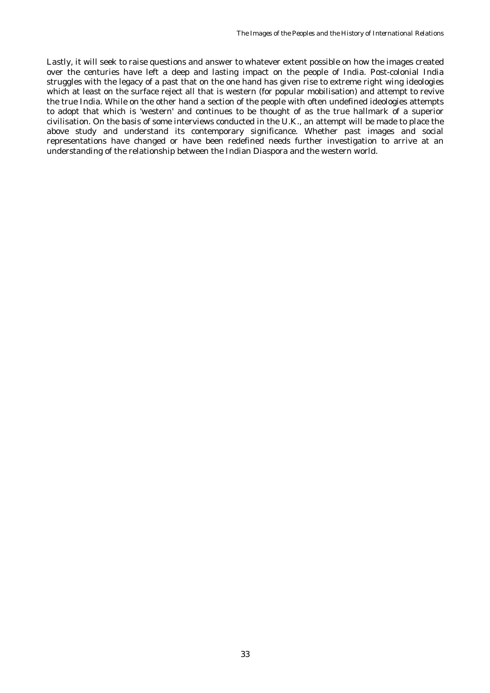Lastly, it will seek to raise questions and answer to whatever extent possible on how the images created over the centuries have left a deep and lasting impact on the people of India. Post-colonial India struggles with the legacy of a past that on the one hand has given rise to extreme right wing ideologies which at least on the surface reject all that is western (for popular mobilisation) and attempt to revive the true India. While on the other hand a section of the people with often undefined ideologies attempts to adopt that which is 'western' and continues to be thought of as the true hallmark of a superior civilisation. On the basis of some interviews conducted in the U.K., an attempt will be made to place the above study and understand its contemporary significance. Whether past images and social representations have changed or have been redefined needs further investigation to arrive at an understanding of the relationship between the Indian Diaspora and the western world.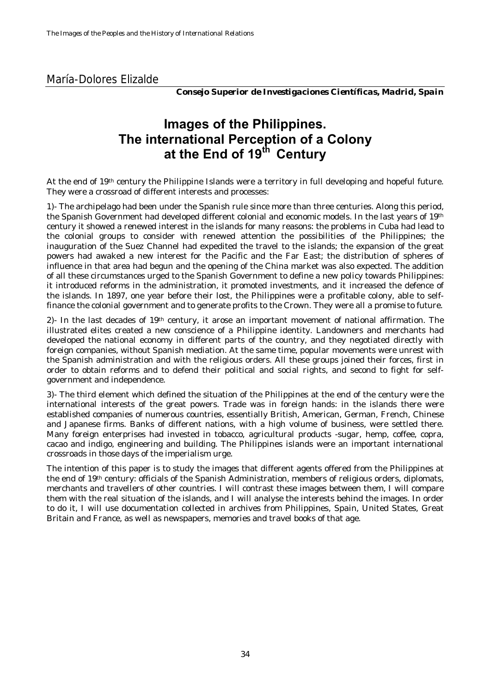### <span id="page-33-0"></span>María-Dolores Elizalde

*Consejo Superior de Investigaciones Científicas, Madrid, Spain*

## **Images of the Philippines. The international Perception of a Colony at the End of 19th Century**

At the end of 19th century the Philippine Islands were a territory in full developing and hopeful future. They were a crossroad of different interests and processes:

1)- The archipelago had been under the Spanish rule since more than three centuries. Along this period, the Spanish Government had developed different colonial and economic models. In the last years of 19th century it showed a renewed interest in the islands for many reasons: the problems in Cuba had lead to the colonial groups to consider with renewed attention the possibilities of the Philippines; the inauguration of the Suez Channel had expedited the travel to the islands; the expansion of the great powers had awaked a new interest for the Pacific and the Far East; the distribution of spheres of influence in that area had begun and the opening of the China market was also expected. The addition of all these circumstances urged to the Spanish Government to define a new policy towards Philippines: it introduced reforms in the administration, it promoted investments, and it increased the defence of the islands. In 1897, one year before their lost, the Philippines were a profitable colony, able to selffinance the colonial government and to generate profits to the Crown. They were all a promise to future.

2)- In the last decades of  $19<sup>th</sup>$  century, it arose an important movement of national affirmation. The illustrated elites created a new conscience of a Philippine identity. Landowners and merchants had developed the national economy in different parts of the country, and they negotiated directly with foreign companies, without Spanish mediation. At the same time, popular movements were unrest with the Spanish administration and with the religious orders. All these groups joined their forces, first in order to obtain reforms and to defend their political and social rights, and second to fight for selfgovernment and independence.

3)- The third element which defined the situation of the Philippines at the end of the century were the international interests of the great powers. Trade was in foreign hands: in the islands there were established companies of numerous countries, essentially British, American, German, French, Chinese and Japanese firms. Banks of different nations, with a high volume of business, were settled there. Many foreign enterprises had invested in tobacco, agricultural products -sugar, hemp, coffee, copra, cacao and indigo, engineering and building. The Philippines islands were an important international crossroads in those days of the imperialism urge.

The intention of this paper is to study the images that different agents offered from the Philippines at the end of 19th century: officials of the Spanish Administration, members of religious orders, diplomats, merchants and travellers of other countries. I will contrast these images between them, I will compare them with the real situation of the islands, and I will analyse the interests behind the images. In order to do it, I will use documentation collected in archives from Philippines, Spain, United States, Great Britain and France, as well as newspapers, memories and travel books of that age.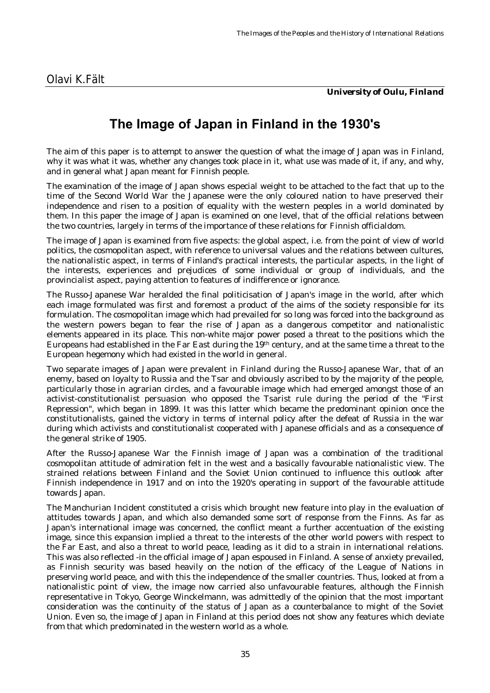*University of Oulu, Finland*

## **The Image of Japan in Finland in the 1930's**

<span id="page-34-0"></span>The aim of this paper is to attempt to answer the question of what the image of Japan was in Finland, why it was what it was, whether any changes took place in it, what use was made of it, if any, and why, and in general what Japan meant for Finnish people.

The examination of the image of Japan shows especial weight to be attached to the fact that up to the time of the Second World War the Japanese were the only coloured nation to have preserved their independence and risen to a position of equality with the western peoples in a world dominated by them. In this paper the image of Japan is examined on one level, that of the official relations between the two countries, largely in terms of the importance of these relations for Finnish officialdom.

The image of Japan is examined from five aspects: the global aspect, i.e. from the point of view of world politics, the cosmopolitan aspect, with reference to universal values and the relations between cultures, the nationalistic aspect, in terms of Finland's practical interests, the particular aspects, in the light of the interests, experiences and prejudices of some individual or group of individuals, and the provincialist aspect, paying attention to features of indifference or ignorance.

The Russo-Japanese War heralded the final politicisation of Japan's image in the world, after which each image formulated was first and foremost a product of the aims of the society responsible for its formulation. The cosmopolitan image which had prevailed for so long was forced into the background as the western powers began to fear the rise of Japan as a dangerous competitor and nationalistic elements appeared in its place. This non-white major power posed a threat to the positions which the Europeans had established in the Far East during the 19th century, and at the same time a threat to the European hegemony which had existed in the world in general.

Two separate images of Japan were prevalent in Finland during the Russo-Japanese War, that of an enemy, based on loyalty to Russia and the Tsar and obviously ascribed to by the majority of the people, particularly those in agrarian circles, and a favourable image which had emerged amongst those of an activist-constitutionalist persuasion who opposed the Tsarist rule during the period of the "First Repression", which began in 1899. It was this latter which became the predominant opinion once the constitutionalists, gained the victory in terms of internal policy after the defeat of Russia in the war during which activists and constitutionalist cooperated with Japanese officials and as a consequence of the general strike of 1905.

After the Russo-Japanese War the Finnish image of Japan was a combination of the traditional cosmopolitan attitude of admiration felt in the west and a basically favourable nationalistic view. The strained relations between Finland and the Soviet Union continued to influence this outlook after Finnish independence in 1917 and on into the 1920's operating in support of the favourable attitude towards Japan.

The Manchurian Incident constituted a crisis which brought new feature into play in the evaluation of attitudes towards Japan, and which also demanded some sort of response from the Finns. As far as Japan's international image was concerned, the conflict meant a further accentuation of the existing image, since this expansion implied a threat to the interests of the other world powers with respect to the Far East, and also a threat to world peace, leading as it did to a strain in international relations. This was also reflected -in the official image of Japan espoused in Finland. A sense of anxiety prevailed, as Finnish security was based heavily on the notion of the efficacy of the League of Nations in preserving world peace, and with this the independence of the smaller countries. Thus, looked at from a nationalistic point of view, the image now carried also unfavourable features, although the Finnish representative in Tokyo, George Winckelmann, was admittedly of the opinion that the most important consideration was the continuity of the status of Japan as a counterbalance to might of the Soviet Union. Even so, the image of Japan in Finland at this period does not show any features which deviate from that which predominated in the western world as a whole.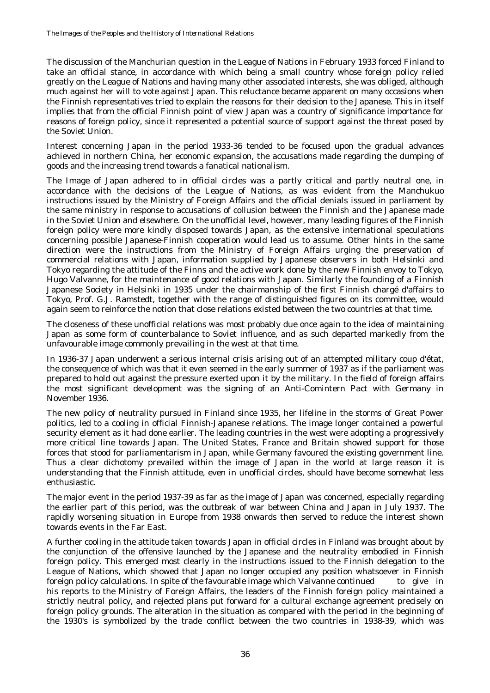The discussion of the Manchurian question in the League of Nations in February 1933 forced Finland to take an official stance, in accordance with which being a small country whose foreign policy relied greatly on the League of Nations and having many other associated interests, she was obliged, although much against her will to vote against Japan. This reluctance became apparent on many occasions when the Finnish representatives tried to explain the reasons for their decision to the Japanese. This in itself implies that from the official Finnish point of view Japan was a country of significance importance for reasons of foreign policy, since it represented a potential source of support against the threat posed by the Soviet Union.

Interest concerning Japan in the period 1933-36 tended to be focused upon the gradual advances achieved in northern China, her economic expansion, the accusations made regarding the dumping of goods and the increasing trend towards a fanatical nationalism.

The Image of Japan adhered to in official circles was a partly critical and partly neutral one, in accordance with the decisions of the League of Nations, as was evident from the Manchukuo instructions issued by the Ministry of Foreign Affairs and the official denials issued in parliament by the same ministry in response to accusations of collusion between the Finnish and the Japanese made in the Soviet Union and elsewhere. On the unofficial level, however, many leading figures of the Finnish foreign policy were more kindly disposed towards Japan, as the extensive international speculations concerning possible Japanese-Finnish cooperation would lead us to assume. Other hints in the same direction were the instructions from the Ministry of Foreign Affairs urging the preservation of commercial relations with Japan, information supplied by Japanese observers in both Helsinki and Tokyo regarding the attitude of the Finns and the active work done by the new Finnish envoy to Tokyo, Hugo Valvanne, for the maintenance of good relations with Japan. Similarly the founding of a Finnish Japanese Society in Helsinki in 1935 under the chairmanship of the first Finnish chargé d'affairs to Tokyo, Prof. G.J. Ramstedt, together with the range of distinguished figures on its committee, would again seem to reinforce the notion that close relations existed between the two countries at that time.

The closeness of these unofficial relations was most probably due once again to the idea of maintaining Japan as some form of counterbalance to Soviet influence, and as such departed markedly from the unfavourable image commonly prevailing in the west at that time.

In 1936-37 Japan underwent a serious internal crisis arising out of an attempted military coup d'état, the consequence of which was that it even seemed in the early summer of 1937 as if the parliament was prepared to hold out against the pressure exerted upon it by the military. In the field of foreign affairs the most significant development was the signing of an Anti-Comintern Pact with Germany in November 1936.

The new policy of neutrality pursued in Finland since 1935, her lifeline in the storms of Great Power politics, led to a cooling in official Finnish-Japanese relations. The image longer contained a powerful security element as it had done earlier. The leading countries in the west were adopting a progressively more critical line towards Japan. The United States, France and Britain showed support for those forces that stood for parliamentarism in Japan, while Germany favoured the existing government line. Thus a clear dichotomy prevailed within the image of Japan in the world at large reason it is understanding that the Finnish attitude, even in unofficial circles, should have become somewhat less enthusiastic.

The major event in the period 1937-39 as far as the image of Japan was concerned, especially regarding the earlier part of this period, was the outbreak of war between China and Japan in July 1937. The rapidly worsening situation in Europe from 1938 onwards then served to reduce the interest shown towards events in the Far East.

A further cooling in the attitude taken towards Japan in official circles in Finland was brought about by the conjunction of the offensive launched by the Japanese and the neutrality embodied in Finnish foreign policy. This emerged most clearly in the instructions issued to the Finnish delegation to the League of Nations, which showed that Japan no longer occupied any position whatsoever in Finnish foreign policy calculations. In spite of the favourable image which Valvanne continued to give in his reports to the Ministry of Foreign Affairs, the leaders of the Finnish foreign policy maintained a strictly neutral policy, and rejected plans put forward for a cultural exchange agreement precisely on foreign policy grounds. The alteration in the situation as compared with the period in the beginning of the 1930's is symbolized by the trade conflict between the two countries in 1938-39, which was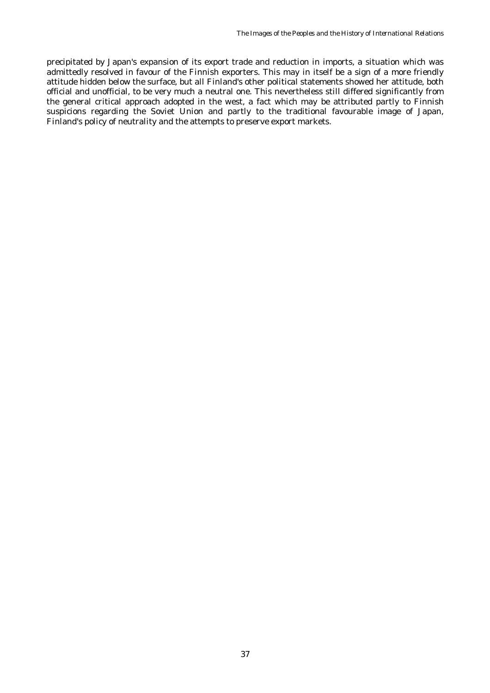precipitated by Japan's expansion of its export trade and reduction in imports, a situation which was admittedly resolved in favour of the Finnish exporters. This may in itself be a sign of a more friendly attitude hidden below the surface, but all Finland's other political statements showed her attitude, both official and unofficial, to be very much a neutral one. This nevertheless still differed significantly from the general critical approach adopted in the west, a fact which may be attributed partly to Finnish suspicions regarding the Soviet Union and partly to the traditional favourable image of Japan, Finland's policy of neutrality and the attempts to preserve export markets.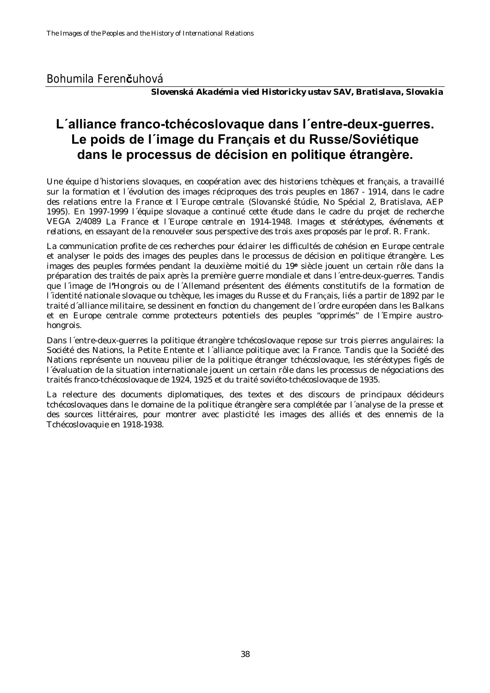#### Bohumila Feren**č**uhová

*Slovenská Akadémia vied Historicky ustav SAV, Bratislava, Slovakia*

## **L´alliance franco-tchécoslovaque dans l´entre-deux-guerres. Le poids de l´image du Français et du Russe/Soviétique dans le processus de décision en politique étrangère.**

Une équipe d´historiens slovaques, en coopération avec des historiens tchèques et français, a travaillé sur la formation et l´évolution des images réciproques des trois peuples en 1867 - 1914, dans le cadre des relations entre *la France et l´Europe centrale.* (Slovanské štúdie, No Spécial 2, Bratislava, AEP 1995). En 1997-1999 l´équipe slovaque a continué cette étude dans le cadre du projet de recherche VEGA 2/4089 *La France et l´Europe centrale en 1914-1948. Images et stéréotypes, événements et relations,* en essayant de la renouveler sous perspective des trois axes proposés par le prof. R. Frank.

La communication profite de ces recherches pour éclairer les difficultés de cohésion en Europe centrale et analyser le poids des images des peuples dans le processus de décision en politique étrangère. Les images des peuples formées pendant la deuxième moitié du 19**e** siècle jouent un certain rôle dans la préparation des traités de paix après la première guerre mondiale et dans l´entre-deux-guerres. Tandis que l´image de l**'**Hongrois ou de l´Allemand présentent des éléments constitutifs de la formation de l´identité nationale slovaque ou tchèque, les images du Russe et du Français, liés a partir de 1892 par le traité d´alliance militaire, se dessinent en fonction du changement de l´ordre européen dans les Balkans et en Europe centrale comme protecteurs potentiels des peuples "opprimés" de l´Empire austrohongrois.

Dans l´entre-deux-guerres la politique étrangère tchécoslovaque repose sur trois pierres angulaires: la Société des Nations, la Petite Entente et l´alliance politique avec la France. Tandis que la Société des Nations représente un nouveau pilier de la politique étranger tchécoslovaque, les stéréotypes figés de l´évaluation de la situation internationale jouent un certain rôle dans les processus de négociations des traités franco-tchécoslovaque de 1924, 1925 et du traité soviéto-tchécoslovaque de 1935.

La relecture des documents diplomatiques, des textes et des discours de principaux décideurs tchécoslovaques dans le domaine de la politique étrangère sera complétée par l´analyse de la presse et des sources littéraires, pour montrer avec plasticité les images des alliés et des ennemis de la Tchécoslovaquie en 1918-1938.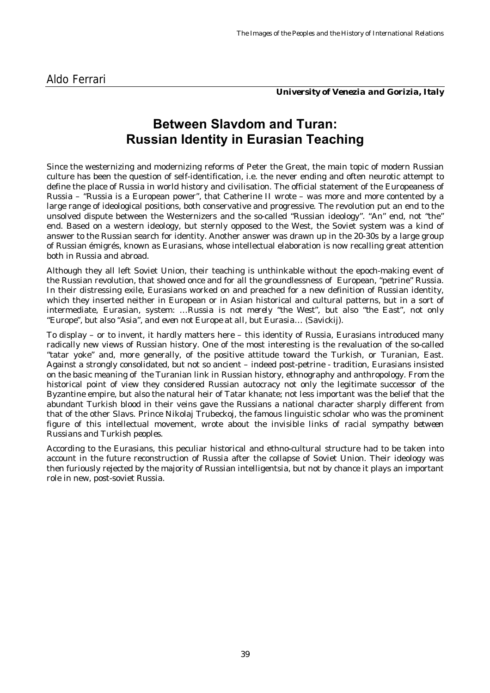*University of Venezia and Gorizia, Italy*

## **Between Slavdom and Turan: Russian Identity in Eurasian Teaching**

Since the westernizing and modernizing reforms of Peter the Great, the main topic of modern Russian culture has been the question of self-identification, i.e. the never ending and often neurotic attempt to define the place of Russia in world history and civilisation. The official statement of the Europeaness of Russia – "Russia is a European power", that Catherine II wrote – was more and more contented by a large range of ideological positions, both conservative and progressive. The revolution put an end to the unsolved dispute between the Westernizers and the so-called "Russian ideology". "An" end, not "the" end. Based on a western ideology, but sternly opposed to the West, the Soviet system was a kind of answer to the Russian search for identity. Another answer was drawn up in the 20-30s by a large group of Russian émigrés, known as Eurasians, whose intellectual elaboration is now recalling great attention both in Russia and abroad.

Although they all left Soviet Union, their teaching is unthinkable without the epoch-making event of the Russian revolution, that showed once and for all the groundlessness of European, "petrine" Russia. In their distressing exile, Eurasians worked on and preached for a new definition of Russian identity, which they inserted neither in European or in Asian historical and cultural patterns, but in a sort of intermediate, Eurasian, system: *…Russia is not merely "the West", but also "the East", not only "Europe", but also "Asia", and even not Europe at all, but Eurasia…* (Savickij).

To display – or to invent, it hardly matters here – this identity of Russia, Eurasians introduced many radically new views of Russian history. One of the most interesting is the revaluation of the so-called "tatar yoke" and, more generally, of the positive attitude toward the Turkish, or Turanian, East. Against a strongly consolidated, but not so ancient – indeed post-petrine - tradition, Eurasians insisted on the basic meaning of the Turanian link in Russian history, ethnography and anthropology. From the historical point of view they considered Russian autocracy not only the legitimate successor of the Byzantine empire, but also the natural heir of Tatar khanate; not less important was the belief that the abundant Turkish blood in their veins gave the Russians a national character sharply different from that of the other Slavs. Prince Nikolaj Trubeckoj, the famous linguistic scholar who was the prominent figure of this intellectual movement, wrote about *the invisible links of racial sympathy between Russians and Turkish peoples*.

According to the Eurasians, this peculiar historical and ethno-cultural structure had to be taken into account in the future reconstruction of Russia after the collapse of Soviet Union. Their ideology was then furiously rejected by the majority of Russian intelligentsia, but not by chance it plays an important role in new, post-soviet Russia.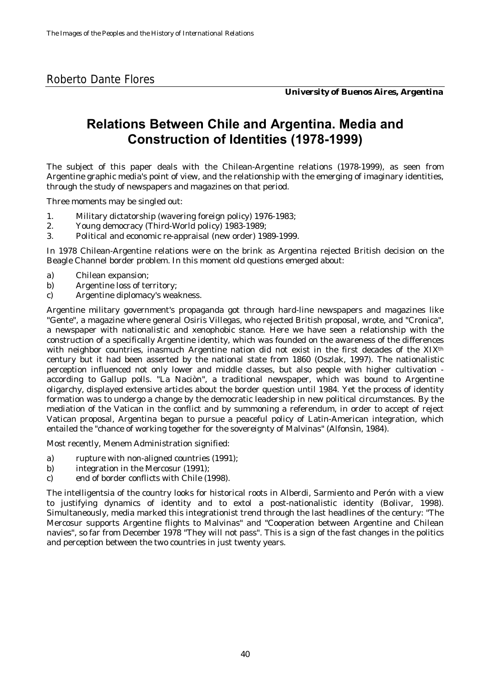#### Roberto Dante Flores

*University of Buenos Aires, Argentina*

## **Relations Between Chile and Argentina. Media and Construction of Identities (1978-1999)**

The subject of this paper deals with the Chilean-Argentine relations (1978-1999), as seen from Argentine graphic media's point of view, and the relationship with the emerging of imaginary identities, through the study of newspapers and magazines on that period.

Three moments may be singled out:

- 1. Military dictatorship (wavering foreign policy) 1976-1983;
- 2. Young democracy (Third-World policy) 1983-1989;
- 3. Political and economic re-appraisal (new order) 1989-1999.

In 1978 Chilean-Argentine relations were on the brink as Argentina rejected British decision on the Beagle Channel border problem. In this moment old questions emerged about:

- a) Chilean expansion;
- b) Argentine loss of territory;
- c) Argentine diplomacy's weakness.

Argentine military government's propaganda got through hard-line newspapers and magazines like "Gente", a magazine where general Osiris Villegas, who rejected British proposal, wrote, and "Cronica", a newspaper with nationalistic and xenophobic stance. Here we have seen a relationship with the construction of a specifically Argentine identity, which was founded on the awareness of the differences with neighbor countries, inasmuch Argentine nation did not exist in the first decades of the XIX<sup>th</sup> century but it had been asserted by the national state from 1860 (Oszlak, 1997). The nationalistic perception influenced not only lower and middle classes, but also people with higher cultivation according to Gallup polls. "La Naciòn", a traditional newspaper, which was bound to Argentine oligarchy, displayed extensive articles about the border question until 1984. Yet the process of identity formation was to undergo a change by the democratic leadership in new political circumstances. By the mediation of the Vatican in the conflict and by summoning a referendum, in order to accept of reject Vatican proposal, Argentina began to pursue a peaceful policy of Latin-American integration, which entailed the "chance of working together for the sovereignty of Malvinas" (Alfonsìn, 1984).

Most recently, Menem Administration signified:

- a) rupture with non-aligned countries (1991);
- b) integration in the Mercosur (1991);
- c) end of border conflicts with Chile (1998).

The intelligentsia of the country looks for historical roots in Alberdi, Sarmiento and Perón with a view to justifying dynamics of identity and to extol a post-nationalistic identity (Bolivar, 1998). Simultaneously, media marked this integrationist trend through the last headlines of the century: "The Mercosur supports Argentine flights to Malvinas" and "Cooperation between Argentine and Chilean navies", so far from December 1978 "They will not pass". This is a sign of the fast changes in the politics and perception between the two countries in just twenty years.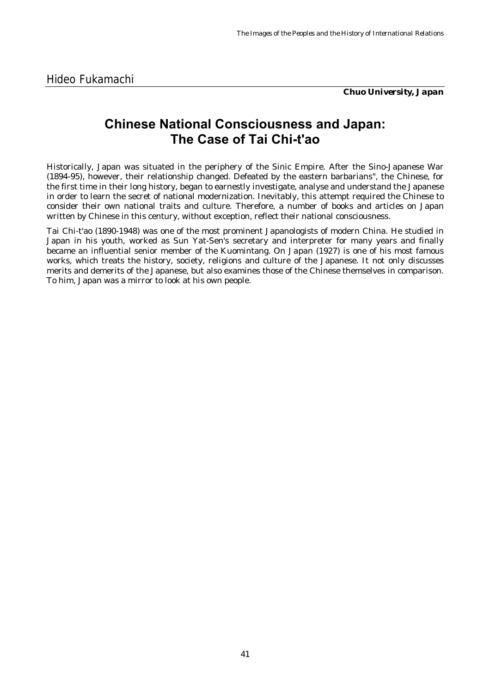*Chuo University, Japan*

#### **Chinese National Consciousness and Japan: The Case of Tai Chi-t'ao**

Historically, Japan was situated in the periphery of the Sinic Empire. After the Sino-Japanese War (1894-95), however, their relationship changed. Defeated by the eastern barbarians", the Chinese, for the first time in their long history, began to earnestly investigate, analyse and understand the Japanese in order to learn the secret of national modernization. Inevitably, this attempt required the Chinese to consider their own national traits and culture. Therefore, a number of books and articles on Japan written by Chinese in this century, without exception, reflect their national consciousness.

Tai Chi-t'ao (1890-1948) was one of the most prominent Japanologists of modern China. He studied in Japan in his youth, worked as Sun Yat-Sen's secretary and interpreter for many years and finally became an influential senior member of the Kuomintang. *On Japan* (1927) is one of his most famous works, which treats the history, society, religions and culture of the Japanese. It not only discusses merits and demerits of the Japanese, but also examines those of the Chinese themselves in comparison. To him, Japan was a mirror to look at his own people.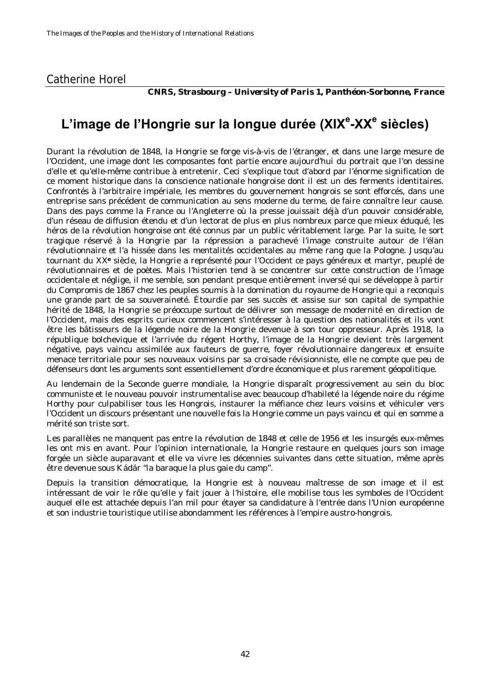#### Catherine Horel

*CNRS, Strasbourg – University of Paris 1, Panthéon-Sorbonne, France*

# L'image de l'Hongrie sur la longue durée (XIX<sup>e</sup>-XX<sup>e</sup> siècles)

Durant la révolution de 1848, la Hongrie se forge vis-à-vis de l'étranger, et dans une large mesure de l'Occident, une image dont les composantes font partie encore aujourd'hui du portrait que l'on dessine d'elle et qu'elle-même contribue à entretenir. Ceci s'explique tout d'abord par l'énorme signification de ce moment historique dans la conscience nationale hongroise dont il est un des ferments identitaires. Confrontés à l'arbitraire impériale, les membres du gouvernement hongrois se sont efforcés, dans une entreprise sans précédent de communication au sens moderne du terme, de faire connaître leur cause. Dans des pays comme la France ou l'Angleterre où la presse jouissait déjà d'un pouvoir considérable, d'un réseau de diffusion étendu et d'un lectorat de plus en plus nombreux parce que mieux éduqué, les héros de la révolution hongroise ont été connus par un public véritablement large. Par la suite, le sort tragique réservé à la Hongrie par la répression a parachevé l'image construite autour de l'élan révolutionnaire et l'a hissée dans les mentalités occidentales au même rang que la Pologne. Jusqu'au tournant du XX**e** siècle, la Hongrie a représenté pour l'Occident ce pays généreux et martyr, peuplé de révolutionnaires et de poètes. Mais l'historien tend à se concentrer sur cette construction de l'image occidentale et néglige, il me semble, son pendant presque entièrement inversé qui se développe à partir du Compromis de 1867 chez les peuples soumis à la domination du royaume de Hongrie qui a reconquis une grande part de sa souveraineté. Étourdie par ses succès et assise sur son capital de sympathie hérité de 1848, la Hongrie se préoccupe surtout de délivrer son message de modernité en direction de l'Occident, mais des esprits curieux commencent s'intéresser à la question des nationalités et ils vont être les bâtisseurs de la légende noire de la Hongrie devenue à son tour oppresseur. Après 1918, la république bolchevique et l'arrivée du régent Horthy, l'image de la Hongrie devient très largement négative, pays vaincu assimilée aux fauteurs de guerre, foyer révolutionnaire dangereux et ensuite menace territoriale pour ses nouveaux voisins par sa croisade révisionniste, elle ne compte que peu de défenseurs dont les arguments sont essentiellement d'ordre économique et plus rarement géopolitique.

Au lendemain de la Seconde guerre mondiale, la Hongrie disparaît progressivement au sein du bloc communiste et le nouveau pouvoir instrumentalise avec beaucoup d'habileté la légende noire du régime Horthy pour culpabiliser tous les Hongrois, instaurer la méfiance chez leurs voisins et véhiculer vers l'Occident un discours présentant une nouvelle fois la Hongrie comme un pays vaincu et qui en somme a mérité son triste sort.

Les parallèles ne manquent pas entre la révolution de 1848 et celle de 1956 et les insurgés eux-mêmes les ont mis en avant. Pour l'opinion internationale, la Hongrie restaure en quelques jours son image forgée un siècle auparavant et elle va vivre les décennies suivantes dans cette situation, même après être devenue sous Kádár "la baraque la plus gaie du camp".

Depuis la transition démocratique, la Hongrie est à nouveau maîtresse de son image et il est intéressant de voir le rôle qu'elle y fait jouer à l'histoire, elle mobilise tous les symboles de l'Occident auquel elle est attachée depuis l'an mil pour étayer sa candidature à l'entrée dans l'Union européenne et son industrie touristique utilise abondamment les références à l'empire austro-hongrois.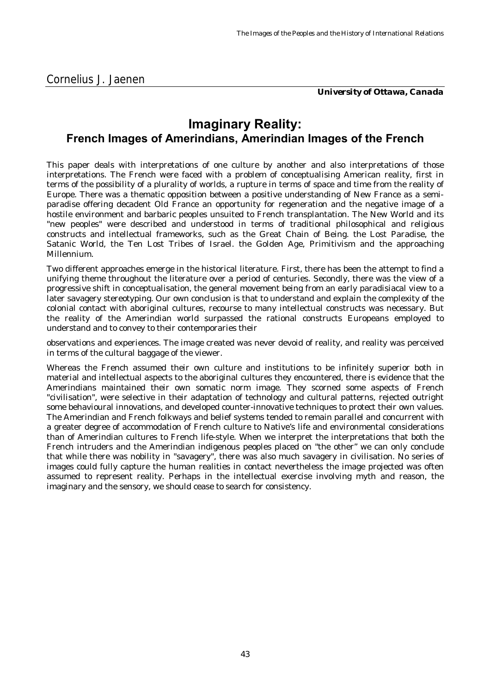*University of Ottawa, Canada*

#### **Imaginary Reality: French Images of Amerindians, Amerindian Images of the French**

This paper deals with interpretations of one culture by another and also interpretations of those interpretations. The French were faced with a problem of conceptualising American reality, first in terms of the possibility of a plurality of worlds, a rupture in terms of space and time from the reality of Europe. There was a thematic opposition between a positive understanding of New France as a semiparadise offering decadent Old France an opportunity for regeneration and the negative image of a hostile environment and barbaric peoples unsuited to French transplantation. The New World and its "new peoples" were described and understood in terms of traditional philosophical and religious constructs and intellectual frameworks, such as the Great Chain of Being. the Lost Paradise, the Satanic World, the Ten Lost Tribes of Israel. the Golden Age, Primitivism and the approaching Millennium.

Two different approaches emerge in the historical literature. First, there has been the attempt to find a unifying theme throughout the literature over a period of centuries. Secondly, there was the view of a progressive shift in conceptualisation, the general movement being from an early paradisiacal view to a later savagery stereotyping. Our own conclusion is that to understand and explain the complexity of the colonial contact with aboriginal cultures, recourse to many intellectual constructs was necessary. But the reality of the Amerindian world surpassed the rational constructs Europeans employed to understand and to convey to their contemporaries their

observations and experiences. The image created was never devoid of reality, and reality was perceived in terms of the cultural baggage of the viewer.

Whereas the French assumed their own culture and institutions to be infinitely superior both in material and intellectual aspects to the aboriginal cultures they encountered, there is evidence that the Amerindians maintained their own somatic norm image. They scorned some aspects of French "civilisation", were selective in their adaptation of technology and cultural patterns, rejected outright some behavioural innovations, and developed counter-innovative techniques to protect their own values. The Amerindian and French folkways and belief systems tended to remain parallel and concurrent with a greater degree of accommodation of French culture to Native's life and environmental considerations than of Amerindian cultures to French life-style. When we interpret the interpretations that both the French intruders and the Amerindian indigenous peoples placed on "the other" we can only conclude that while there was nobility in "savagery", there was also much savagery in civilisation. No series of images could fully capture the human realities in contact nevertheless the image projected was often assumed to represent reality. Perhaps in the intellectual exercise involving myth and reason, the imaginary and the sensory, we should cease to search for consistency.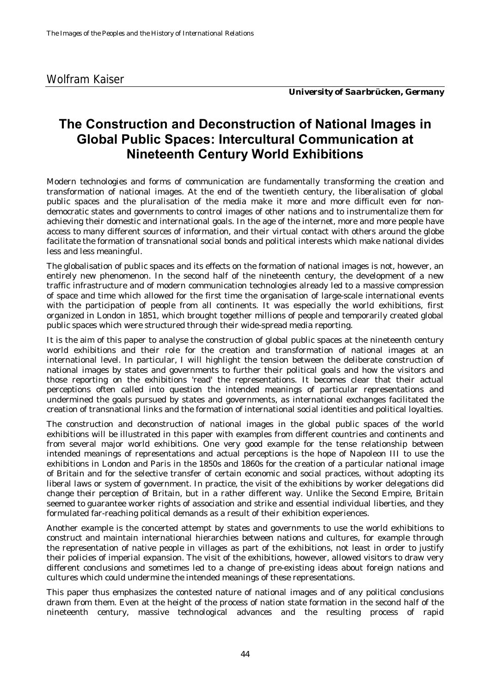## **The Construction and Deconstruction of National Images in Global Public Spaces: Intercultural Communication at Nineteenth Century World Exhibitions**

Modern technologies and forms of communication are fundamentally transforming the creation and transformation of national images. At the end of the twentieth century, the liberalisation of global public spaces and the pluralisation of the media make it more and more difficult even for nondemocratic states and governments to control images of other nations and to instrumentalize them for achieving their domestic and international goals. In the age of the internet, more and more people have access to many different sources of information, and their virtual contact with others around the globe facilitate the formation of transnational social bonds and political interests which make national divides less and less meaningful.

The globalisation of public spaces and its effects on the formation of national images is not, however, an entirely new phenomenon. In the second half of the nineteenth century, the development of a new traffic infrastructure and of modern communication technologies already led to a massive compression of space and time which allowed for the first time the organisation of large-scale international events with the participation of people from all continents. It was especially the world exhibitions, first organized in London in 1851, which brought together millions of people and temporarily created global public spaces which were structured through their wide-spread media reporting.

It is the aim of this paper to analyse the construction of global public spaces at the nineteenth century world exhibitions and their role for the creation and transformation of national images at an international level. In particular, I will highlight the tension between the deliberate construction of national images by states and governments to further their political goals and how the visitors and those reporting on the exhibitions 'read' the representations. It becomes clear that their actual perceptions often called into question the intended meanings of particular representations and undermined the goals pursued by states and governments, as international exchanges facilitated the creation of transnational links and the formation of international social identities and political loyalties.

The construction and deconstruction of national images in the global public spaces of the world exhibitions will be illustrated in this paper with examples from different countries and continents and from several major world exhibitions. One very good example for the tense relationship between intended meanings of representations and actual perceptions is the hope of Napoleon III to use the exhibitions in London and Paris in the 1850s and 1860s for the creation of a particular national image of Britain and for the selective transfer of certain economic and social practices, without adopting its liberal laws or system of government. In practice, the visit of the exhibitions by worker delegations did change their perception of Britain, but in a rather different way. Unlike the Second Empire, Britain seemed to guarantee worker rights of association and strike and essential individual liberties, and they formulated far-reaching political demands as a result of their exhibition experiences.

Another example is the concerted attempt by states and governments to use the world exhibitions to construct and maintain international hierarchies between nations and cultures, for example through the representation of native people in villages as part of the exhibitions, not least in order to justify their policies of imperial expansion. The visit of the exhibitions, however, allowed visitors to draw very different conclusions and sometimes led to a change of pre-existing ideas about foreign nations and cultures which could undermine the intended meanings of these representations.

This paper thus emphasizes the contested nature of national images and of any political conclusions drawn from them. Even at the height of the process of nation state formation in the second half of the nineteenth century, massive technological advances and the resulting process of rapid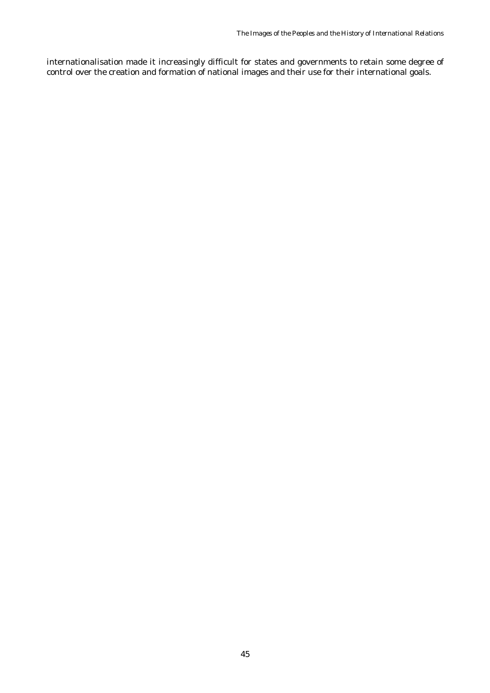internationalisation made it increasingly difficult for states and governments to retain some degree of control over the creation and formation of national images and their use for their international goals.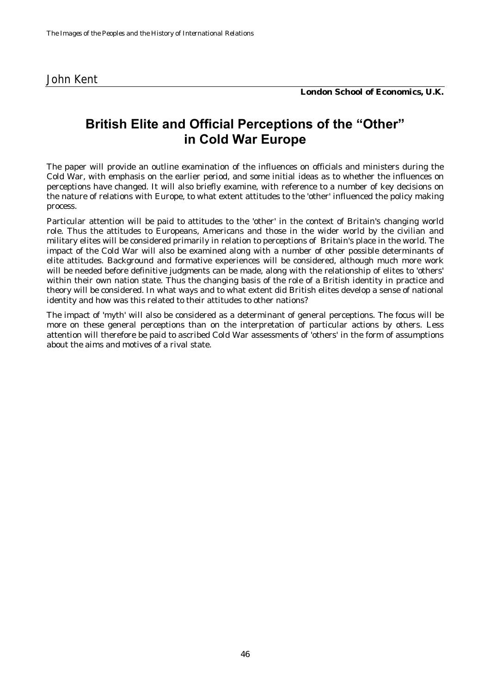| John Kent |
|-----------|
|-----------|

*London School of Economics, U.K.*

#### **British Elite and Official Perceptions of the "Other" in Cold War Europe**

The paper will provide an outline examination of the influences on officials and ministers during the Cold War, with emphasis on the earlier period, and some initial ideas as to whether the influences on perceptions have changed. It will also briefly examine, with reference to a number of key decisions on the nature of relations with Europe, to what extent attitudes to the 'other' influenced the policy making process.

Particular attention will be paid to attitudes to the 'other' in the context of Britain's changing world role. Thus the attitudes to Europeans, Americans and those in the wider world by the civilian and military elites will be considered primarily in relation to perceptions of Britain's place in the world. The impact of the Cold War will also be examined along with a number of other possible determinants of elite attitudes. Background and formative experiences will be considered, although much more work will be needed before definitive judgments can be made, along with the relationship of elites to 'others' within their own nation state. Thus the changing basis of the role of a British identity in practice and theory will be considered. In what ways and to what extent did British elites develop a sense of national identity and how was this related to their attitudes to other nations?

The impact of 'myth' will also be considered as a determinant of general perceptions. The focus will be more on these general perceptions than on the interpretation of particular actions by others. Less attention will therefore be paid to ascribed Cold War assessments of 'others' in the form of assumptions about the aims and motives of a rival state.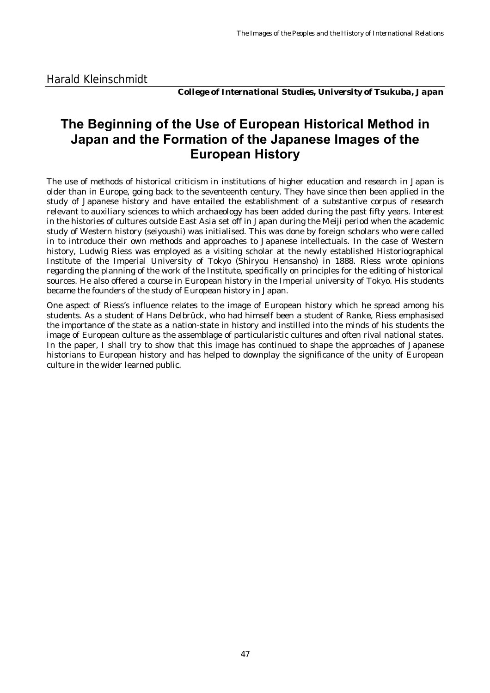*College of International Studies, University of Tsukuba, Japan*

## **The Beginning of the Use of European Historical Method in Japan and the Formation of the Japanese Images of the European History**

The use of methods of historical criticism in institutions of higher education and research in Japan is older than in Europe, going back to the seventeenth century. They have since then been applied in the study of Japanese history and have entailed the establishment of a substantive corpus of research relevant to auxiliary sciences to which archaeology has been added during the past fifty years. Interest in the histories of cultures outside East Asia set off in Japan during the Meiji period when the academic study of Western history (seiyoushi) was initialised. This was done by foreign scholars who were called in to introduce their own methods and approaches to Japanese intellectuals. In the case of Western history, Ludwig Riess was employed as a visiting scholar at the newly established Historiographical Institute of the Imperial University of Tokyo (Shiryou Hensansho) in 1888. Riess wrote opinions regarding the planning of the work of the Institute, specifically on principles for the editing of historical sources. He also offered a course in European history in the Imperial university of Tokyo. His students became the founders of the study of European history in Japan.

One aspect of Riess's influence relates to the image of European history which he spread among his students. As a student of Hans Delbrück, who had himself been a student of Ranke, Riess emphasised the importance of the state as a nation-state in history and instilled into the minds of his students the image of European culture as the assemblage of particularistic cultures and often rival national states. In the paper, I shall try to show that this image has continued to shape the approaches of Japanese historians to European history and has helped to downplay the significance of the unity of European culture in the wider learned public.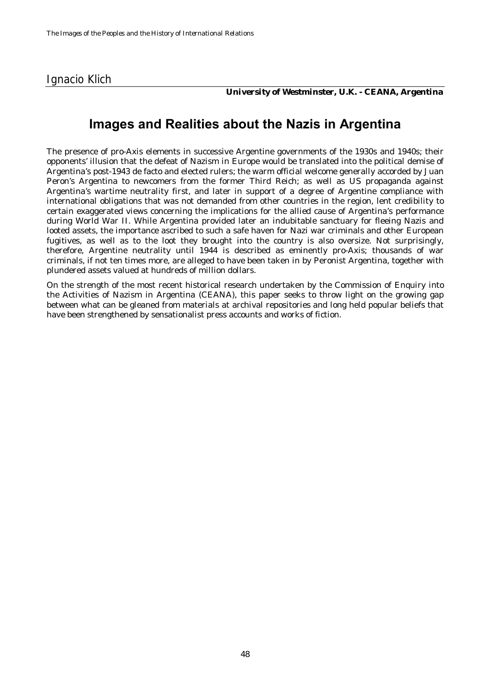#### Ignacio Klich

*University of Westminster, U.K. - CEANA, Argentina*

#### **Images and Realities about the Nazis in Argentina**

The presence of pro-Axis elements in successive Argentine governments of the 1930s and 1940s; their opponents' illusion that the defeat of Nazism in Europe would be translated into the political demise of Argentina's post-1943 de facto and elected rulers; the warm official welcome generally accorded by Juan Peron's Argentina to newcomers from the former Third Reich; as well as US propaganda against Argentina's wartime neutrality first, and later in support of a degree of Argentine compliance with international obligations that was not demanded from other countries in the region, lent credibility to certain exaggerated views concerning the implications for the allied cause of Argentina's performance during World War II. While Argentina provided later an indubitable sanctuary for fleeing Nazis and looted assets, the importance ascribed to such a safe haven for Nazi war criminals and other European fugitives, as well as to the loot they brought into the country is also oversize. Not surprisingly, therefore, Argentine neutrality until 1944 is described as eminently pro-Axis; thousands of war criminals, if not ten times more, are alleged to have been taken in by Peronist Argentina, together with plundered assets valued at hundreds of million dollars.

On the strength of the most recent historical research undertaken by the Commission of Enquiry into the Activities of Nazism in Argentina (CEANA), this paper seeks to throw light on the growing gap between what can be gleaned from materials at archival repositories and long held popular beliefs that have been strengthened by sensationalist press accounts and works of fiction.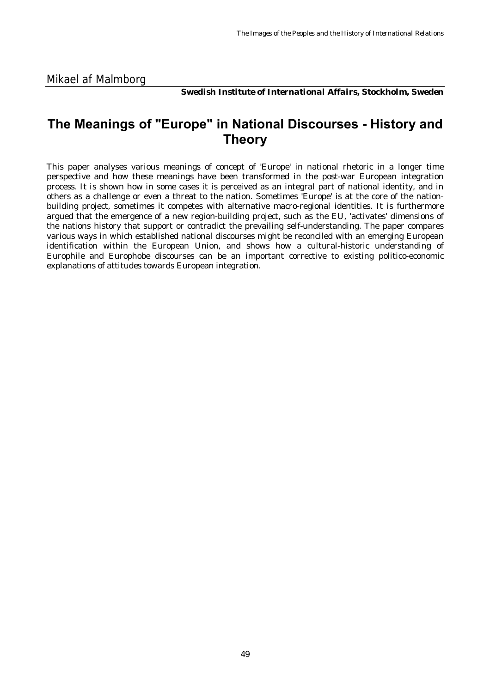*Swedish Institute of International Affairs, Stockholm, Sweden*

#### **The Meanings of "Europe" in National Discourses - History and Theory**

This paper analyses various meanings of concept of 'Europe' in national rhetoric in a longer time perspective and how these meanings have been transformed in the post-war European integration process. It is shown how in some cases it is perceived as an integral part of national identity, and in others as a challenge or even a threat to the nation. Sometimes 'Europe' is at the core of the nationbuilding project, sometimes it competes with alternative macro-regional identities. It is furthermore argued that the emergence of a new region-building project, such as the EU, 'activates' dimensions of the nations history that support or contradict the prevailing self-understanding. The paper compares various ways in which established national discourses might be reconciled with an emerging European identification within the European Union, and shows how a cultural-historic understanding of Europhile and Europhobe discourses can be an important corrective to existing politico-economic explanations of attitudes towards European integration.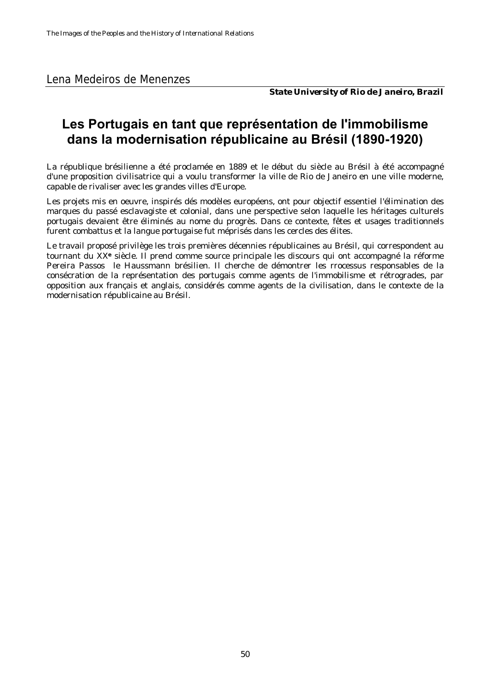Lena Medeiros de Menenzes

*State University of Rio de Janeiro, Brazil*

## **Les Portugais en tant que représentation de l'immobilisme dans la modernisation républicaine au Brésil (1890-1920)**

La république brésilienne a été proclamée en 1889 et le début du siècle au Brésil à été accompagné d'une proposition civilisatrice qui a voulu transformer la ville de Rio de Janeiro en une ville moderne, capable de rivaliser avec les grandes villes d'Europe.

Les projets mis en oeuvre, inspirés dés modèles européens, ont pour objectif essentiel l'élimination des marques du passé esclavagiste et colonial, dans une perspective selon laquelle les héritages culturels portugais devaient être éliminés au nome du progrès. Dans ce contexte, fêtes et usages traditionnels furent combattus et la langue portugaise fut méprisés dans les cercles des élites.

Le travail proposé privilège les trois premières décennies républicaines au Brésil, qui correspondent au tournant du XX**e** siècle. Il prend comme source principale les discours qui ont accompagné la réforme Pereira Passos le Haussmann brésilien. Il cherche de démontrer les rrocessus responsables de la consécration de la représentation des portugais comme agents de l'immobilisme et rétrogrades, par opposition aux français et anglais, considérés comme agents de la civilisation, dans le contexte de la modernisation républicaine au Brésil.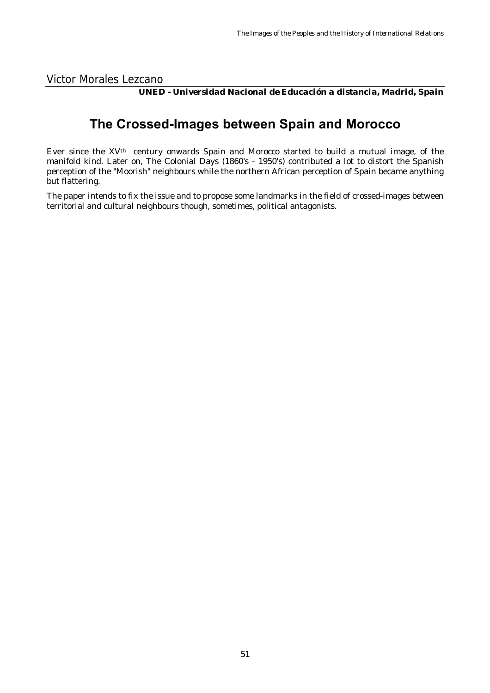Victor Morales Lezcano

*UNED - Universidad Nacional de Educación a distancia, Madrid, Spain*

## **The Crossed-Images between Spain and Morocco**

Ever since the XVth century onwards Spain and Morocco started to build a mutual image, of the manifold kind. Later on, The Colonial Days (1860's - 1950's) contributed a lot to distort the Spanish perception of the "Moorish" neighbours while the northern African perception of Spain became anything but flattering.

The paper intends to fix the issue and to propose some landmarks in the field of crossed-images between territorial and cultural neighbours though, sometimes, political antagonists.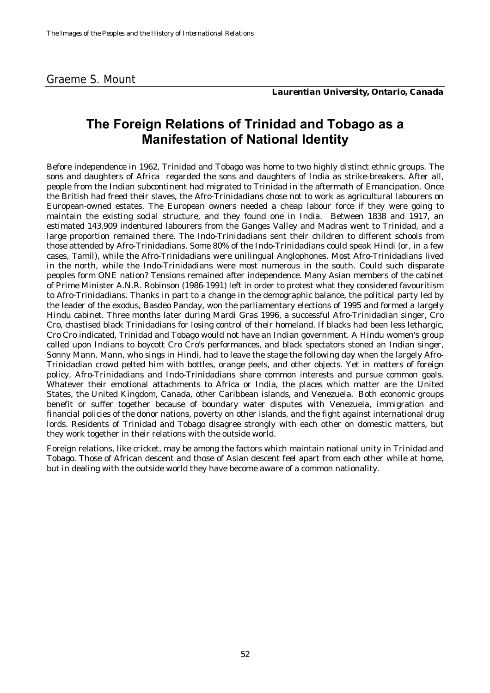*Laurentian University, Ontario, Canada*

#### **The Foreign Relations of Trinidad and Tobago as a Manifestation of National Identity**

Before independence in 1962, Trinidad and Tobago was home to two highly distinct ethnic groups. The sons and daughters of Africa regarded the sons and daughters of India as strike-breakers. After all, people from the Indian subcontinent had migrated to Trinidad in the aftermath of Emancipation. Once the British had freed their slaves, the Afro-Trinidadians chose not to work as agricultural labourers on European-owned estates. The European owners needed a cheap labour force if they were going to maintain the existing social structure, and they found one in India. Between 1838 and 1917, an estimated 143,909 indentured labourers from the Ganges Valley and Madras went to Trinidad, and a large proportion remained there. The Indo-Trinidadians sent their children to different schools from those attended by Afro-Trinidadians. Some 80% of the Indo-Trinidadians could speak Hindi (or, in a few cases, Tamil), while the Afro-Trinidadians were unilingual Anglophones. Most Afro-Trinidadians lived in the north, while the Indo-Trinidadians were most numerous in the south. Could such disparate peoples form ONE nation? Tensions remained after independence. Many Asian members of the cabinet of Prime Minister A.N.R. Robinson (1986-1991) left in order to protest what they considered favouritism to Afro-Trinidadians. Thanks in part to a change in the demographic balance, the political party led by the leader of the exodus, Basdeo Panday, won the parliamentary elections of 1995 and formed a largely Hindu cabinet. Three months later during Mardi Gras 1996, a successful Afro-Trinidadian singer, Cro Cro, chastised black Trinidadians for losing control of their homeland. If blacks had been less lethargic, Cro Cro indicated, Trinidad and Tobago would not have an Indian government. A Hindu women's group called upon Indians to boycott Cro Cro's performances, and black spectators stoned an Indian singer, Sonny Mann. Mann, who sings in Hindi, had to leave the stage the following day when the largely Afro-Trinidadian crowd pelted him with bottles, orange peels, and other objects. Yet in matters of foreign policy, Afro-Trinidadians and Indo-Trinidadians share common interests and pursue common goals. Whatever their emotional attachments to Africa or India, the places which matter are the United States, the United Kingdom, Canada, other Caribbean islands, and Venezuela. Both economic groups benefit or suffer together because of boundary water disputes with Venezuela, immigration and financial policies of the donor nations, poverty on other islands, and the fight against international drug lords. Residents of Trinidad and Tobago disagree strongly with each other on domestic matters, but they work together in their relations with the outside world.

Foreign relations, like cricket, may be among the factors which maintain national unity in Trinidad and Tobago. Those of African descent and those of Asian descent feel apart from each other while at home, but in dealing with the outside world they have become aware of a common nationality.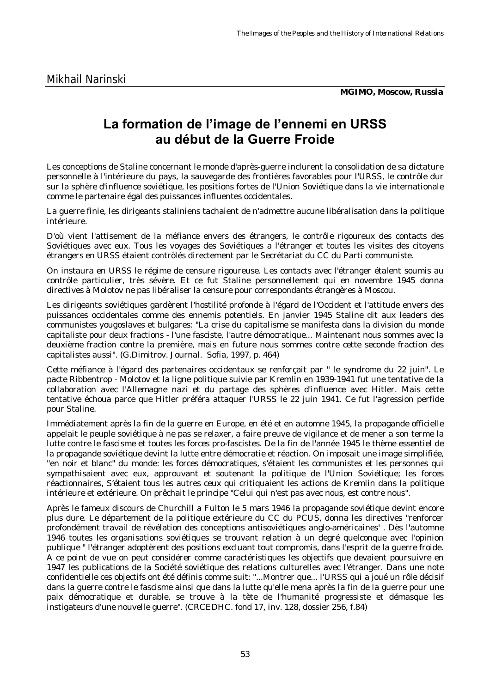*MGIMO, Moscow, Russia*

## **La formation de l'image de l'ennemi en URSS au début de la Guerre Froide**

Les conceptions de Staline concernant le monde d'après-guerre inclurent la consolidation de sa dictature personnelle à l'intérieure du pays, la sauvegarde des frontières favorables pour l'URSS, le contrôle dur sur la sphère d'influence soviétique, les positions fortes de l'Union Soviétique dans la vie internationale comme le partenaire égal des puissances influentes occidentales.

La guerre finie, les dirigeants staliniens tachaient de n'admettre aucune libéralisation dans la politique intérieure.

D'où vient l'attisement de la méfiance envers des étrangers, le contrôle rigoureux des contacts des Soviétiques avec eux. Tous les voyages des Soviétiques a l'étranger et toutes les visites des citoyens étrangers en URSS étaient contrôlés directement par le Secrétariat du CC du Parti communiste.

On instaura en URSS le régime de censure rigoureuse. Les contacts avec l'étranger étalent soumis au contrôle particulier, très sévère. Et ce fut Staline personnellement qui en novembre 1945 donna directives à Molotov ne pas libéraliser la censure pour correspondants étrangères à Moscou.

Les dirigeants soviétiques gardèrent l'hostilité profonde à l'égard de l'Occident et l'attitude envers des puissances occidentales comme des ennemis potentiels. En janvier 1945 Staline dit aux leaders des communistes yougoslaves et bulgares: "La crise du capitalisme se manifesta dans la division du monde capitaliste pour deux fractions - l'une fasciste, l'autre démocratique... Maintenant nous sommes avec la deuxième fraction contre la première, mais en future nous sommes contre cette seconde fraction des capitalistes aussi". (G.Dimitrov. Journal. Sofia, 1997, p. 464)

Cette méfiance à l'égard des partenaires occidentaux se renforçait par " le syndrome du 22 juin". Le pacte Ribbentrop - Molotov et la ligne politique suivie par Kremlin en 1939-1941 fut une tentative de la collaboration avec l'Allemagne nazi et du partage des sphères d'influence avec Hitler. Mais cette tentative échoua parce que Hitler préféra attaquer l'URSS le 22 juin 1941. Ce fut l'agression perfide pour Staline.

Immédiatement après la fin de la guerre en Europe, en été et en automne 1945, la propagande officielle appelait le peuple soviétique à ne pas se relaxer, a faire preuve de vigilance et de mener a son terme la lutte contre le fascisme et toutes les forces pro-fascistes. De la fin de l'année 1945 le thème essentiel de la propagande soviétique devint la lutte entre démocratie et réaction. On imposait une image simplifiée, "en noir et blanc" du monde: les forces démocratiques, s'étaient les communistes et les personnes qui sympathisaient avec eux, approuvant et soutenant la politique de l'Union Soviétique; les forces réactionnaires, S'étaient tous les autres ceux qui critiquaient les actions de Kremlin dans la politique intérieure et extérieure. On prêchait le principe "Celui qui n'est pas avec nous, est contre nous".

Après le fameux discours de Churchill a Fulton le 5 mars 1946 la propagande soviétique devint encore plus dure. Le département de la politique extérieure du CC du PCUS, donna les directives "renforcer profondément travail de révélation des conceptions antisoviétiques anglo-américaines' . Dès l'automne 1946 toutes les organisations soviétiques se trouvant relation à un degré quelconque avec l'opinion publique " l'étranger adoptèrent des positions excluant tout compromis, dans l'esprit de la guerre froide. A ce point de vue on peut considérer comme caractéristiques les objectifs que devaient poursuivre en 1947 les publications de la Société soviétique des relations culturelles avec l'étranger. Dans une note confidentielle ces objectifs ont été définis comme suit: "...Montrer que... l'URSS qui a joué un rôle décisif dans la guerre contre le fascisme ainsi que dans la lutte qu'elle mena après la fin de la guerre pour une paix démocratique et durable, se trouve à la tète de l'humanité progressiste et démasque les instigateurs d'une nouvelle guerre". (CRCEDHC. fond 17, inv. 128, dossier 256, f.84)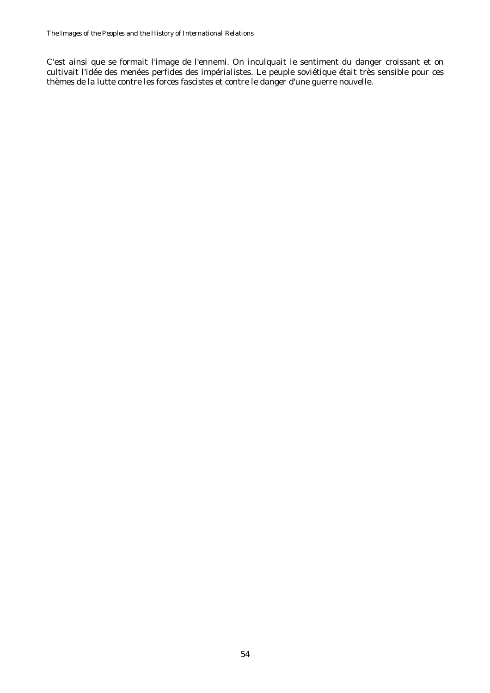C'est ainsi que se formait l'image de l'ennemi. On inculquait le sentiment du danger croissant et on cultivait l'idée des menées perfides des impérialistes. Le peuple soviétique était très sensible pour ces thèmes de la lutte contre les forces fascistes et contre le danger d'une guerre nouvelle.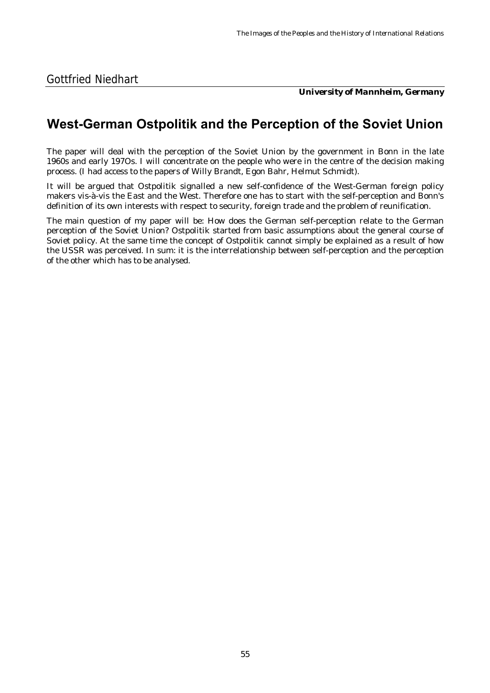*University of Mannheim, Germany*

#### **West-German Ostpolitik and the Perception of the Soviet Union**

The paper will deal with the perception of the Soviet Union by the government in Bonn in the late 1960s and early 197Os. I will concentrate on the people who were in the centre of the decision making process. (I had access to the papers of Willy Brandt, Egon Bahr, Helmut Schmidt).

It will be argued that Ostpolitik signalled a new self-confidence of the West-German foreign policy makers vis-à-vis the East and the West. Therefore one has to start with the self-perception and Bonn's definition of its own interests with respect to security, foreign trade and the problem of reunification.

The main question of my paper will be: How does the German self-perception relate to the German perception of the Soviet Union? Ostpolitik started from basic assumptions about the general course of Soviet policy. At the same time the concept of Ostpolitik cannot simply be explained as a result of how the USSR was perceived. In sum: it is the interrelationship between self-perception and the perception of the other which has to be analysed.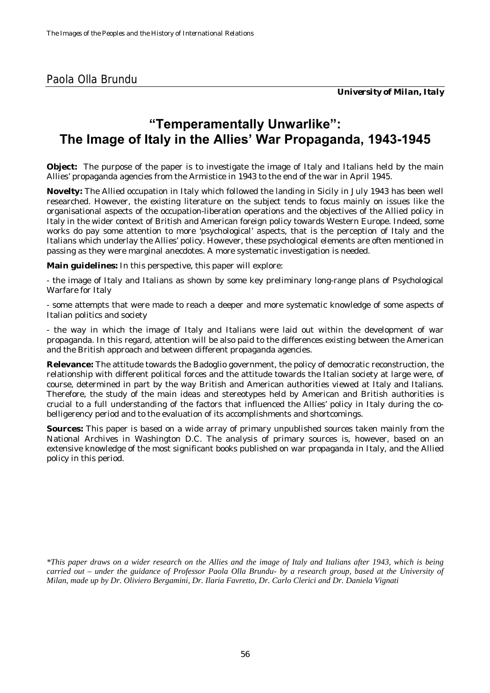## **"Temperamentally Unwarlike": The Image of Italy in the Allies' War Propaganda, 1943-1945**

**Object:** The purpose of the paper is to investigate the image of Italy and Italians held by the main Allies' propaganda agencies from the Armistice in 1943 to the end of the war in April 1945.

**Novelty:** The Allied occupation in Italy which followed the landing in Sicily in July 1943 has been well researched. However, the existing literature on the subject tends to focus mainly on issues like the organisational aspects of the occupation-liberation operations and the objectives of the Allied policy in Italy in the wider context of British and American foreign policy towards Western Europe. Indeed, some works do pay some attention to more 'psychological' aspects, that is the perception of Italy and the Italians which underlay the Allies' policy. However, these psychological elements are often mentioned in passing as they were marginal anecdotes. A more systematic investigation is needed.

**Main guidelines:** In this perspective, this paper will explore:

- the image of Italy and Italians as shown by some key preliminary long-range plans of Psychological Warfare for Italy

- some attempts that were made to reach a deeper and more systematic knowledge of some aspects of Italian politics and society

- the way in which the image of Italy and Italians were laid out within the development of war propaganda. In this regard, attention will be also paid to the differences existing between the American and the British approach and between different propaganda agencies.

**Relevance:** The attitude towards the Badoglio government, the policy of democratic reconstruction, the relationship with different political forces and the attitude towards the Italian society at large were, of course, determined in part by the way British and American authorities viewed at Italy and Italians. Therefore, the study of the main ideas and stereotypes held by American and British authorities is crucial to a full understanding of the factors that influenced the Allies' policy in Italy during the cobelligerency period and to the evaluation of its accomplishments and shortcomings.

**Sources:** This paper is based on a wide array of primary unpublished sources taken mainly from the National Archives in Washington D.C. The analysis of primary sources is, however, based on an extensive knowledge of the most significant books published on war propaganda in Italy, and the Allied policy in this period.

*\*This paper draws on a wider research on the Allies and the image of Italy and Italians after 1943, which is being carried out – under the guidance of Professor Paola Olla Brundu- by a research group, based at the University of Milan, made up by Dr. Oliviero Bergamini, Dr. Ilaria Favretto, Dr. Carlo Clerici and Dr. Daniela Vignati*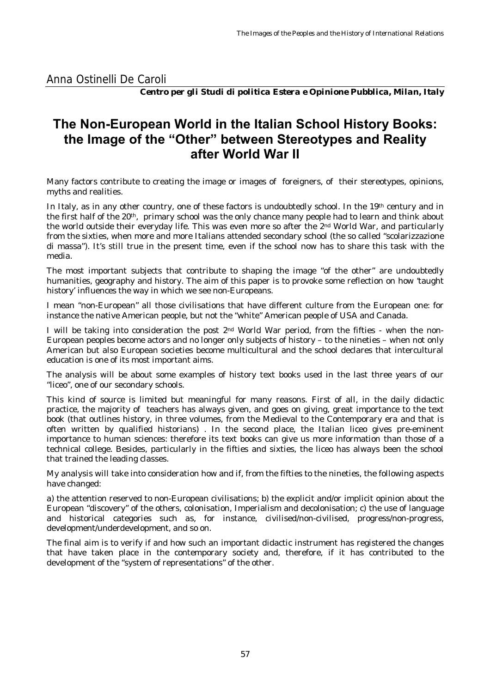Anna Ostinelli De Caroli

*Centro per gli Studi di politica Estera e Opinione Pubblica, Milan, Italy*

## **The Non-European World in the Italian School History Books: the Image of the "Other" between Stereotypes and Reality after World War II**

Many factors contribute to creating the image or images of foreigners, of their stereotypes, opinions, myths and realities.

In Italy, as in any other country, one of these factors is undoubtedly school. In the 19th century and in the first half of the 20th, primary school was the only chance many people had to learn and think about the world outside their everyday life. This was even more so after the 2nd World War, and particularly from the sixties, when more and more Italians attended secondary school (the so called "scolarizzazione di massa"). It's still true in the present time, even if the school now has to share this task with the media.

The most important subjects that contribute to shaping the image "of the other" are undoubtedly humanities, geography and history. The aim of this paper is to provoke some reflection on how 'taught history' influences the way in which we see non-Europeans.

I mean "non-European" all those civilisations that have different culture from the European one: for instance the native American people, but not the "white" American people of USA and Canada.

I will be taking into consideration the post  $2<sup>nd</sup>$  World War period, from the fifties - when the non-European peoples become actors and no longer only subjects of history – to the nineties – when not only American but also European societies become multicultural and the school declares that intercultural education is one of its most important aims.

The analysis will be about some examples of history text books used in the last three years of our "liceo", one of our secondary schools.

This kind of source is limited but meaningful for many reasons. First of all, in the daily didactic practice, the majority of teachers has always given, and goes on giving, great importance to the text book (that outlines history, in three volumes, from the Medieval to the Contemporary era and that is often written by qualified historians) . In the second place, the Italian liceo gives pre-eminent importance to human sciences: therefore its text books can give us more information than those of a technical college. Besides, particularly in the fifties and sixties, the liceo has always been the school that trained the leading classes.

My analysis will take into consideration how and if, from the fifties to the nineties, the following aspects have changed:

a) the attention reserved to non-European civilisations; b) the explicit and/or implicit opinion about the European "discovery" of the others, colonisation, Imperialism and decolonisation; c) the use of language and historical categories such as, for instance, civilised/non-civilised, progress/non-progress, development/underdevelopment, and so on.

The final aim is to verify if and how such an important didactic instrument has registered the changes that have taken place in the contemporary society and, therefore, if it has contributed to the development of the "system of representations" of the other.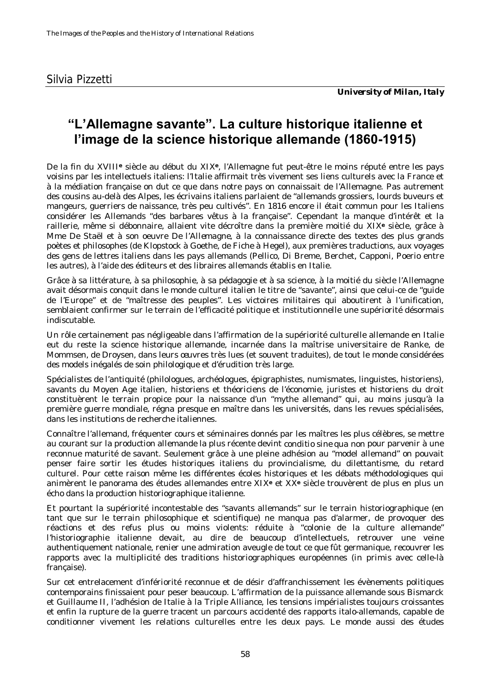## **"L'Allemagne savante". La culture historique italienne et l'image de la science historique allemande (1860-1915)**

De la fin du XVIII**e** siècle au début du XIX**e**, l'Allemagne fut peut-être le moins réputé entre les pays voisins par les intellectuels italiens: l'Italie affirmait très vivement ses liens culturels avec la France et à la médiation française on dut ce que dans notre pays on connaissait de l'Allemagne. Pas autrement des cousins au-delà des Alpes, les écrivains italiens parlaient de "allemands grossiers, lourds buveurs et mangeurs, guerriers de naissance, très peu cultivés". En 1816 encore il était commun pour les Italiens considérer les Allemands "des barbares vêtus à la française". Cependant la manque d'intérêt et la raillerie, même si débonnaire, allaient vite décroître dans la première moitié du XIX**e** siècle, grâce à Mme De Staël et à son oeuvre *De l'Allemagne*, à la connaissance directe des textes des plus grands poètes et philosophes (de Klopstock à Goethe, de Fiche à Hegel), aux premières traductions, aux voyages des gens de lettres italiens dans les pays allemands (Pellico, Di Breme, Berchet, Capponi, Poerio entre les autres), à l'aide des éditeurs et des libraires allemands établis en Italie.

Grâce à sa littérature, à sa philosophie, à sa pédagogie et à sa science, à la moitié du siècle l'Allemagne avait désormais conquit dans le monde culturel italien le titre de "savante", ainsi que celui-ce de "guide de l'Europe" et de "maîtresse des peuples". Les victoires militaires qui aboutirent à l'unification, semblaient confirmer sur le terrain de l'efficacité politique et institutionnelle une supériorité désormais indiscutable.

Un rôle certainement pas négligeable dans l'affirmation de la supériorité culturelle allemande en Italie eut du reste la science historique allemande, incarnée dans la maîtrise universitaire de Ranke, de Mommsen, de Droysen, dans leurs œuvres très lues (et souvent traduites), de tout le monde considérées des models inégalés de soin philologique et d'érudition très large.

Spécialistes de l'antiquité (philologues, archéologues, épigraphistes, numismates, linguistes, historiens), savants du Moyen Age italien, historiens et théoriciens de l'économie, juristes et historiens du droit constituèrent le terrain propice pour la naissance d'un "mythe allemand" qui, au moins jusqu'à la première guerre mondiale, régna presque en maître dans les universités, dans les revues spécialisées, dans les institutions de recherche italiennes.

Connaître l'allemand, fréquenter cours et séminaires donnés par les maîtres les plus célèbres, se mettre au courant sur la production allemande la plus récente devint *conditio sine qua non* pour parvenir à une reconnue maturité de savant. Seulement grâce à une pleine adhésion au "model allemand" on pouvait penser faire sortir les études historiques italiens du provincialisme, du dilettantisme, du retard culturel. Pour cette raison même les différentes écoles historiques et les débats méthodologiques qui animèrent le panorama des études allemandes entre XIX**e** et XX**e** siècle trouvèrent de plus en plus un écho dans la production historiographique italienne.

Et pourtant la supériorité incontestable des "savants allemands" sur le terrain historiographique (en tant que sur le terrain philosophique et scientifique) ne manqua pas d'alarmer, de provoquer des réactions et des refus plus ou moins violents: réduite à "colonie de la culture allemande" l'historiographie italienne devait, au dire de beaucoup d'intellectuels, retrouver une veine authentiquement nationale, renier une admiration aveugle de tout ce que fût germanique, recouvrer les rapports avec la multiplicité des traditions historiographiques européennes (*in primis* avec celle-là française).

Sur cet entrelacement d'infériorité reconnue et de désir d'affranchissement les évènements politiques contemporains finissaient pour peser beaucoup. L'affirmation de la puissance allemande sous Bismarck et Guillaume II, l'adhésion de Italie à la Triple Alliance, les tensions impérialistes toujours croissantes et enfin la rupture de la guerre tracent un parcours accidenté des rapports italo-allemands, capable de conditionner vivement les relations culturelles entre les deux pays. Le monde aussi des études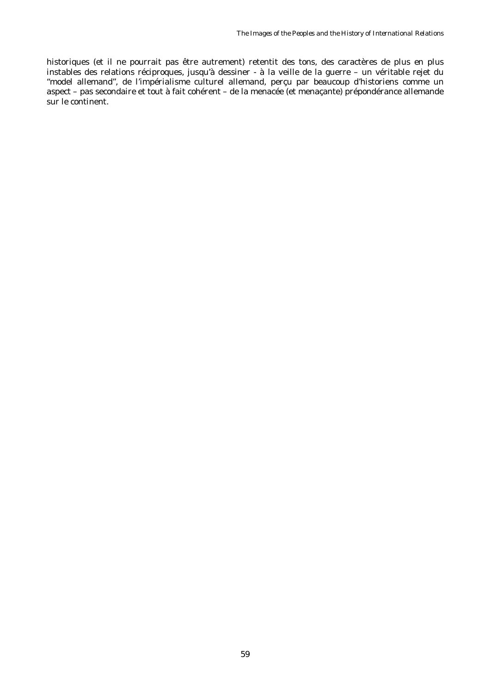historiques (et il ne pourrait pas être autrement) retentit des tons, des caractères de plus en plus instables des relations réciproques, jusqu'à dessiner - à la veille de la guerre – un véritable rejet du "model allemand", de l'impérialisme culturel allemand, perçu par beaucoup d'historiens comme un aspect – pas secondaire et tout à fait cohérent – de la menacée (et menaçante) prépondérance allemande sur le continent.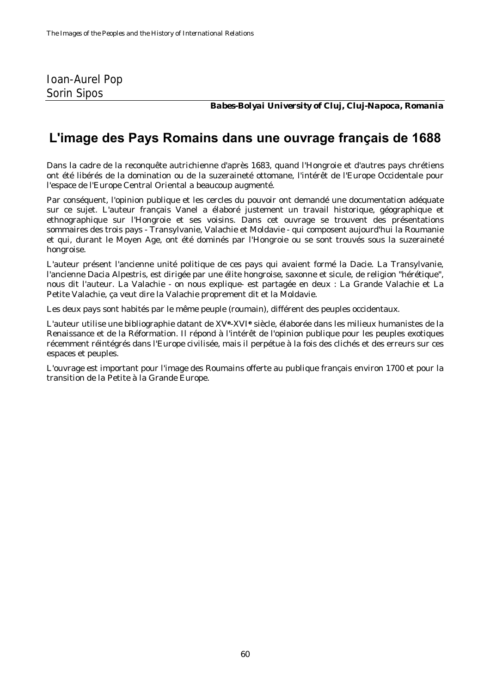#### Ioan-Aurel Pop Sorin Sipos

*Babes-Bolyai University of Cluj, Cluj-Napoca, Romania*

## **L'image des Pays Romains dans une ouvrage français de 1688**

Dans la cadre de la reconquête autrichienne d'après 1683, quand l'Hongroie et d'autres pays chrétiens ont été libérés de la domination ou de la suzeraineté ottomane, l'intérêt de l'Europe Occidentale pour l'espace de l'Europe Central Oriental a beaucoup augmenté.

Par conséquent, l'opinion publique et les cercles du pouvoir ont demandé une documentation adéquate sur ce sujet. L'auteur français Vanel a élaboré justement un travail historique, géographique et ethnographique sur l'Hongroie et ses voisins. Dans cet ouvrage se trouvent des présentations sommaires des trois pays - Transylvanie, Valachie et Moldavie - qui composent aujourd'hui la Roumanie et qui, durant le Moyen Age, ont été dominés par l'Hongroie ou se sont trouvés sous la suzeraineté hongroise.

L'auteur présent l'ancienne unité politique de ces pays qui avaient formé la Dacie. La Transylvanie, l'ancienne *Dacia Alpestris*, est dirigée par une élite hongroise, saxonne et sicule, de religion "hérétique", nous dit l'auteur. La Valachie - on nous explique- est partagée en deux : La Grande Valachie et La Petite Valachie, ça veut dire la Valachie proprement dit et la Moldavie.

Les deux pays sont habités par le même peuple (roumain), différent des peuples occidentaux.

L'auteur utilise une bibliographie datant de XV**e**-XVI**e** siècle, élaborée dans les milieux humanistes de la Renaissance et de la Réformation. Il répond à l'intérêt de l'opinion publique pour les peuples exotiques récemment réintégrés dans l'Europe civilisée, mais il perpétue à la fois des clichés et des erreurs sur ces espaces et peuples.

L'ouvrage est important pour l'image des Roumains offerte au publique français environ 1700 et pour la transition de la Petite à la Grande Europe.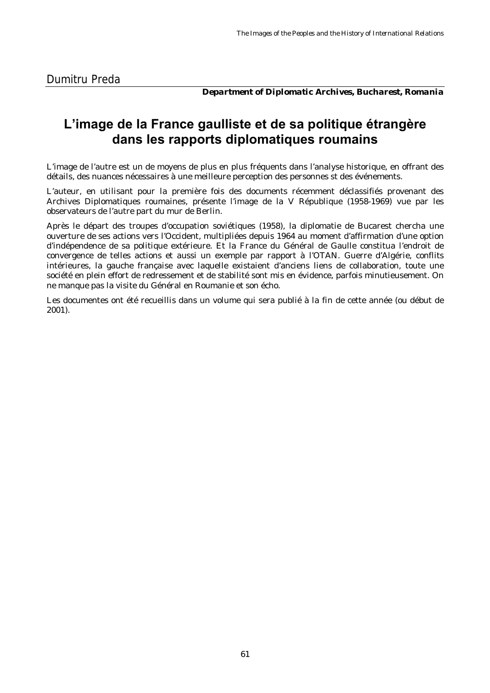*Department of Diplomatic Archives, Bucharest, Romania*

#### **L'image de la France gaulliste et de sa politique étrangère dans les rapports diplomatiques roumains**

L'image de l'autre est un de moyens de plus en plus fréquents dans l'analyse historique, en offrant des détails, des nuances nécessaires à une meilleure perception des personnes st des événements.

L'auteur, en utilisant pour la première fois des documents récemment déclassifiés provenant des Archives Diplomatiques roumaines, présente l'image de la V République (1958-1969) vue par les observateurs de l'autre part du mur de Berlin.

Après le départ des troupes d'occupation soviétiques (1958), la diplomatie de Bucarest chercha une ouverture de ses actions vers l'Occident, multipliées depuis 1964 au moment d'affirmation d'une option d'indépendence de sa politique extérieure. Et la France du Général de Gaulle constitua l'endroit de convergence de telles actions et aussi un exemple par rapport à l'OTAN. Guerre d'Algérie, conflits intérieures, la gauche française avec laquelle existaient d'anciens liens de collaboration, toute une société en plein effort de redressement et de stabilité sont mis en évidence, parfois minutieusement. On ne manque pas la visite du Général en Roumanie et son écho.

Les documentes ont été recueillis dans un volume qui sera publié à la fin de cette année (ou début de 2001).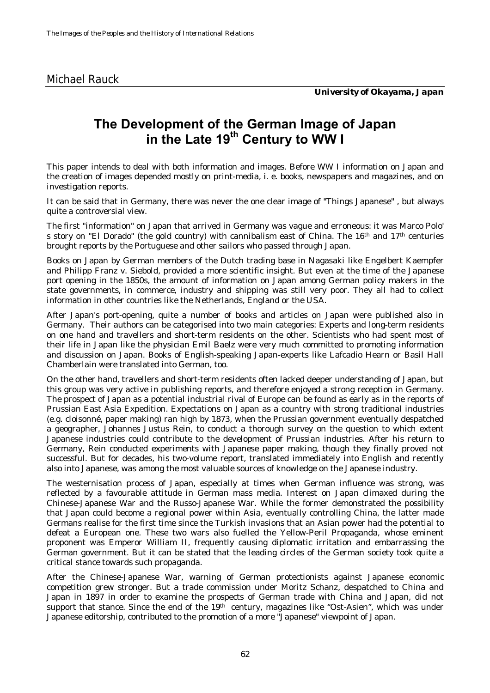## **The Development of the German Image of Japan in the Late 19th Century to WW I**

This paper intends to deal with both information and images. Before WW I information on Japan and the creation of images depended mostly on print-media, i. e. books, newspapers and magazines, and on investigation reports.

It can be said that in Germany, there was never the one clear image of "Things Japanese" , but always quite a controversial view.

The first "information" on Japan that arrived in Germany was vague and erroneous: it was Marco Polo' s story on "El Dorado" (the gold country) with cannibalism east of China. The 16th and 17th centuries brought reports by the Portuguese and other sailors who passed through Japan.

Books on Japan by German members of the Dutch trading base in Nagasaki like Engelbert Kaempfer and Philipp Franz v. Siebold, provided a more scientific insight. But even at the time of the Japanese port opening in the 1850s, the amount of information on Japan among German policy makers in the state governments, in commerce, industry and shipping was still very poor. They all had to collect information in other countries like the Netherlands, England or the USA.

After Japan's port-opening, quite a number of books and articles on Japan were published also in Germany. Their authors can be categorised into two main categories: Experts and long-term residents on one hand and travellers and short-term residents on the other. Scientists who had spent most of their life in Japan like the physician Emil Baelz were very much committed to promoting information and discussion on Japan. Books of English-speaking Japan-experts like Lafcadio Hearn or Basil Hall Chamberlain were translated into German, too.

On the other hand, travellers and short-term residents often lacked deeper understanding of Japan, but this group was very active in publishing reports, and therefore enjoyed a strong reception in Germany. The prospect of Japan as a potential industrial rival of Europe can be found as early as in the reports of Prussian East Asia Expedition. Expectations on Japan as a country with strong traditional industries (e.g. cloisonné, paper making) ran high by 1873, when the Prussian government eventually despatched a geographer, Johannes Justus Rein, to conduct a thorough survey on the question to which extent Japanese industries could contribute to the development of Prussian industries. After his return to Germany, Rein conducted experiments with Japanese paper making, though they finally proved not successful. But for decades, his two-volume report, translated immediately into English and recently also into Japanese, was among the most valuable sources of knowledge on the Japanese industry.

The westernisation process of Japan, especially at times when German influence was strong, was reflected by a favourable attitude in German mass media. Interest on Japan climaxed during the Chinese-Japanese War and the Russo-Japanese War. While the former demonstrated the possibility that Japan could become a regional power within Asia, eventually controlling China, the latter made Germans realise for the first time since the Turkish invasions that an Asian power had the potential to defeat a European one. These two wars also fuelled the Yellow-Peril Propaganda, whose eminent proponent was Emperor William II, frequently causing diplomatic irritation and embarrassing the German government. But it can be stated that the leading circles of the German society took quite a critical stance towards such propaganda.

After the Chinese-Japanese War, warning of German protectionists against Japanese economic competition grew stronger. But a trade commission under Moritz Schanz, despatched to China and Japan in 1897 in order to examine the prospects of German trade with China and Japan, did not support that stance. Since the end of the  $19<sup>th</sup>$  century, magazines like "Ost-Asien", which was under Japanese editorship, contributed to the promotion of a more "Japanese" viewpoint of Japan.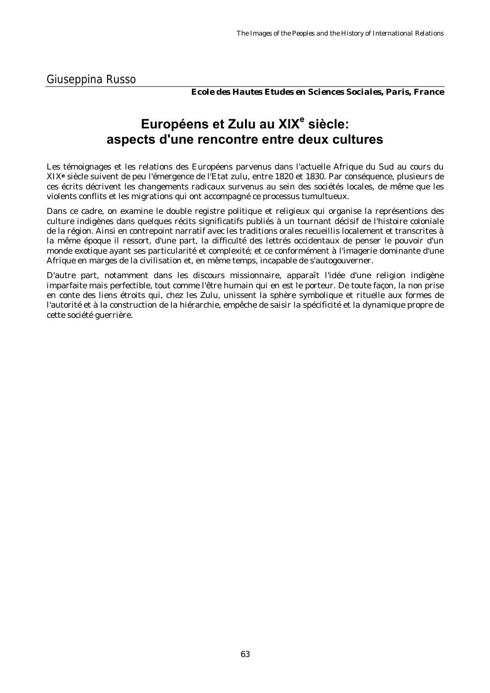*Ecole des Hautes Etudes en Sciences Sociales, Paris, France*

# **Européens et Zulu au XlX<sup>e</sup> siècle: aspects d'une rencontre entre deux cultures**

Les témoignages et les relations des Européens parvenus dans l'actuelle Afrique du Sud au cours du XIX**e** siècle suivent de peu l'émergence de l'Etat zulu, entre 1820 et 1830. Par conséquence, plusieurs de ces écrits décrivent les changements radicaux survenus au sein des sociétés locales, de même que les violents conflits et les migrations qui ont accompagné ce processus tumultueux.

Dans ce cadre, on examine le double registre politique et religieux qui organise la représentions des culture indigènes dans quelques récits significatifs publiés à un tournant décisif de l'histoire coloniale de la région. Ainsi en contrepoint narratif avec les traditions orales recueillis localement et transcrites à la même époque il ressort, d'une part, la difficulté des lettrés occidentaux de penser le pouvoir d'un monde exotique ayant ses particularité et complexité; et ce conformément à l'imagerie dominante d'une Afrique en marges de la civilisation et, en même temps, incapable de s'autogouverner.

D'autre part, notamment dans les discours missionnaire, apparaît l'idée d'une religion indigène imparfaite mais perfectible, tout comme l'être humain qui en est le porteur. De toute façon, la non prise en conte des liens étroits qui, chez les Zulu, unissent la sphère symbolique et rituelle aux formes de l'autorité et à la construction de la hiérarchie, empêche de saisir la spécificité et la dynamique propre de cette société guerrière.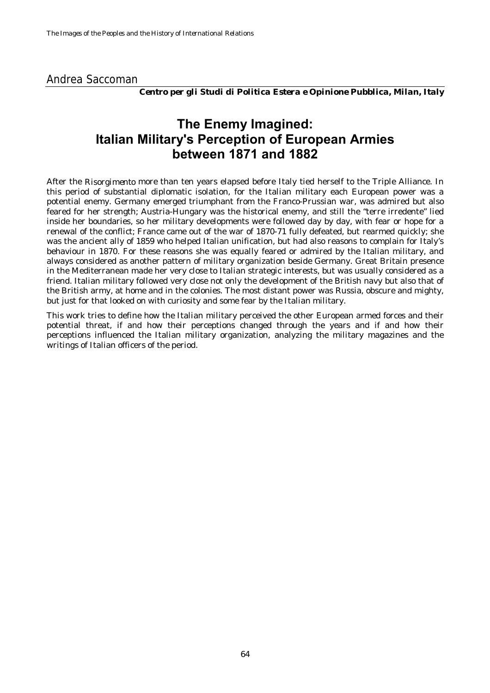#### Andrea Saccoman

*Centro per gli Studi di Politica Estera e Opinione Pubblica, Milan, Italy*

### **The Enemy Imagined: Italian Military's Perception of European Armies between 1871 and 1882**

After the *Risorgimento* more than ten years elapsed before Italy tied herself to the Triple Alliance. In this period of substantial diplomatic isolation, for the Italian military each European power was a potential enemy. Germany emerged triumphant from the Franco-Prussian war, was admired but also feared for her strength; Austria-Hungary was the historical enemy, and still the "terre irredente" lied inside her boundaries, so her military developments were followed day by day, with fear or hope for a renewal of the conflict; France came out of the war of 1870-71 fully defeated, but rearmed quickly; she was the ancient ally of 1859 who helped Italian unification, but had also reasons to complain for Italy's behaviour in 1870. For these reasons she was equally feared or admired by the Italian military, and always considered as another pattern of military organization beside Germany. Great Britain presence in the Mediterranean made her very close to Italian strategic interests, but was usually considered as a friend. Italian military followed very close not only the development of the British navy but also that of the British army, at home and in the colonies. The most distant power was Russia, obscure and mighty, but just for that looked on with curiosity and some fear by the Italian military.

This work tries to define how the Italian military perceived the other European armed forces and their potential threat, if and how their perceptions changed through the years and if and how their perceptions influenced the Italian military organization, analyzing the military magazines and the writings of Italian officers of the period.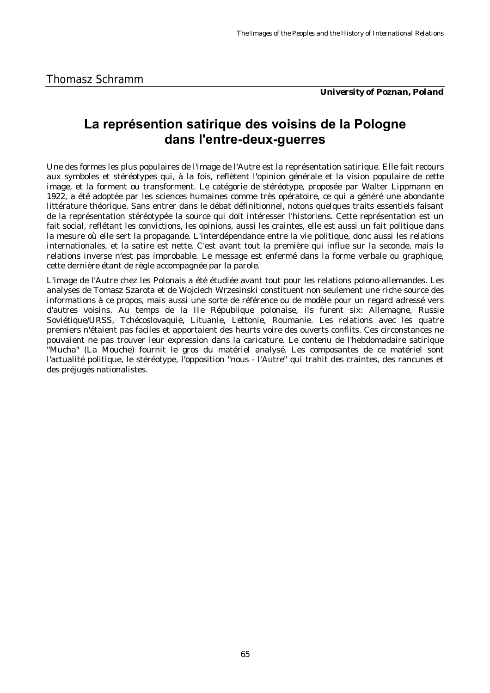*University of Poznan, Poland*

## **La représention satirique des voisins de la Pologne dans l'entre-deux-guerres**

Une des formes les plus populaires de l'image de l'Autre est la représentation satirique. Elle fait recours aux symboles et stéréotypes qui, à la fois, reflètent l'opinion générale et la vision populaire de cette image, et la forment ou transforment. Le catégorie de stéréotype, proposée par Walter Lippmann en 1922, a été adoptée par les sciences humaines comme très opératoire, ce qui a généré une abondante littérature théorique. Sans entrer dans le débat définitionnel, notons quelques traits essentiels faisant de la représentation stéréotypée la source qui doit intéresser l'historiens. Cette représentation est un fait social, reflétant les convictions, les opinions, aussi les craintes, elle est aussi un fait politique dans la mesure où elle sert la propagande. L'interdépendance entre la vie politique, donc aussi les relations internationales, et la satire est nette. C'est avant tout la première qui influe sur la seconde, mais la relations inverse n'est pas improbable. Le message est enfermé dans la forme verbale ou graphique, cette dernière étant de règle accompagnée par la parole.

L'image de l'Autre chez les Polonais a été étudiée avant tout pour les relations polono-allemandes. Les analyses de Tomasz Szarota et de Wojciech Wrzesinski constituent non seulement une riche source des informations à ce propos, mais aussi une sorte de référence ou de modèle pour un regard adressé vers d'autres voisins. Au temps de la IIe République polonaise, ils furent six: Allemagne, Russie Soviétique/URSS, Tchécoslovaquie, Lituanie, Lettonie, Roumanie. Les relations avec les quatre premiers n'étaient pas faciles et apportaient des heurts voire des ouverts conflits. Ces circonstances ne pouvaient ne pas trouver leur expression dans la caricature. Le contenu de l'hebdomadaire satirique "Mucha" (La Mouche) fournit le gros du matériel analysé. Les composantes de ce matériel sont l'actualité politique, le stéréotype, l'opposition "nous - l'Autre" qui trahit des craintes, des rancunes et des préjugés nationalistes.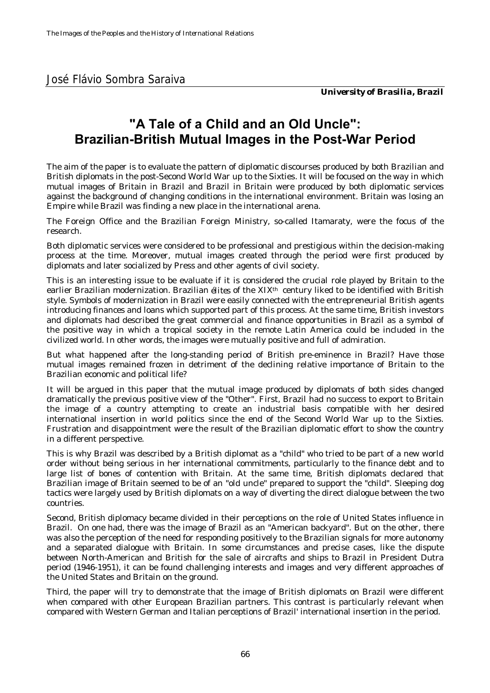## **"A Tale of a Child and an Old Uncle": Brazilian-British Mutual Images in the Post-War Period**

The aim of the paper is to evaluate the pattern of diplomatic discourses produced by both Brazilian and British diplomats in the post-Second World War up to the Sixties. It will be focused on the way in which mutual images of Britain in Brazil and Brazil in Britain were produced by both diplomatic services against the background of changing conditions in the international environment. Britain was losing an Empire while Brazil was finding a new place in the international arena.

The Foreign Office and the Brazilian Foreign Ministry, so-called Itamaraty, were the focus of the research.

Both diplomatic services were considered to be professional and prestigious within the decision-making process at the time. Moreover, mutual images created through the period were first produced by diplomats and later socialized by Press and other agents of civil society.

This is an interesting issue to be evaluate if it is considered the crucial role played by Britain to the earlier Brazilian modernization. Brazilian *élites* of the XIXth century liked to be identified with British style. Symbols of modernization in Brazil were easily connected with the entrepreneurial British agents introducing finances and loans which supported part of this process. At the same time, British investors and diplomats had described the great commercial and finance opportunities in Brazil as a symbol of the positive way in which a tropical society in the remote Latin America could be included in the civilized world. In other words, the images were mutually positive and full of admiration.

But what happened after the long-standing period of British pre-eminence in Brazil? Have those mutual images remained frozen in detriment of the declining relative importance of Britain to the Brazilian economic and political life?

It will be argued in this paper that the mutual image produced by diplomats of both sides changed dramatically the previous positive view of the "Other". First, Brazil had no success to export to Britain the image of a country attempting to create an industrial basis compatible with her desired international insertion in world politics since the end of the Second World War up to the Sixties. Frustration and disappointment were the result of the Brazilian diplomatic effort to show the country in a different perspective.

This is why Brazil was described by a British diplomat as a "child" who tried to be part of a new world order without being serious in her international commitments, particularly to the finance debt and to large list of bones of contention with Britain. At the same time, British diplomats declared that Brazilian image of Britain seemed to be of an "old uncle" prepared to support the "child". Sleeping dog tactics were largely used by British diplomats on a way of diverting the direct dialogue between the two countries.

Second, British diplomacy became divided in their perceptions on the role of United States influence in Brazil. On one had, there was the image of Brazil as an "American backyard". But on the other, there was also the perception of the need for responding positively to the Brazilian signals for more autonomy and a separated dialogue with Britain. In some circumstances and precise cases, like the dispute between North-American and British for the sale of aircrafts and ships to Brazil in President Dutra period (1946-1951), it can be found challenging interests and images and very different approaches of the United States and Britain on the ground.

Third, the paper will try to demonstrate that the image of British diplomats on Brazil were different when compared with other European Brazilian partners. This contrast is particularly relevant when compared with Western German and Italian perceptions of Brazil' international insertion in the period.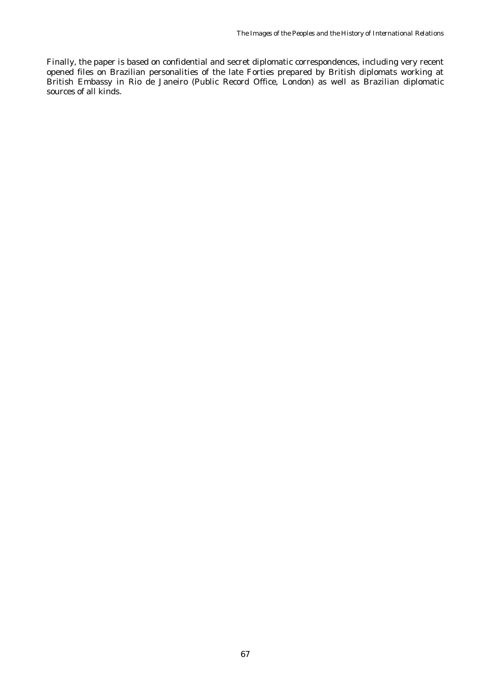Finally, the paper is based on confidential and secret diplomatic correspondences, including very recent opened files on Brazilian personalities of the late Forties prepared by British diplomats working at British Embassy in Rio de Janeiro (Public Record Office, London) as well as Brazilian diplomatic sources of all kinds.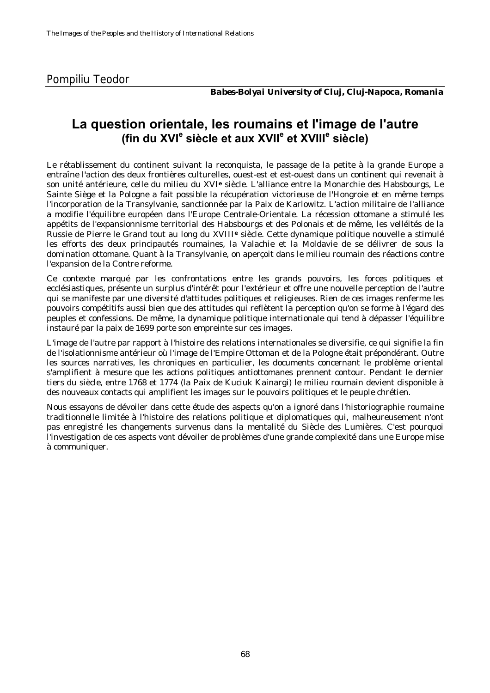*Babes-Bolyai University of Cluj, Cluj-Napoca, Romania*

#### **La question orientale, les roumains et l'image de l'autre (fin du XVI<sup>e</sup> siècle et aux XVIIe et XVIII<sup>e</sup> siècle)**

Le rétablissement du continent suivant la reconquista, le passage de la petite à la grande Europe a entraîne l'action des deux frontières culturelles, ouest-est et est-ouest dans un continent qui revenait à son unité antérieure, celle du milieu du XVI**e** siècle. L'alliance entre la Monarchie des Habsbourgs, Le Sainte Siège et la Pologne a fait possible la récupération victorieuse de l'Hongroie et en même temps l'incorporation de la Transylvanie, sanctionnée par la Paix de Karlowitz. L'action militaire de l'alliance a modifie l'équilibre européen dans l'Europe Centrale-Orientale. La récession ottomane a stimulé les appétits de l'expansionnisme territorial des Habsbourgs et des Polonais et de même, les velléités de la Russie de Pierre le Grand tout au long du XVIII**e** siècle. Cette dynamique politique nouvelle a stimulé les efforts des deux principautés roumaines, la Valachie et la Moldavie de se délivrer de sous la domination ottomane. Quant à la Transylvanie, on aperçoit dans le milieu roumain des réactions contre l'expansion de la Contre reforme.

Ce contexte marqué par les confrontations entre les grands pouvoirs, les forces politiques et ecclésiastiques, présente un surplus d'intérêt pour l'extérieur et offre une nouvelle perception de l'autre qui se manifeste par une diversité d'attitudes politiques et religieuses. Rien de ces images renferme les pouvoirs compétitifs aussi bien que des attitudes qui reflètent la perception qu'on se forme à l'égard des peuples et confessions. De même, la dynamique politique internationale qui tend à dépasser l'équilibre instauré par la paix de 1699 porte son empreinte sur ces images.

L'image de l'autre par rapport à l'histoire des relations internationales se diversifie, ce qui signifie la fin de l'isolationnisme antérieur où l'image de l'Empire Ottoman et de la Pologne était prépondérant. Outre les sources narratives, les chroniques en particulier, les documents concernant le problème oriental s'amplifient à mesure que les actions politiques antiottomanes prennent contour. Pendant le dernier tiers du siècle, entre 1768 et 1774 (la Paix de Kuciuk Kainargi) le milieu roumain devient disponible à des nouveaux contacts qui amplifient les images sur le pouvoirs politiques et le peuple chrétien.

Nous essayons de dévoiler dans cette étude des aspects qu'on a ignoré dans l'historiographie roumaine traditionnelle limitée à l'histoire des relations politique et diplomatiques qui, malheureusement n'ont pas enregistré les changements survenus dans la mentalité du Siècle des Lumières. C'est pourquoi l'investigation de ces aspects vont dévoiler de problèmes d'une grande complexité dans une Europe mise à communiquer.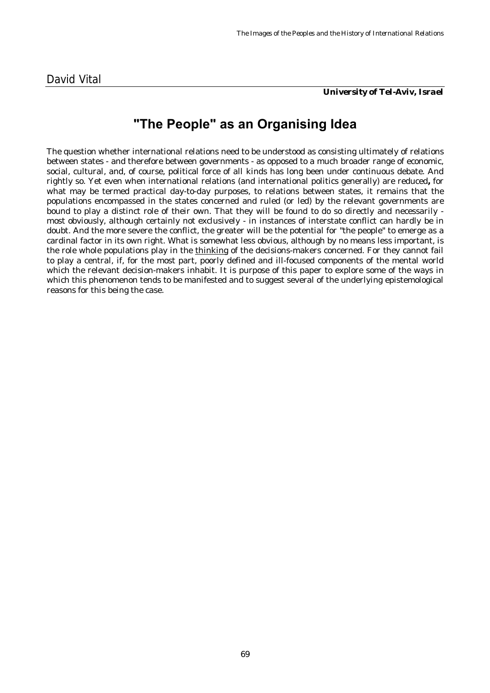*University of Tel-Aviv, Israel*

# **"The People" as an Organising Idea**

The question whether international relations need to be understood as consisting ultimately of relations between states - and therefore between governments - as opposed to a much broader range of economic, social, cultural, and, of course, political force of all kinds has long been under continuous debate. And rightly so. Yet even when international relations (and international politics generally) are reduced**,** for what may be termed practical day-to-day purposes, to relations between states, it remains that the populations encompassed in the states concerned and ruled (or led) by the relevant governments are bound to play a distinct role of their own. That they will be found to do so directly and necessarily most obviously, although certainly not exclusively - in instances of interstate conflict can hardly be in doubt. And the more severe the conflict, the greater will be the potential for "the people" to emerge as a cardinal factor in its own right. What is somewhat less obvious, although by no means less important, is the role whole populations play in the thinking of the decisions-makers concerned. For they cannot fail to play a central, if, for the most part, poorly defined and ill-focused components of the mental world which the relevant decision-makers inhabit. It is purpose of this paper to explore some of the ways in which this phenomenon tends to be manifested and to suggest several of the underlying epistemological reasons for this being the case.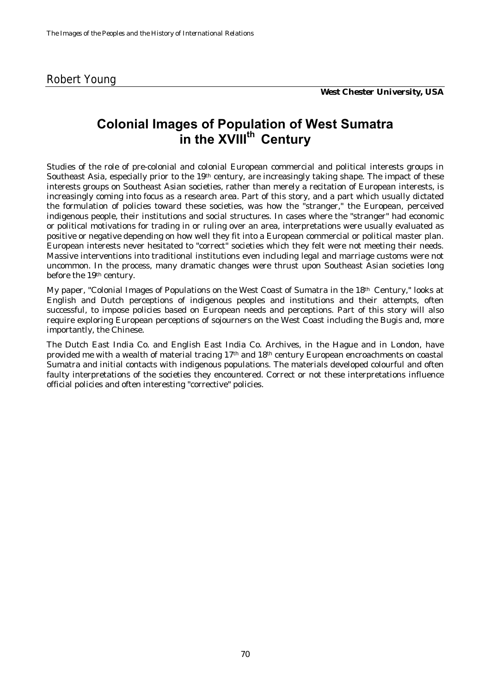## **Colonial Images of Population of West Sumatra in the XVIIIth Century**

Studies of the role of pre-colonial and colonial European commercial and political interests groups in Southeast Asia, especially prior to the 19<sup>th</sup> century, are increasingly taking shape. The impact of these interests groups on Southeast Asian societies, rather than merely a recitation of European interests, is increasingly coming into focus as a research area. Part of this story, and a part which usually dictated the formulation of policies toward these societies, was how the "stranger," the European, perceived indigenous people, their institutions and social structures. In cases where the "stranger" had economic or political motivations for trading in or ruling over an area, interpretations were usually evaluated as positive or negative depending on how well they fit into a European commercial or political master plan. European interests never hesitated to "correct" societies which they felt were not meeting their needs. Massive interventions into traditional institutions even including legal and marriage customs were not uncommon. In the process, many dramatic changes were thrust upon Southeast Asian societies long before the 19th century.

My paper, "Colonial Images of Populations on the West Coast of Sumatra in the 18th Century," looks at English and Dutch perceptions of indigenous peoples and institutions and their attempts, often successful, to impose policies based on European needs and perceptions. Part of this story will also require exploring European perceptions of sojourners on the West Coast including the Bugis and, more importantly, the Chinese.

The Dutch East India Co. and English East India Co. Archives, in the Hague and in London, have provided me with a wealth of material tracing 17th and 18th century European encroachments on coastal Sumatra and initial contacts with indigenous populations. The materials developed colourful and often faulty interpretations of the societies they encountered. Correct or not these interpretations influence official policies and often interesting "corrective" policies.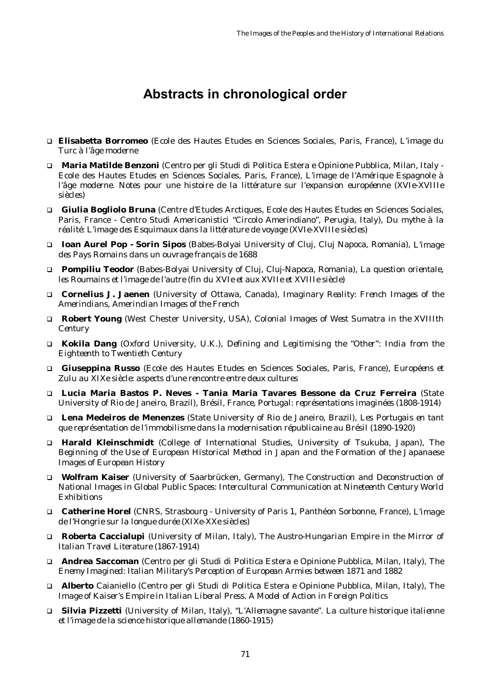# **Abstracts in chronological order**

- ! **Elisabetta Borromeo** (Ecole des Hautes Etudes en Sciences Sociales, Paris, France), *L'image du Turc à l'âge moderne*
- ! **Maria Matilde Benzoni** (Centro per gli Studi di Politica Estera e Opinione Pubblica, Milan, Italy Ecole des Hautes Etudes en Sciences Sociales, Paris, France), *L'image de l'Amérique Espagnole à l'âge moderne. Notes pour une histoire de la littérature sur l'expansion européenne (XVIe-XVIIIe siècles)*
- ! **Giulia Bogliolo Bruna** (Centre d'Etudes Arctiques, Ecole des Hautes Etudes en Sciences Sociales, Paris, France - Centro Studi Americanistici "Circolo Amerindiano", Perugia, Italy), *Du mythe à la réalité: L'image des Esquimaux dans la littérature de voyage (XVIe-XVIIIe siècles)*
- ! **Ioan Aurel Pop Sorin Sipos** (Babes-Bolyai University of Cluj, Cluj Napoca, Romania), *L'image des Pays Romains dans un ouvrage français de 1688*
- ! **Pompiliu Teodor** (Babes-Bolyai University of Cluj, Cluj-Napoca, Romania), *La question orientale, les Roumains et l'image de l'autre (fin du XVIe et aux XVIIe et XVIIIe siècle)*
- ! **Cornelius J. Jaenen** (University of Ottawa, Canada), *Imaginary Reality: French Images of the Amerindians, Amerindian Images of the French*
- ! **Robert Young** (West Chester University, USA), *Colonial Images of West Sumatra in the XVIIIth Century*
- ! **Kokila Dang** (Oxford University, U.K.), *Defining and Legitimising the "Other": India from the Eighteenth to Twentieth Century*
- ! **Giuseppina Russo** (Ecole des Hautes Etudes en Sciences Sociales, Paris, France), *Européens et Zulu au XIXe siècle: aspects d'une rencontre entre deux cultures*
- ! **Lucia Maria Bastos P. Neves Tania Maria Tavares Bessone da Cruz Ferreira** (State University of Rio de Janeiro, Brazil), *Brésil, France, Portugal: représentations imaginées (1808-1914)*
- ! **Lena Medeiros de Menenzes** (State University of Rio de Janeiro, Brazil), *Les Portugais en tant que représentation de l'immobilisme dans la modernisation républicaine au Brésil (1890-1920)*
- ! **Harald Kleinschmidt** (College of International Studies, University of Tsukuba, Japan), *The Beginning of the Use of European Historical Method in Japan and the Formation of the Japanaese Images of European History*
- ! **Wolfram Kaiser** (University of Saarbrücken, Germany), *The Construction and Deconstruction of National Images in Global Public Spaces: Intercultural Communication at Nineteenth Century World Exhibitions*
- ! **Catherine Horel** (CNRS, Strasbourg University of Paris 1, Panthéon Sorbonne, France), *L'image de l'Hongrie sur la longue durée (XIXe-XXe siècles)*
- ! **Roberta Caccialupi** (University of Milan, Italy), *The Austro-Hungarian Empire in the Mirror of Italian Travel Literature (1867-1914)*
- ! **Andrea Saccoman** (Centro per gli Studi di Politica Estera e Opinione Pubblica, Milan, Italy), *The Enemy Imagined: Italian Military's Perception of European Armies between 1871 and 1882*
- ! **Alberto** Caianiello (Centro per gli Studi di Politica Estera e Opinione Pubblica, Milan, Italy), *The Image of Kaiser's Empire in Italian Liberal Press. A Model of Action in Foreign Politics*
- ! **Silvia Pizzetti** (University of Milan, Italy), *"L'Allemagne savante". La culture historique italienne et l'image de la science historique allemande (1860-1915)*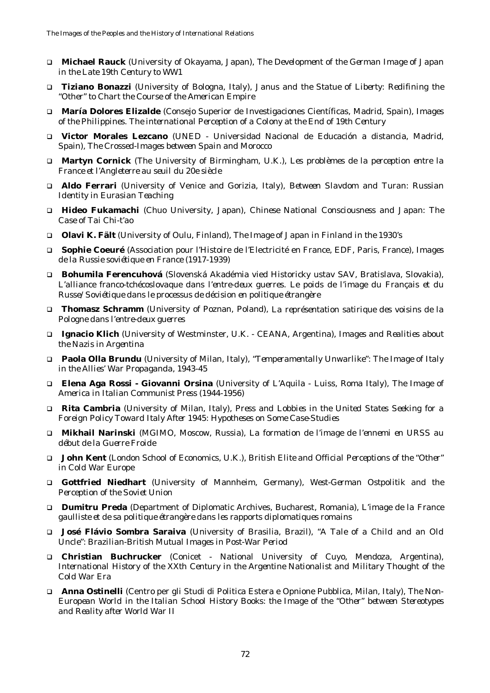- ! **Michael Rauck** (University of Okayama, Japan), *The Development of the German Image of Japan in the Late 19th Century to WW1*
- ! **Tiziano Bonazzi** (University of Bologna, Italy), *Janus and the Statue of Liberty: Redifining the "Other" to Chart the Course of the American Empire*
- ! **María Dolores Elizalde** (Consejo Superior de Investigaciones Científicas, Madrid, Spain), *Images of the Philippines. The international Perception of a Colony at the End of 19th Century*
- ! **Victor Morales Lezcano** (UNED Universidad Nacional de Educación a distancia, Madrid, Spain), *The Crossed-Images between Spain and Morocco*
- ! **Martyn Cornick** (The University of Birmingham, U.K.), *Les problèmes de la perception entre la France et l'Angleterre au seuil du 20e siècle*
- ! **Aldo Ferrari** (University of Venice and Gorizia, Italy), *Between Slavdom and Turan: Russian Identity in Eurasian Teaching*
- ! **Hideo Fukamachi** (Chuo University, Japan), *Chinese National Consciousness and Japan: The Case of Tai Chi-t'ao*
- ! **Olavi K. Fält** (University of Oulu, Finland*), The Image of Japan in Finland in the 1930's*
- ! **Sophie Coeuré** (Association pour l'Histoire de l'Electricité en France, EDF, Paris, France), *Images de la Russie soviétique en France (1917-1939)*
- ! **Bohumila Ferencuhová** (Slovenská Akadémia vied Historicky ustav SAV, Bratislava, Slovakia), *L'alliance franco-tchécoslovaque dans l'entre-deux guerres. Le poids de l'image du Français et du Russe/Soviétique dans le processus de décision en politique étrangère*
- ! **Thomasz Schramm** (University of Poznan, Poland), *La représentation satirique des voisins de la Pologne dans l'entre-deux guerres*
- ! **Ignacio Klich** (University of Westminster, U.K. CEANA, Argentina), *Images and Realities about the Nazis in Argentina*
- ! **Paola Olla Brundu** (University of Milan, Italy), *"Temperamentally Unwarlike": The Image of Italy in the Allies' War Propaganda, 1943-45*
- ! **Elena Aga Rossi Giovanni Orsina** (University of L'Aquila Luiss, Roma Italy), *The Image of America in Italian Communist Press (1944-1956)*
- ! **Rita Cambria** (University of Milan, Italy), *Press and Lobbies in the United States Seeking for a Foreign Policy Toward Italy After 1945: Hypotheses on Some Case-Studies*
- ! **Mikhail Narinski** (MGIMO, Moscow, Russia), *La formation de l'image de l'ennemi en URSS au début de la Guerre Froide*
- ! **John Kent** (London School of Economics, U.K.), *British Elite and Official Perceptions of the "Other" in Cold War Europe*
- ! **Gottfried Niedhart** (University of Mannheim, Germany), *West-German Ostpolitik and the Perception of the Soviet Union*
- ! **Dumitru Preda** (Department of Diplomatic Archives, Bucharest, Romania), *L'image de la France gaulliste et de sa politique étrangère dans les rapports diplomatiques romains*
- ! **José Flávio Sombra Saraiva** (University of Brasilia, Brazil), *"A Tale of a Child and an Old Uncle": Brazilian-British Mutual Images in Post-War Period*
- ! **Christian Buchrucker** (Conicet National University of Cuyo, Mendoza, Argentina), *International History of the XXth Century in the Argentine Nationalist and Military Thought of the Cold War Era*
- ! **Anna Ostinelli** (Centro per gli Studi di Politica Estera e Opnione Pubblica, Milan, Italy), *The Non-European World in the Italian School History Books: the Image of the "Other" between Stereotypes and Reality after World War II*